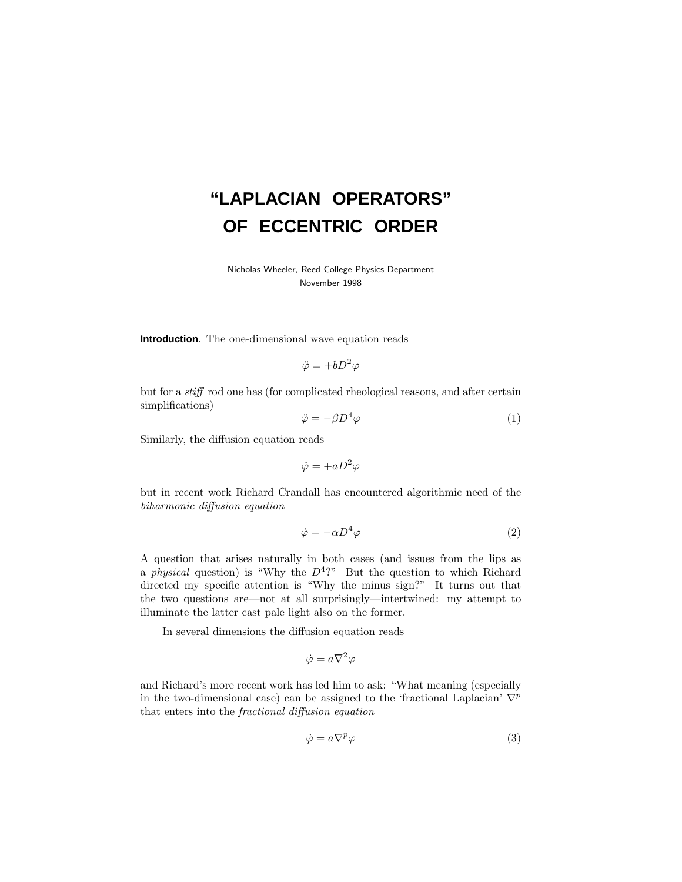# **"LAPLACIAN OPERATORS" OF ECCENTRIC ORDER**

Nicholas Wheeler, Reed College Physics Department November 1998

**Introduction**. The one-dimensional wave equation reads

$$
\ddot{\varphi} = +bD^2\varphi
$$

but for a stiff rod one has (for complicated rheological reasons, and after certain simplifications)

$$
\ddot{\varphi} = -\beta D^4 \varphi \tag{1}
$$

Similarly, the diffusion equation reads

$$
\dot{\varphi}=+aD^2\varphi
$$

but in recent work Richard Crandall has encountered algorithmic need of the biharmonic diffusion equation

$$
\dot{\varphi} = -\alpha D^4 \varphi \tag{2}
$$

A question that arises naturally in both cases (and issues from the lips as a *physical* question) is "Why the  $D^4$ ?" But the question to which Richard directed my specific attention is "Why the minus sign?" It turns out that the two questions are—not at all surprisingly—intertwined: my attempt to illuminate the latter cast pale light also on the former.

In several dimensions the diffusion equation reads

$$
\dot{\varphi} = a\nabla^2 \varphi
$$

and Richard's more recent work has led him to ask: "What meaning (especially in the two-dimensional case) can be assigned to the 'fractional Laplacian'  $\nabla^p$ that enters into the fractional diffusion equation

$$
\dot{\varphi} = a\nabla^p \varphi \tag{3}
$$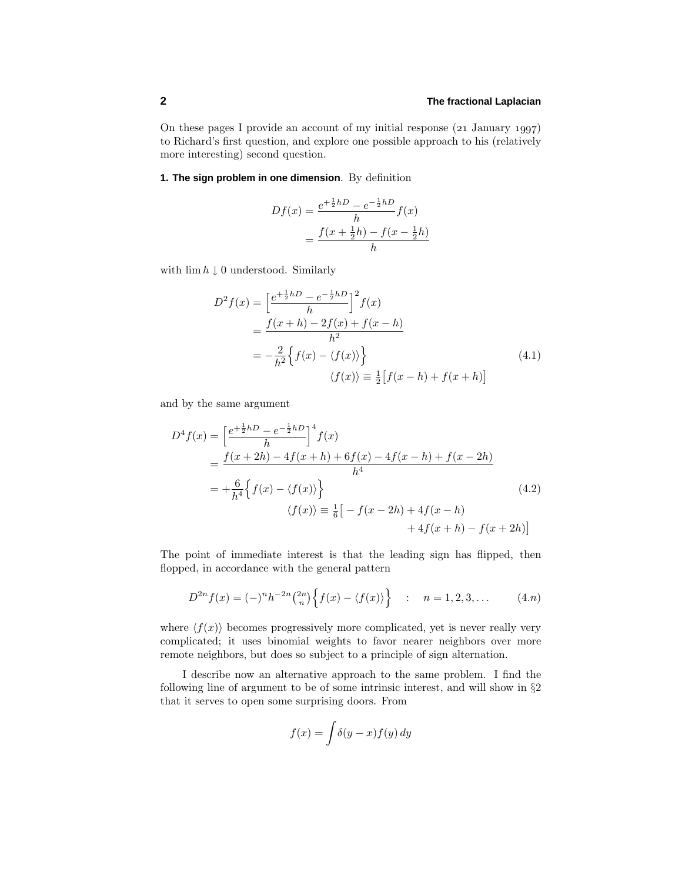On these pages I provide an account of my initial response  $(21)$  January  $1997$ to Richard's first question, and explore one possible approach to his (relatively more interesting) second question.

# **1. The sign problem in one dimension**. By definition

$$
Df(x) = \frac{e^{+\frac{1}{2}hD} - e^{-\frac{1}{2}hD}}{h}f(x)
$$
  
= 
$$
\frac{f(x + \frac{1}{2}h) - f(x - \frac{1}{2}h)}{h}
$$

with  $\lim h \downarrow 0$  understood. Similarly

$$
D^{2} f(x) = \left[\frac{e^{+\frac{1}{2}hD} - e^{-\frac{1}{2}hD}}{h}\right]^{2} f(x)
$$
  
= 
$$
\frac{f(x+h) - 2f(x) + f(x-h)}{h^{2}}
$$
  
= 
$$
-\frac{2}{h^{2}} \Big{f(x) - \langle f(x) \rangle \Big}
$$
  

$$
\langle f(x) \rangle \equiv \frac{1}{2} [f(x-h) + f(x+h)]
$$
 (4.1)

and by the same argument

$$
D^{4} f(x) = \left[\frac{e^{+\frac{1}{2}hD} - e^{-\frac{1}{2}hD}}{h}\right]^{4} f(x)
$$
  
=  $\frac{f(x + 2h) - 4f(x + h) + 6f(x) - 4f(x - h) + f(x - 2h)}{h^{4}}$   
=  $+\frac{6}{h^{4}}\Big{f(x) - \langle f(x) \rangle\Big}$   
 $\langle f(x) \rangle \equiv \frac{1}{6}\Big[-f(x - 2h) + 4f(x - h) + 4f(x + h) - f(x + 2h)\Big]$  (4.2)

The point of immediate interest is that the leading sign has flipped, then flopped, in accordance with the general pattern

$$
D^{2n} f(x) = (-)^n h^{-2n} {2n \choose n} \Big\{ f(x) - \langle f(x) \rangle \Big\} \quad : \quad n = 1, 2, 3, \dots \tag{4.n}
$$

where  $\langle f(x) \rangle$  becomes progressively more complicated, yet is never really very complicated; it uses binomial weights to favor nearer neighbors over more remote neighbors, but does so subject to a principle of sign alternation.

I describe now an alternative approach to the same problem. I find the following line of argument to be of some intrinsic interest, and will show in §2 that it serves to open some surprising doors. From

$$
f(x) = \int \delta(y - x) f(y) \, dy
$$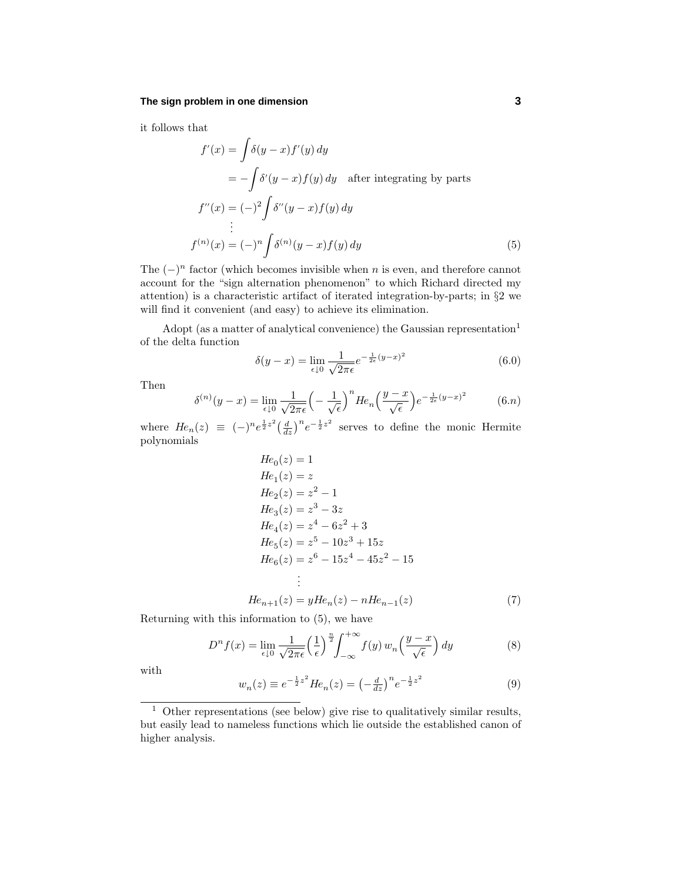#### **The sign problem in one dimension 3**

it follows that

$$
f'(x) = \int \delta(y - x) f'(y) dy
$$
  
=  $-\int \delta'(y - x) f(y) dy$  after integrating by parts  

$$
f''(x) = (-)^2 \int \delta''(y - x) f(y) dy
$$
  
:  

$$
f^{(n)}(x) = (-)^n \int \delta^{(n)}(y - x) f(y) dy
$$
 (5)

The  $(-)^n$  factor (which becomes invisible when *n* is even, and therefore cannot account for the "sign alternation phenomenon" to which Richard directed my attention) is a characteristic artifact of iterated integration-by-parts; in  $\S 2$  we will find it convenient (and easy) to achieve its elimination.

Adopt (as a matter of analytical convenience) the Gaussian representation<sup>1</sup> of the delta function

$$
\delta(y - x) = \lim_{\epsilon \downarrow 0} \frac{1}{\sqrt{2\pi\epsilon}} e^{-\frac{1}{2\epsilon}(y - x)^2}
$$
(6.0)

Then

$$
\delta^{(n)}(y-x) = \lim_{\epsilon \downarrow 0} \frac{1}{\sqrt{2\pi\epsilon}} \left( -\frac{1}{\sqrt{\epsilon}} \right)^n H e_n \left( \frac{y-x}{\sqrt{\epsilon}} \right) e^{-\frac{1}{2\epsilon}(y-x)^2} \tag{6. n}
$$

where  $He_n(z) \equiv (-)^n e^{\frac{1}{2}z^2} \left(\frac{d}{dz}\right)^n e^{-\frac{1}{2}z^2}$  serves to define the monic Hermite polynomials

$$
He_0(z) = 1
$$
  
\n
$$
He_1(z) = z
$$
  
\n
$$
He_2(z) = z^2 - 1
$$
  
\n
$$
He_3(z) = z^3 - 3z
$$
  
\n
$$
He_4(z) = z^4 - 6z^2 + 3
$$
  
\n
$$
He_5(z) = z^5 - 10z^3 + 15z
$$
  
\n
$$
He_6(z) = z^6 - 15z^4 - 45z^2 - 15
$$
  
\n:  
\n:  
\n
$$
He_{n+1}(z) = yHe_n(z) - nHe_{n-1}(z)
$$
\n(7)

$$
n\epsilon_{n+1}(z) - g n\epsilon_n(z) - n n\epsilon_{n-1}(z)
$$

Returning with this information to (5), we have

$$
D^{n} f(x) = \lim_{\epsilon \downarrow 0} \frac{1}{\sqrt{2\pi\epsilon}} \left(\frac{1}{\epsilon}\right)^{\frac{n}{2}} \int_{-\infty}^{+\infty} f(y) w_{n} \left(\frac{y-x}{\sqrt{\epsilon}}\right) dy \tag{8}
$$

with

$$
w_n(z) \equiv e^{-\frac{1}{2}z^2} H e_n(z) = \left(-\frac{d}{dz}\right)^n e^{-\frac{1}{2}z^2}
$$
\n(9)

 $1$  Other representations (see below) give rise to qualitatively similar results, but easily lead to nameless functions which lie outside the established canon of higher analysis.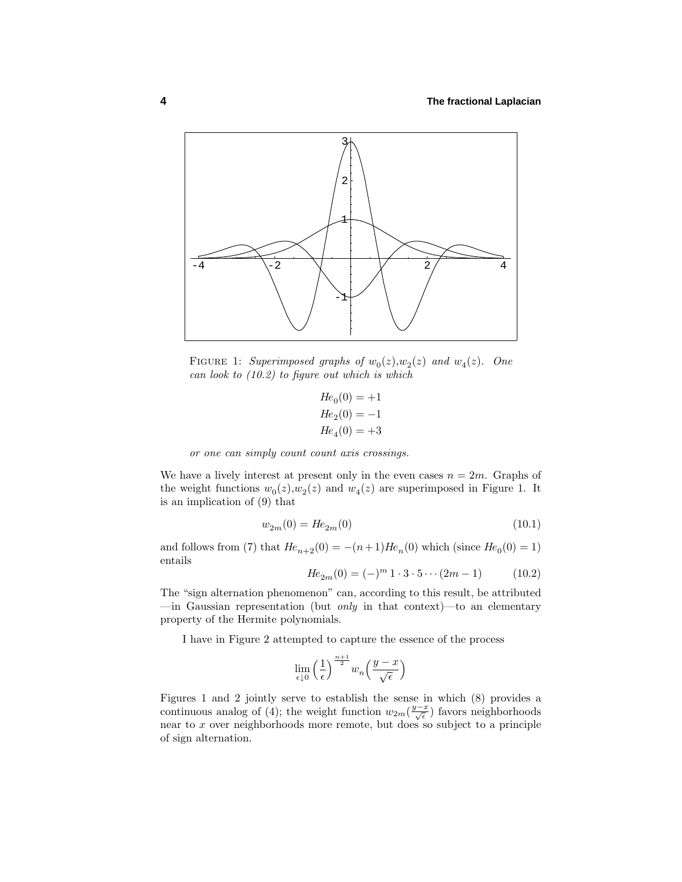

FIGURE 1: Superimposed graphs of  $w_0(z), w_2(z)$  and  $w_4(z)$ . One can look to  $(10.2)$  to figure out which is which

$$
He_0(0) = +1
$$
  
\n
$$
He_2(0) = -1
$$
  
\n
$$
He_4(0) = +3
$$

or one can simply count count axis crossings.

We have a lively interest at present only in the even cases  $n = 2m$ . Graphs of the weight functions  $w_0(z)$ ,  $w_2(z)$  and  $w_4(z)$  are superimposed in Figure 1. It is an implication of  $(9)$  that

$$
w_{2m}(0) = He_{2m}(0)
$$
\n(10.1)

and follows from (7) that  $He_{n+2}(0) = -(n+1)He_n(0)$  which (since  $He_0(0) = 1$ ) entails

$$
He_{2m}(0) = (-)^m 1 \cdot 3 \cdot 5 \cdots (2m-1) \qquad (10.2)
$$

The "sign alternation phenomenon" can, according to this result, be attributed  $\frac{1}{x}$  Gaussian representation (but *only* in that context)—to an elementary property of the Hermite polynomials.

I have in Figure 2 attempted to capture the essence of the process

$$
\lim_{\epsilon \downarrow 0} \left(\frac{1}{\epsilon}\right)^{\frac{n+1}{2}} w_n\left(\frac{y-x}{\sqrt{\epsilon}}\right)
$$

Figures 1 and 2 jointly serve to establish the sense in which  $(8)$  provides a continuous analog of (4); the weight function  $w_{2m}(\frac{y-x}{\sqrt{\epsilon}})$  favors neighborhoods near to *x* over neighborhoods more remote, but does so subject to a principle of sign alternation.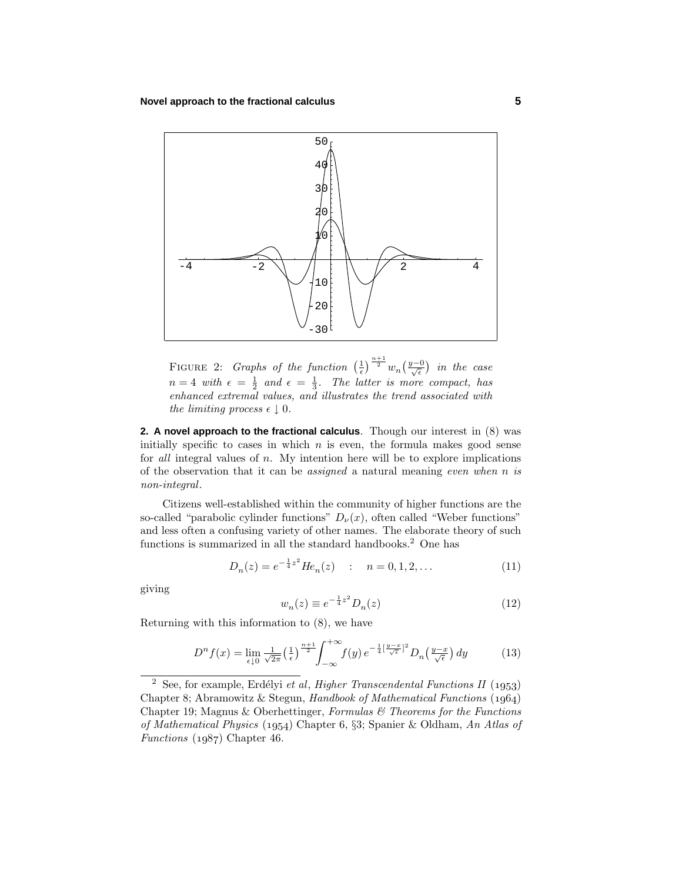

FIGURE 2: *Graphs of the function*  $\left(\frac{1}{\epsilon}\right)^{\frac{n+1}{2}} w_n \left(\frac{y-0}{\sqrt{\epsilon}}\right)$  in the case  $n=4$  with  $\epsilon = \frac{1}{2}$  and  $\epsilon = \frac{1}{3}$ . The latter is more compact, has enhanced extremal values, and illustrates the trend associated with the limiting process  $\epsilon \downarrow 0$ .

**2. A novel approach to the fractional calculus**. Though our interest in (8) was initially specific to cases in which  $n$  is even, the formula makes good sense for all integral values of *n*. My intention here will be to explore implications of the observation that it can be assigned a natural meaning even when *n* is non-integral.

Citizens well-established within the community of higher functions are the so-called "parabolic cylinder functions"  $D_{\nu}(x)$ , often called "Weber functions" and less often a confusing variety of other names. The elaborate theory of such functions is summarized in all the standard handbooks.<sup>2</sup> One has

$$
D_n(z) = e^{-\frac{1}{4}z^2} H e_n(z) \quad : \quad n = 0, 1, 2, \dots \tag{11}
$$

giving

$$
w_n(z) \equiv e^{-\frac{1}{4}z^2} D_n(z)
$$
 (12)

Returning with this information to (8), we have

$$
D^{n} f(x) = \lim_{\epsilon \downarrow 0} \frac{1}{\sqrt{2\pi}} \left(\frac{1}{\epsilon}\right)^{\frac{n+1}{2}} \int_{-\infty}^{+\infty} f(y) e^{-\frac{1}{4} \left[\frac{y-x}{\sqrt{\epsilon}}\right]^{2}} D_{n}\left(\frac{y-x}{\sqrt{\epsilon}}\right) dy \tag{13}
$$

<sup>&</sup>lt;sup>2</sup> See, for example, Erdélyi et al, Higher Transcendental Functions II (1953) Chapter 8; Abramowitz & Stegun, Handbook of Mathematical Functions (1964) Chapter 19; Magnus & Oberhettinger, Formulas  $\mathcal C$  Theorems for the Functions of Mathematical Physics (1954) Chapter 6, §3; Spanier & Oldham, An Atlas of Functions  $(1987)$  Chapter 46.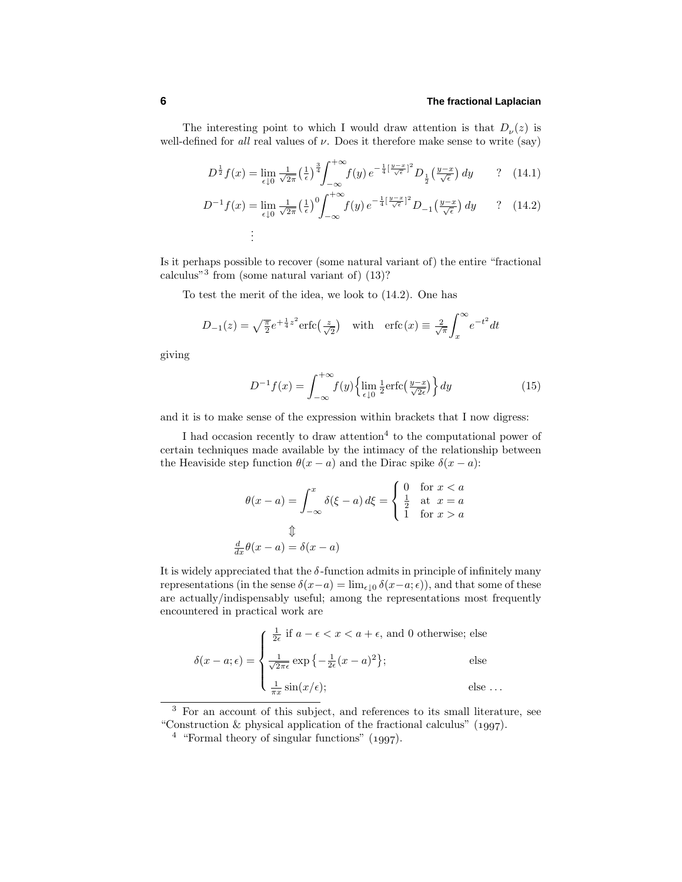The interesting point to which I would draw attention is that  $D_{\nu}(z)$  is well-defined for *all* real values of  $\nu$ . Does it therefore make sense to write (say)

$$
D^{\frac{1}{2}}f(x) = \lim_{\epsilon \downarrow 0} \frac{1}{\sqrt{2\pi}} \left(\frac{1}{\epsilon}\right)^{\frac{3}{4}} \int_{-\infty}^{+\infty} f(y) e^{-\frac{1}{4}\left[\frac{y-x}{\sqrt{\epsilon}}\right]^2} D_{\frac{1}{2}}\left(\frac{y-x}{\sqrt{\epsilon}}\right) dy \qquad ? \quad (14.1)
$$

$$
D^{-1}f(x) = \lim_{\epsilon \downarrow 0} \frac{1}{\sqrt{2\pi}} \left(\frac{1}{\epsilon}\right)^0 \int_{-\infty}^{+\infty} f(y) e^{-\frac{1}{4}\left[\frac{y-x}{\sqrt{\epsilon}}\right]^2} D_{-1}\left(\frac{y-x}{\sqrt{\epsilon}}\right) dy \qquad ? \quad (14.2)
$$
  
:

Is it perhaps possible to recover (some natural variant of) the entire "fractional calculus"<sup>3</sup> from (some natural variant of) $(13)$ ?

To test the merit of the idea, we look to (14.2). One has

$$
D_{-1}(z) = \sqrt{\frac{\pi}{2}} e^{+\frac{1}{4}z^2} \text{erfc}\left(\frac{z}{\sqrt{2}}\right) \quad \text{with} \quad \text{erfc}(x) \equiv \frac{2}{\sqrt{\pi}} \int_x^{\infty} e^{-t^2} dt
$$

giving

$$
D^{-1}f(x) = \int_{-\infty}^{+\infty} f(y) \left\{ \lim_{\epsilon \downarrow 0} \frac{1}{2} \text{erfc}\left(\frac{y-x}{\sqrt{2\epsilon}}\right) \right\} dy \tag{15}
$$

and it is to make sense of the expression within brackets that I now digress:

I had occasion recently to draw attention<sup>4</sup> to the computational power of certain techniques made available by the intimacy of the relationship between the Heaviside step function  $\theta(x - a)$  and the Dirac spike  $\delta(x - a)$ :

$$
\theta(x-a) = \int_{-\infty}^{x} \delta(\xi - a) d\xi = \begin{cases} 0 & \text{for } x < a \\ \frac{1}{2} & \text{at } x = a \\ 1 & \text{for } x > a \end{cases}
$$

$$
\Downarrow
$$

$$
\frac{d}{dx}\theta(x-a) = \delta(x-a)
$$

It is widely appreciated that the  $\delta$ -function admits in principle of infinitely many representations (in the sense  $\delta(x-a) = \lim_{\epsilon \to 0} \delta(x-a; \epsilon)$ ), and that some of these are actually/indispensably useful; among the representations most frequently encountered in practical work are

$$
\delta(x - a; \epsilon) = \begin{cases} \frac{1}{2\epsilon} \text{ if } a - \epsilon < x < a + \epsilon, \text{ and } 0 \text{ otherwise; else} \\ \frac{1}{\sqrt{2\pi\epsilon}} \exp\left\{-\frac{1}{2\epsilon}(x - a)^2\right\}; & \text{else} \\ \frac{1}{\pi x} \sin(x/\epsilon); & \text{else} \dots \end{cases}
$$

<sup>3</sup> For an account of this subject, and references to its small literature, see "Construction  $\&$  physical application of the fractional calculus" (1997).

 $4$  "Formal theory of singular functions" (1997).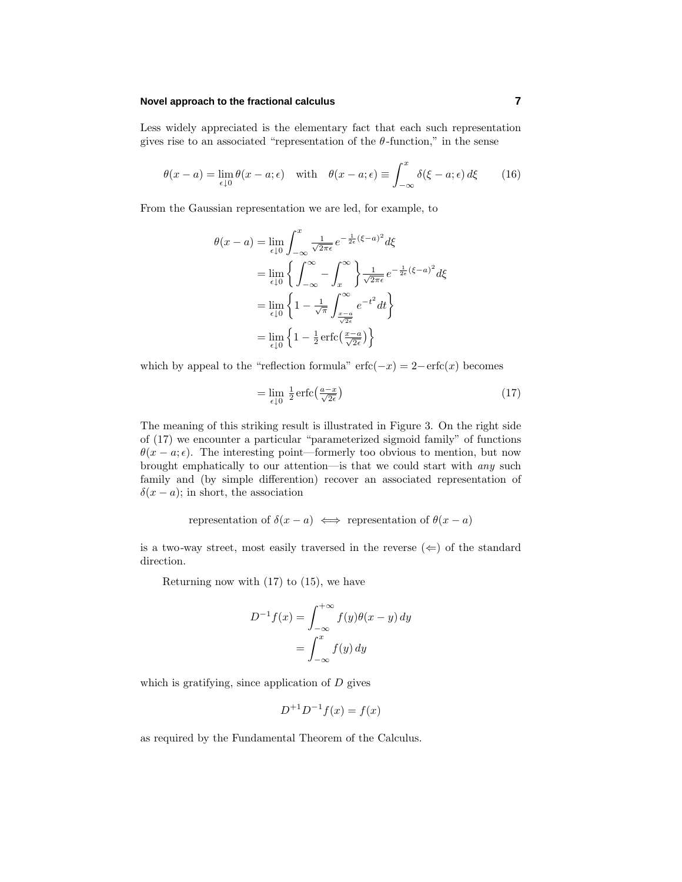Less widely appreciated is the elementary fact that each such representation gives rise to an associated "representation of the  $\theta$ -function," in the sense

$$
\theta(x-a) = \lim_{\epsilon \downarrow 0} \theta(x-a;\epsilon) \quad \text{with} \quad \theta(x-a;\epsilon) \equiv \int_{-\infty}^{x} \delta(\xi-a;\epsilon) d\xi \tag{16}
$$

From the Gaussian representation we are led, for example, to

$$
\theta(x - a) = \lim_{\epsilon \downarrow 0} \int_{-\infty}^{x} \frac{1}{\sqrt{2\pi \epsilon}} e^{-\frac{1}{2\epsilon} (\xi - a)^2} d\xi
$$

$$
= \lim_{\epsilon \downarrow 0} \left\{ \int_{-\infty}^{\infty} - \int_{x}^{\infty} \right\} \frac{1}{\sqrt{2\pi \epsilon}} e^{-\frac{1}{2\epsilon} (\xi - a)^2} d\xi
$$

$$
= \lim_{\epsilon \downarrow 0} \left\{ 1 - \frac{1}{\sqrt{\pi}} \int_{\frac{x - a}{\sqrt{2\epsilon}}}^{\infty} e^{-t^2} dt \right\}
$$

$$
= \lim_{\epsilon \downarrow 0} \left\{ 1 - \frac{1}{2} \operatorname{erfc}\left(\frac{x - a}{\sqrt{2\epsilon}}\right) \right\}
$$

which by appeal to the "reflection formula"  $erfc(-x)=2-erfc(x)$  becomes

$$
= \lim_{\epsilon \downarrow 0} \frac{1}{2} \operatorname{erfc} \left( \frac{a - x}{\sqrt{2\epsilon}} \right) \tag{17}
$$

The meaning of this striking result is illustrated in Figure 3. On the right side of  $(17)$  we encounter a particular "parameterized sigmoid family" of functions  $\theta(x - a; \epsilon)$ . The interesting point—formerly too obvious to mention, but now brought emphatically to our attention—is that we could start with any such family and (by simple differention) recover an associated representation of  $\delta(x - a)$ ; in short, the association

representation of 
$$
\delta(x-a) \iff
$$
 representation of  $\theta(x-a)$ 

is a two-way street, most easily traversed in the reverse  $(\Leftarrow)$  of the standard direction.

Returning now with  $(17)$  to  $(15)$ , we have

$$
D^{-1}f(x) = \int_{-\infty}^{+\infty} f(y)\theta(x - y) dy
$$

$$
= \int_{-\infty}^{x} f(y) dy
$$

which is gratifying, since application of *D* gives

$$
D^{+1}D^{-1}f(x) = f(x)
$$

as required by the Fundamental Theorem of the Calculus.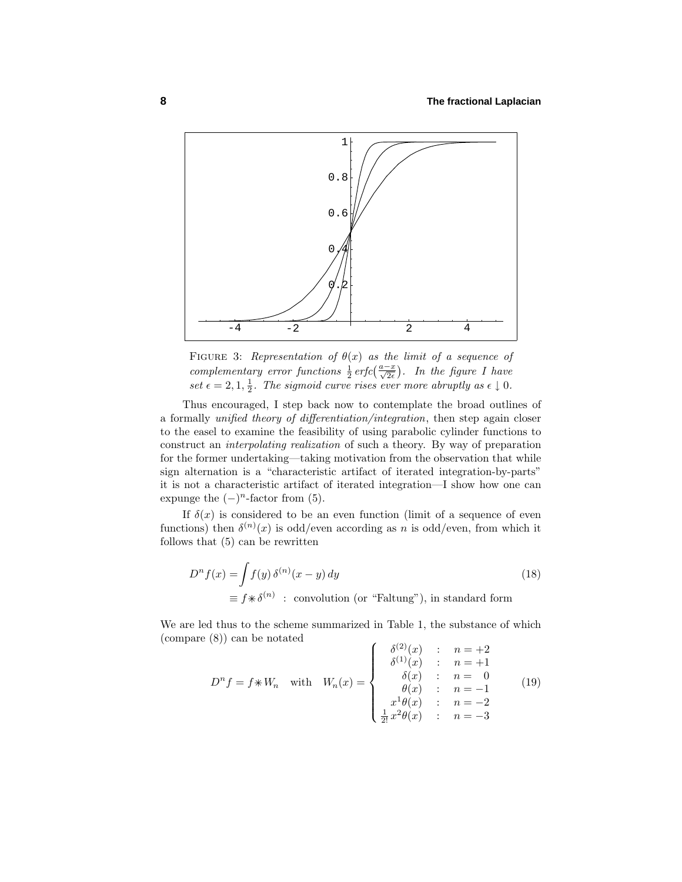

FIGURE 3: Representation of  $\theta(x)$  as the limit of a sequence of complementary error functions  $\frac{1}{2}$  erfc $\left(\frac{a-x}{\sqrt{2\epsilon}}\right)$ . In the figure I have set  $\epsilon = 2, 1, \frac{1}{2}$ . The sigmoid curve rises ever more abruptly as  $\epsilon \downarrow 0$ .

Thus encouraged, I step back now to contemplate the broad outlines of a formally unified theory of differentiation/integration, then step again closer to the easel to examine the feasibility of using parabolic cylinder functions to construct an interpolating realization of such a theory. By way of preparation for the former undertaking—taking motivation from the observation that while sign alternation is a "characteristic artifact of iterated integration-by-parts" it is not a characteristic artifact of iterated integration—I show how one can expunge the  $(-)^n$ -factor from (5).

If  $\delta(x)$  is considered to be an even function (limit of a sequence of even functions) then  $\delta^{(n)}(x)$  is odd/even according as *n* is odd/even, from which it follows that  $(5)$  can be rewritten

$$
D^{n} f(x) = \int f(y) \, \delta^{(n)}(x - y) \, dy
$$
\n
$$
\equiv f * \delta^{(n)} \quad : \text{ convolution (or "Faltung"), in standard form}
$$
\n(18)

We are led thus to the scheme summarized in Table 1, the substance of which (compare (8)) can be notated

$$
D^{n} f = f \ast W_{n} \quad \text{with} \quad W_{n}(x) = \begin{cases} \delta^{(2)}(x) & : & n = +2 \\ \delta^{(1)}(x) & : & n = +1 \\ \delta(x) & : & n = 0 \\ \theta(x) & : & n = -1 \\ x^{1} \theta(x) & : & n = -2 \\ \frac{1}{2!} x^{2} \theta(x) & : & n = -3 \end{cases} \tag{19}
$$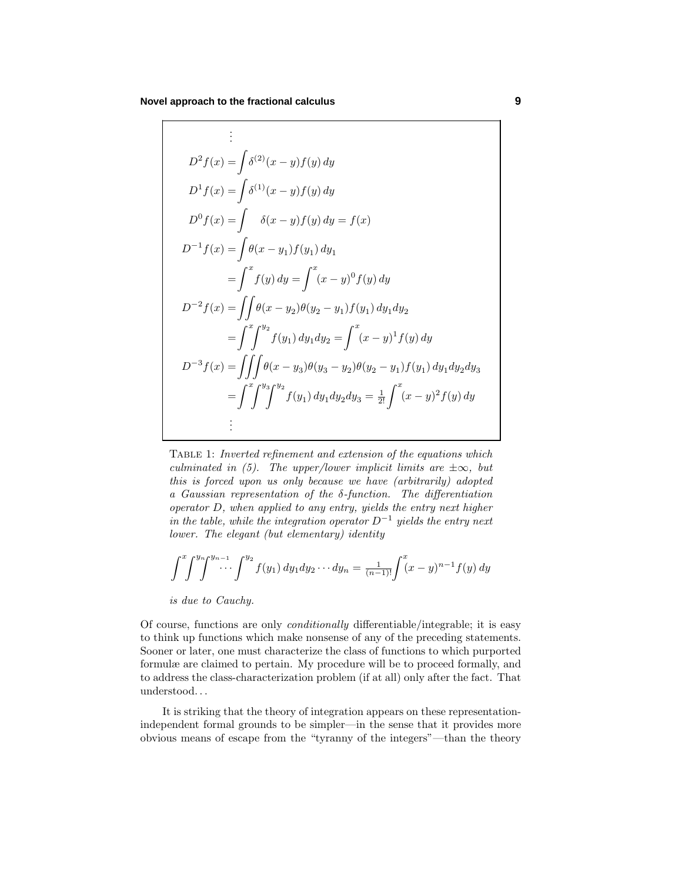$$
\vdots
$$
\n
$$
D^{2} f(x) = \int \delta^{(2)}(x - y) f(y) dy
$$
\n
$$
D^{1} f(x) = \int \delta^{(1)}(x - y) f(y) dy
$$
\n
$$
D^{0} f(x) = \int \delta(x - y) f(y) dy = f(x)
$$
\n
$$
D^{-1} f(x) = \int \theta(x - y_{1}) f(y_{1}) dy_{1}
$$
\n
$$
= \int^{x} f(y) dy = \int^{x} (x - y)^{0} f(y) dy
$$
\n
$$
D^{-2} f(x) = \int \int \theta(x - y_{2}) \theta(y_{2} - y_{1}) f(y_{1}) dy_{1} dy_{2}
$$
\n
$$
= \int^{x} \int^{y_{2}} f(y_{1}) dy_{1} dy_{2} = \int^{x} (x - y)^{1} f(y) dy
$$
\n
$$
D^{-3} f(x) = \iiint \theta(x - y_{3}) \theta(y_{3} - y_{2}) \theta(y_{2} - y_{1}) f(y_{1}) dy_{1} dy_{2} dy_{3}
$$
\n
$$
= \int^{x} \int^{y_{3}} \int^{y_{2}} f(y_{1}) dy_{1} dy_{2} dy_{3} = \frac{1}{2!} \int^{x} (x - y)^{2} f(y) dy
$$
\n
$$
\vdots
$$

Table 1: Inverted refinement and extension of the equations which culminated in (5). The upper/lower implicit limits are  $\pm \infty$ , but this is forced upon us only because we have  $(arbitrarily)$  adopted a Gaussian representation of the *δ*-function. The differentiation operator *D*, when applied to any entry, yields the entry next higher in the table, while the integration operator  $D^{-1}$  yields the entry next lower. The elegant (but elementary) identity

$$
\int^x \int^{y_n} \int^{y_{n-1}} \cdots \int^{y_2} f(y_1) \, dy_1 dy_2 \cdots dy_n = \frac{1}{(n-1)!} \int^x (x - y)^{n-1} f(y) \, dy
$$

is due to Cauchy.

Of course, functions are only conditionally differentiable/integrable; it is easy to think up functions which make nonsense of any of the preceding statements. Sooner or later, one must characterize the class of functions to which purported formulæ are claimed to pertain. My procedure will be to proceed formally, and to address the class-characterization problem (if at all) only after the fact. That understood*...*

It is striking that the theory of integration appears on these representationindependent formal grounds to be simpler—in the sense that it provides more obvious means of escape from the "tyranny of the integers"—than the theory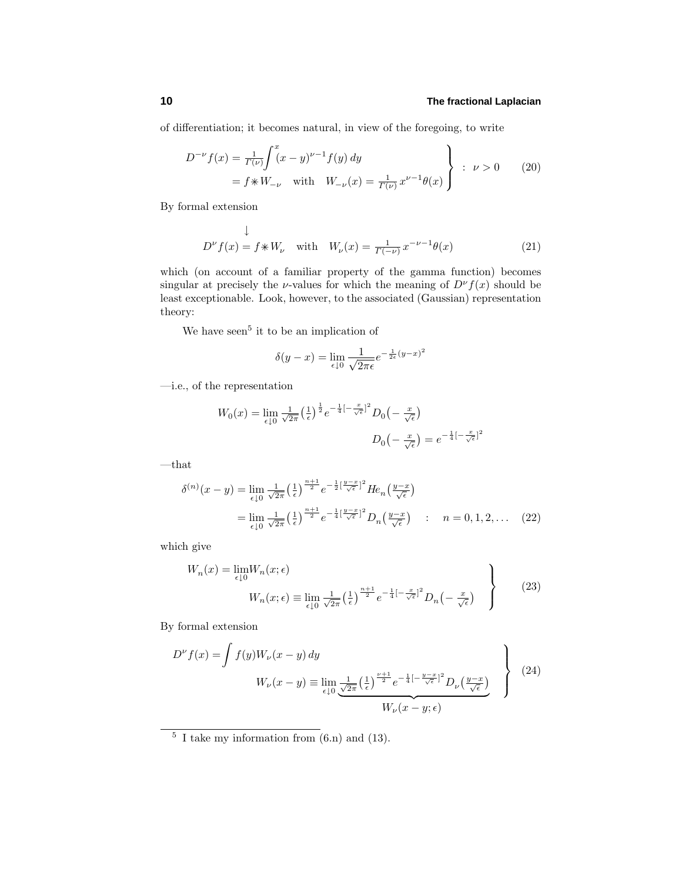of differentiation; it becomes natural, in view of the foregoing, to write

$$
D^{-\nu} f(x) = \frac{1}{\Gamma(\nu)} \int_{-\nu}^{x} (x - y)^{\nu - 1} f(y) dy
$$
  
=  $f * W_{-\nu}$  with  $W_{-\nu}(x) = \frac{1}{\Gamma(\nu)} x^{\nu - 1} \theta(x)$   $\left.\begin{array}{c} \n\end{array}\right\}$  :  $\nu > 0$  (20)

By formal extension

$$
\downarrow
$$
  

$$
D^{\nu}f(x) = f \ast W_{\nu} \quad \text{with} \quad W_{\nu}(x) = \frac{1}{\Gamma(-\nu)} x^{-\nu - 1} \theta(x)
$$
 (21)

which (on account of a familiar property of the gamma function) becomes singular at precisely the *ν*-values for which the meaning of  $D^{\nu} f(x)$  should be least exceptionable. Look, however, to the associated (Gaussian) representation theory:

We have seen<sup>5</sup> it to be an implication of

$$
\delta(y - x) = \lim_{\epsilon \downarrow 0} \frac{1}{\sqrt{2\pi\epsilon}} e^{-\frac{1}{2\epsilon}(y - x)^2}
$$

—i.e., of the representation

$$
W_0(x) = \lim_{\epsilon \downarrow 0} \frac{1}{\sqrt{2\pi}} \left(\frac{1}{\epsilon}\right)^{\frac{1}{2}} e^{-\frac{1}{4}\left[-\frac{x}{\sqrt{\epsilon}}\right]^2} D_0\left(-\frac{x}{\sqrt{\epsilon}}\right)
$$

$$
D_0\left(-\frac{x}{\sqrt{\epsilon}}\right) = e^{-\frac{1}{4}\left[-\frac{x}{\sqrt{\epsilon}}\right]^2}
$$

 $-\!$  that

$$
\delta^{(n)}(x - y) = \lim_{\epsilon \downarrow 0} \frac{1}{\sqrt{2\pi}} \left(\frac{1}{\epsilon}\right)^{\frac{n+1}{2}} e^{-\frac{1}{2}\left[\frac{y-x}{\sqrt{\epsilon}}\right]^2} H e_n\left(\frac{y-x}{\sqrt{\epsilon}}\right)
$$
  
= 
$$
\lim_{\epsilon \downarrow 0} \frac{1}{\sqrt{2\pi}} \left(\frac{1}{\epsilon}\right)^{\frac{n+1}{2}} e^{-\frac{1}{4}\left[\frac{y-x}{\sqrt{\epsilon}}\right]^2} D_n\left(\frac{y-x}{\sqrt{\epsilon}}\right) \quad : \quad n = 0, 1, 2, \dots \quad (22)
$$

which give

$$
W_n(x) = \lim_{\epsilon \downarrow 0} W_n(x; \epsilon)
$$
  

$$
W_n(x; \epsilon) \equiv \lim_{\epsilon \downarrow 0} \frac{1}{\sqrt{2\pi}} \left(\frac{1}{\epsilon}\right)^{\frac{n+1}{2}} e^{-\frac{1}{4}\left[-\frac{x}{\sqrt{\epsilon}}\right]^2} D_n\left(-\frac{x}{\sqrt{\epsilon}}\right)
$$
 (23)

By formal extension

$$
D^{\nu} f(x) = \int f(y) W_{\nu}(x - y) dy
$$
  

$$
W_{\nu}(x - y) = \lim_{\epsilon \downarrow 0} \underbrace{\frac{1}{\sqrt{2\pi}} \left(\frac{1}{\epsilon}\right)^{\frac{\nu+1}{2}} e^{-\frac{1}{4}\left[-\frac{y-x}{\sqrt{\epsilon}}\right]^2} D_{\nu} \left(\frac{y-x}{\sqrt{\epsilon}}\right)}_{W_{\nu}(x - y; \epsilon)}
$$
(24)

 $\frac{5}{1}$  I take my information from (6.n) and (13).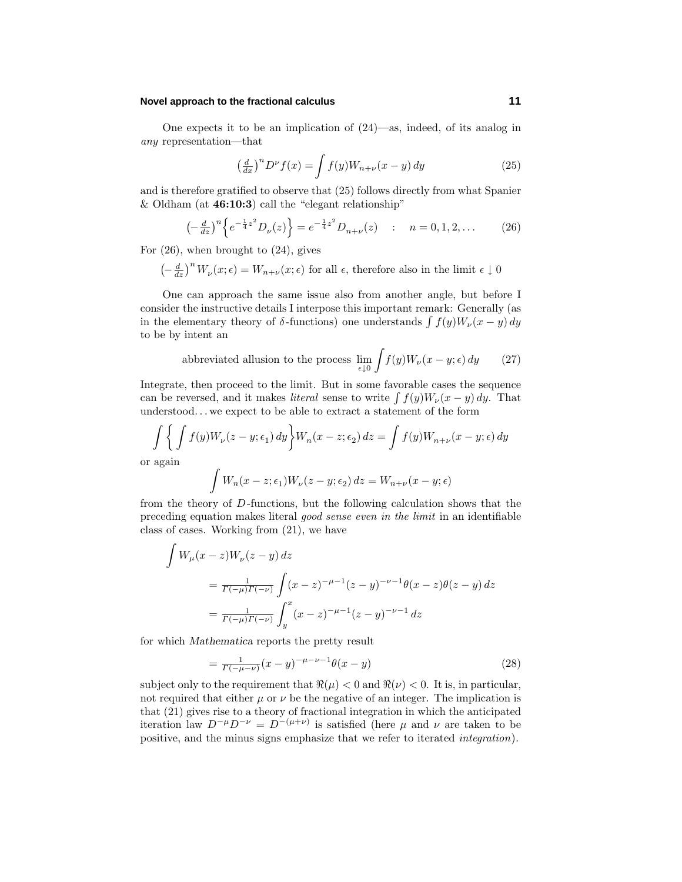One expects it to be an implication of (24)—as, indeed, of its analog in any representation—that

$$
\left(\frac{d}{dx}\right)^n D^\nu f(x) = \int f(y) W_{n+\nu}(x-y) \, dy \tag{25}
$$

and is therefore gratified to observe that  $(25)$  follows directly from what Spanier  $\&$  Oldham (at **46:10:3**) call the "elegant relationship"

$$
\left(-\frac{d}{dz}\right)^n \left\{ e^{-\frac{1}{4}z^2} D_\nu(z) \right\} = e^{-\frac{1}{4}z^2} D_{n+\nu}(z) \quad : \quad n = 0, 1, 2, \dots \tag{26}
$$

For  $(26)$ , when brought to  $(24)$ , gives

$$
\left(-\frac{d}{dz}\right)^n W_\nu(x;\epsilon) = W_{n+\nu}(x;\epsilon)
$$
 for all  $\epsilon,$  therefore also in the limit  $\epsilon \downarrow 0$ 

One can approach the same issue also from another angle, but before I consider the instructive details I interpose this important remark: Generally (as in the elementary theory of  $\delta$ -functions) one understands  $\int f(y)W_{\nu}(x-y) dy$ to be by intent an

abbreviated allusion to the process 
$$
\lim_{\epsilon \downarrow 0} \int f(y) W_{\nu}(x - y; \epsilon) dy
$$
 (27)

Integrate, then proceed to the limit. But in some favorable cases the sequence can be reversed, and it makes *literal* sense to write  $\int f(y)W_{\nu}(x-y) dy$ . That understood*...* we expect to be able to extract a statement of the form

$$
\int \left\{ \int f(y)W_{\nu}(z-y;\epsilon_1) dy \right\} W_n(x-z;\epsilon_2) dz = \int f(y)W_{n+\nu}(x-y;\epsilon) dy
$$

or again

$$
\int W_n(x-z;\epsilon_1)W_\nu(z-y;\epsilon_2)\,dz = W_{n+\nu}(x-y;\epsilon)
$$

from the theory of *D*-functions, but the following calculation shows that the preceding equation makes literal good sense even in the limit in an identifiable class of cases. Working from (21), we have

$$
\int W_{\mu}(x-z)W_{\nu}(z-y) dz
$$
\n
$$
= \frac{1}{\Gamma(-\mu)\Gamma(-\nu)} \int (x-z)^{-\mu-1} (z-y)^{-\nu-1} \theta(x-z) \theta(z-y) dz
$$
\n
$$
= \frac{1}{\Gamma(-\mu)\Gamma(-\nu)} \int_{y}^{x} (x-z)^{-\mu-1} (z-y)^{-\nu-1} dz
$$

for which *Mathematica* reports the pretty result

$$
= \frac{1}{\Gamma(-\mu - \nu)} (x - y)^{-\mu - \nu - 1} \theta(x - y) \tag{28}
$$

subject only to the requirement that  $\Re(\mu) < 0$  and  $\Re(\nu) < 0$ . It is, in particular, not required that either  $\mu$  or  $\nu$  be the negative of an integer. The implication is that  $(21)$  gives rise to a theory of fractional integration in which the anticipated iteration law  $D^{-\mu}D^{-\nu} = D^{-(\mu+\nu)}$  is satisfied (here  $\mu$  and  $\nu$  are taken to be positive, and the minus signs emphasize that we refer to iterated integration).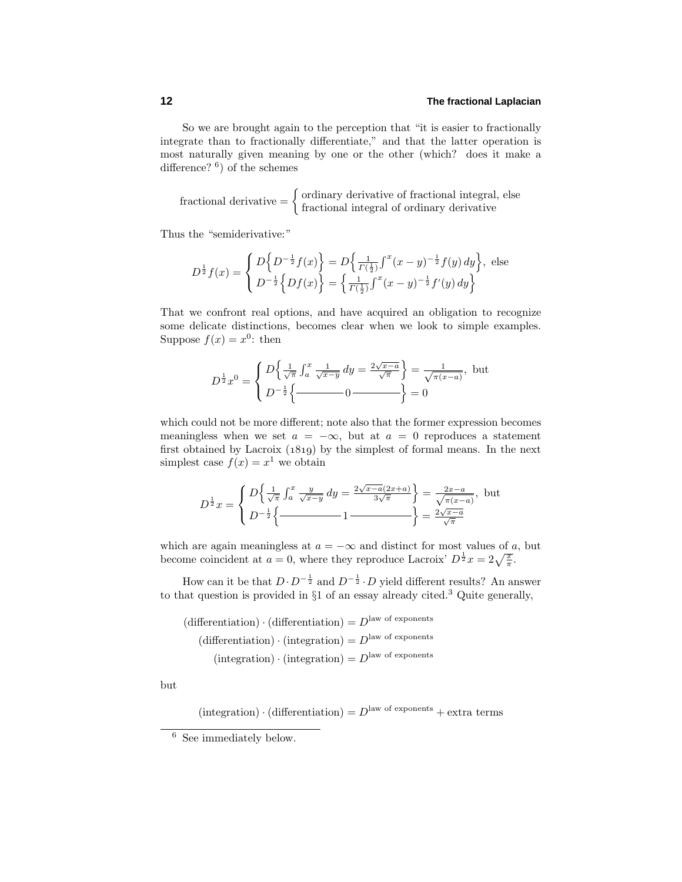So we are brought again to the perception that "it is easier to fractionally integrate than to fractionally differentiate," and that the latter operation is most naturally given meaning by one or the other (which? does it make a difference?  $6$ ) of the schemes

fractional derivative = 
$$
\begin{cases} \text{ordinary derivative of fractional integral, else} \\ \text{fractional integral of ordinary derivative} \end{cases}
$$

Thus the "semiderivative:"

$$
D^{\frac{1}{2}}f(x) = \begin{cases} D\left\{D^{-\frac{1}{2}}f(x)\right\} = D\left\{\frac{1}{\Gamma(\frac{1}{2})}\int^{x}(x-y)^{-\frac{1}{2}}f(y) dy\right\}, \text{ else} \\ D^{-\frac{1}{2}}\left\{Df(x)\right\} = \left\{\frac{1}{\Gamma(\frac{1}{2})}\int^{x}(x-y)^{-\frac{1}{2}}f'(y) dy\right\} \end{cases}
$$

That we confront real options, and have acquired an obligation to recognize some delicate distinctions, becomes clear when we look to simple examples. Suppose  $f(x) = x^0$ : then

$$
D^{\frac{1}{2}}x^0 = \begin{cases} D\left\{\frac{1}{\sqrt{\pi}} \int_a^x \frac{1}{\sqrt{x-y}} dy = \frac{2\sqrt{x-a}}{\sqrt{\pi}} \right\} = \frac{1}{\sqrt{\pi(x-a)}}, \text{ but} \\ D^{-\frac{1}{2}}\left\{\frac{1}{\sqrt{\pi(x-a)}} - 0 \right\} = 0 \end{cases}
$$

which could not be more different; note also that the former expression becomes meaningless when we set  $a = -\infty$ , but at  $a = 0$  reproduces a statement first obtained by Lacroix  $(1819)$  by the simplest of formal means. In the next simplest case  $f(x) = x^1$  we obtain

$$
D^{\frac{1}{2}}x = \begin{cases} D\left\{\frac{1}{\sqrt{\pi}} \int_{a}^{x} \frac{y}{\sqrt{x-y}} dy = \frac{2\sqrt{x-a}(2x+a)}{3\sqrt{\pi}} \right\} = \frac{2x-a}{\sqrt{\pi(x-a)}}, \text{ but} \\ D^{-\frac{1}{2}}\left\{\frac{y}{\sqrt{x-a}} - 1 \right\} = \frac{2\sqrt{x-a}}{\sqrt{\pi}} \end{cases}
$$

which are again meaningless at  $a = -\infty$  and distinct for most values of a, but become coincident at  $a = 0$ , where they reproduce Lacroix'  $D^{\frac{1}{2}}x = 2\sqrt{\frac{x}{\pi}}$ .

How can it be that  $D \cdot D^{-\frac{1}{2}}$  and  $D^{-\frac{1}{2}} \cdot D$  yield different results? An answer to that question is provided in  $\S1$  of an essay already cited.<sup>3</sup> Quite generally,

 $\text{(differentiation)} \cdot \text{(differentiation)} = D^{\text{law of exponents}}$  $(differential) \cdot (integration) = D<sup>law of exponents</sup>$  $(integration) \cdot (integration) = D<sup>law of exponents</sup>$ 

but

 $(integration) \cdot (differentiation) = D<sup>law of exponents</sup> + extra terms$ 

<sup>6</sup> See immediately below.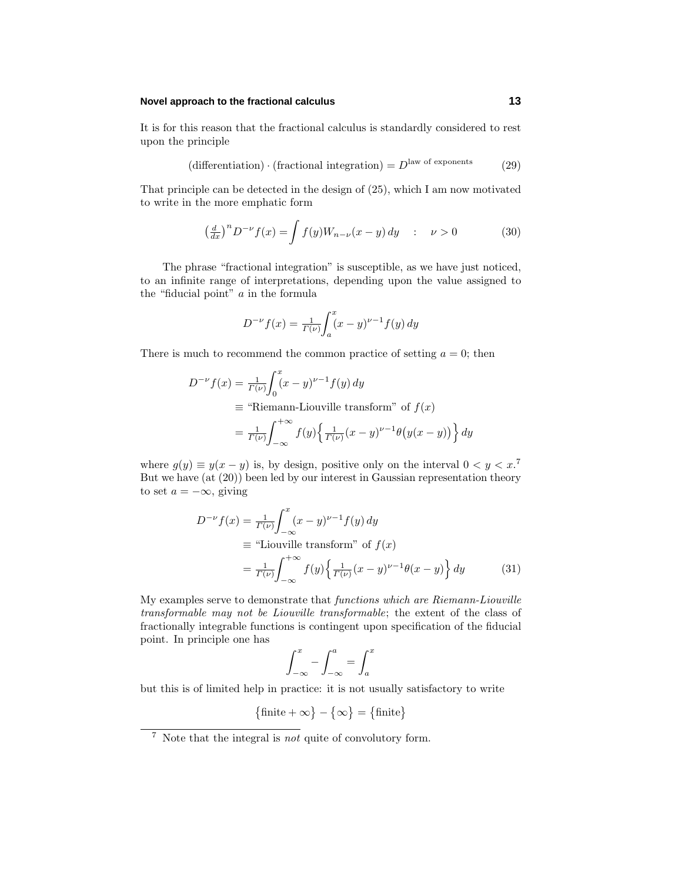It is for this reason that the fractional calculus is standardly considered to rest upon the principle

$$
(\text{differentiation}) \cdot (\text{fractional integration}) = D^{\text{law of exponents}} \tag{29}
$$

That principle can be detected in the design of (25), which I am now motivated to write in the more emphatic form

$$
\left(\frac{d}{dx}\right)^n D^{-\nu} f(x) = \int f(y) W_{n-\nu}(x-y) dy \quad : \quad \nu > 0 \tag{30}
$$

The phrase "fractional integration" is susceptible, as we have just noticed, to an infinite range of interpretations, depending upon the value assigned to the "fiducial point" *a* in the formula

$$
D^{-\nu} f(x) = \frac{1}{\Gamma(\nu)} \int_a^x (x - y)^{\nu - 1} f(y) \, dy
$$

There is much to recommend the common practice of setting  $a = 0$ ; then

$$
D^{-\nu} f(x) = \frac{1}{\Gamma(\nu)} \int_0^x (x - y)^{\nu - 1} f(y) dy
$$
  
\n
$$
\equiv \text{``Riemann-Liouville transform'' of } f(x)
$$
  
\n
$$
= \frac{1}{\Gamma(\nu)} \int_{-\infty}^{+\infty} f(y) \left\{ \frac{1}{\Gamma(\nu)} (x - y)^{\nu - 1} \theta \big( y(x - y) \big) \right\} dy
$$

where  $g(y) \equiv y(x - y)$  is, by design, positive only on the interval  $0 < y < x$ <sup>7</sup>. But we have (at (20)) been led by our interest in Gaussian representation theory to set  $a = -\infty$ , giving

$$
D^{-\nu} f(x) = \frac{1}{\Gamma(\nu)} \int_{-\infty}^{x} (x - y)^{\nu - 1} f(y) dy
$$
  
\n
$$
\equiv \text{``Liouville transform'' of } f(x)
$$
  
\n
$$
= \frac{1}{\Gamma(\nu)} \int_{-\infty}^{+\infty} f(y) \left\{ \frac{1}{\Gamma(\nu)} (x - y)^{\nu - 1} \theta(x - y) \right\} dy \tag{31}
$$

My examples serve to demonstrate that functions which are Riemann-Liouville transformable may not be Liouville transformable; the extent of the class of fractionally integrable functions is contingent upon specification of the fiducial point. In principle one has

$$
\int_{-\infty}^{x} - \int_{-\infty}^{a} = \int_{a}^{x}
$$

but this is of limited help in practice: it is not usually satisfactory to write

$$
\{\text{finite} + \infty\} - \{\infty\} = \{\text{finite}\}\
$$

<sup>7</sup> Note that the integral is not quite of convolutory form.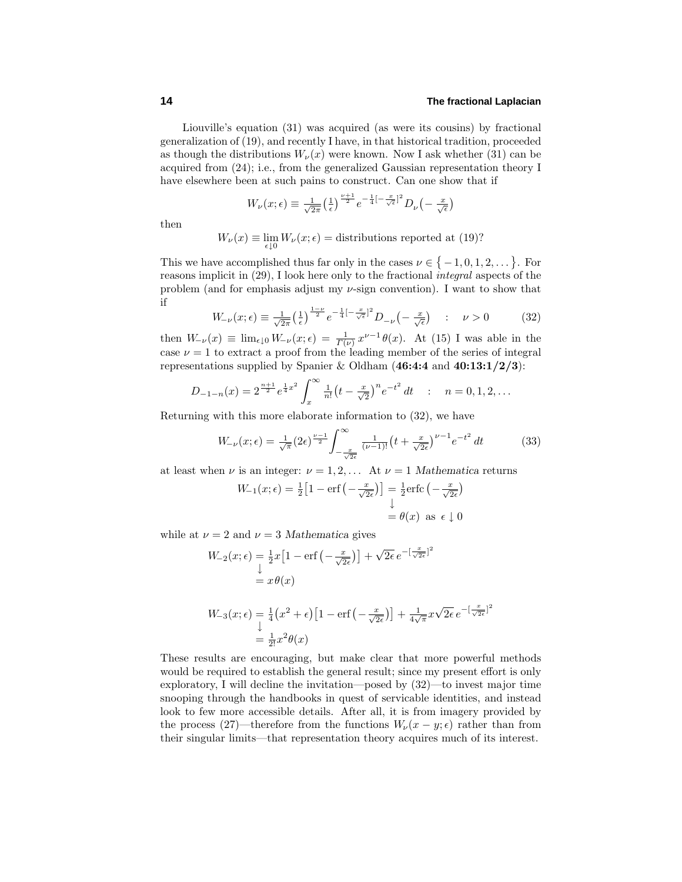Liouville's equation  $(31)$  was acquired (as were its cousins) by fractional generalization of (19), and recently I have, in that historical tradition, proceeded as though the distributions  $W_{\nu}(x)$  were known. Now I ask whether (31) can be acquired from (24); i.e., from the generalized Gaussian representation theory I have elsewhere been at such pains to construct. Can one show that if

$$
W_{\nu}(x;\epsilon) \equiv \frac{1}{\sqrt{2\pi}} \left(\frac{1}{\epsilon}\right)^{\frac{\nu+1}{2}} e^{-\frac{1}{4}\left[-\frac{x}{\sqrt{\epsilon}}\right]^2} D_{\nu}\left(-\frac{x}{\sqrt{\epsilon}}\right)
$$

then

$$
W_{\nu}(x) \equiv \lim_{\epsilon \downarrow 0} W_{\nu}(x;\epsilon) = \text{distributions reported at (19)}
$$
?

This we have accomplished thus far only in the cases  $\nu \in \{-1, 0, 1, 2, \dots\}$ . For reasons implicit in (29), I look here only to the fractional integral aspects of the problem (and for emphasis adjust my *ν*-sign convention). I want to show that if

$$
W_{-\nu}(x;\epsilon) \equiv \frac{1}{\sqrt{2\pi}} \left(\frac{1}{\epsilon}\right)^{\frac{1-\nu}{2}} e^{-\frac{1}{4}\left[-\frac{x}{\sqrt{\epsilon}}\right]^2} D_{-\nu}\left(-\frac{x}{\sqrt{\epsilon}}\right) \quad : \quad \nu > 0 \tag{32}
$$

then  $W_{-\nu}(x) \equiv \lim_{\epsilon \downarrow 0} W_{-\nu}(x;\epsilon) = \frac{1}{\Gamma(\nu)} x^{\nu-1} \theta(x)$ . At (15) I was able in the case  $\nu = 1$  to extract a proof from the leading member of the series of integral representations supplied by Spanier & Oldham (**46:4:4** and **40:13:1/2/3**):

$$
D_{-1-n}(x) = 2^{\frac{n+1}{2}} e^{\frac{1}{4}x^2} \int_x^{\infty} \frac{1}{n!} \left(t - \frac{x}{\sqrt{2}}\right)^n e^{-t^2} dt \quad : \quad n = 0, 1, 2, \dots
$$

Returning with this more elaborate information to (32), we have

$$
W_{-\nu}(x;\epsilon) = \frac{1}{\sqrt{\pi}} (2\epsilon)^{\frac{\nu-1}{2}} \int_{-\frac{x}{\sqrt{2\epsilon}}}^{\infty} \frac{1}{(\nu-1)!} \left(t + \frac{x}{\sqrt{2\epsilon}}\right)^{\nu-1} e^{-t^2} dt \tag{33}
$$

at least when *ν* is an integer:  $\nu = 1, 2, \ldots$  At  $\nu = 1$  *Mathematica* returns

$$
W_{-1}(x; \epsilon) = \frac{1}{2} \left[ 1 - \text{erf}\left( -\frac{x}{\sqrt{2\epsilon}} \right) \right] = \frac{1}{2} \text{erfc}\left( -\frac{x}{\sqrt{2\epsilon}} \right)
$$

$$
= \theta(x) \text{ as } \epsilon \downarrow 0
$$

while at  $\nu = 2$  and  $\nu = 3$  *Mathematica* gives

$$
W_{-2}(x; \epsilon) = \frac{1}{2}x \left[1 - \text{erf}\left(-\frac{x}{\sqrt{2\epsilon}}\right)\right] + \sqrt{2\epsilon} e^{-\left[\frac{x}{\sqrt{2\epsilon}}\right]^2}
$$
  
\n
$$
= x \theta(x)
$$
  
\n
$$
W_{-3}(x; \epsilon) = \frac{1}{4}\left(x^2 + \epsilon\right)\left[1 - \text{erf}\left(-\frac{x}{\sqrt{2\epsilon}}\right)\right] + \frac{1}{4\sqrt{\pi}}x\sqrt{2\epsilon} e^{-\left[\frac{x}{\sqrt{2\epsilon}}\right]^2}
$$
  
\n
$$
= \frac{1}{2!}x^2\theta(x)
$$

These results are encouraging, but make clear that more powerful methods would be required to establish the general result; since my present effort is only exploratory, I will decline the invitation—posed by (32)—to invest major time snooping through the handbooks in quest of servicable identities, and instead look to few more accessible details. After all, it is from imagery provided by the process (27)—therefore from the functions  $W_{\nu}(x-y;\epsilon)$  rather than from their singular limits—that representation theory acquires much of its interest.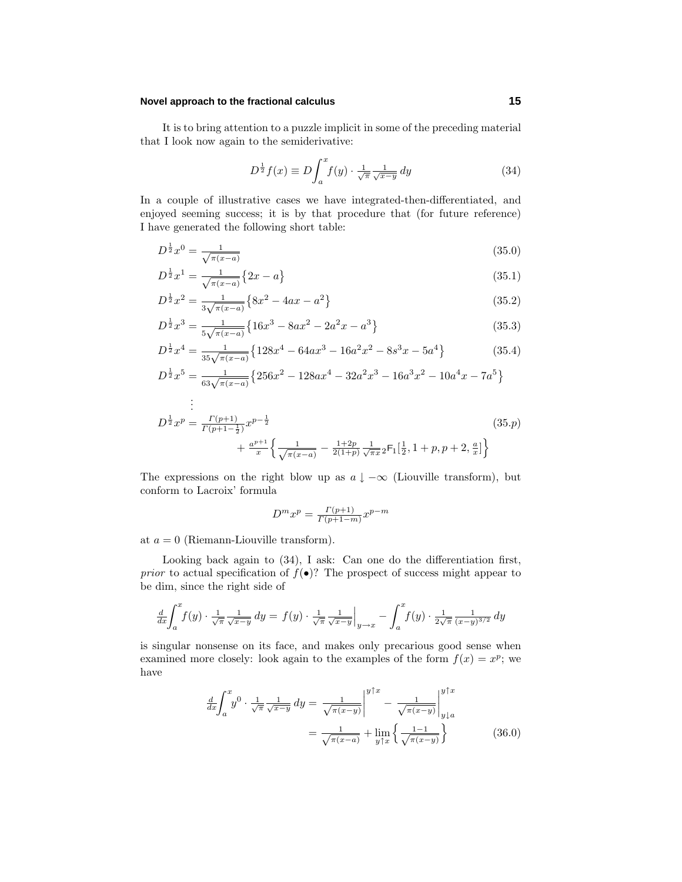It is to bring attention to a puzzle implicit in some of the preceding material that I look now again to the semiderivative:

$$
D^{\frac{1}{2}}f(x) \equiv D \int_{a}^{x} f(y) \cdot \frac{1}{\sqrt{\pi}} \frac{1}{\sqrt{x-y}} dy
$$
 (34)

In a couple of illustrative cases we have integrated-then-differentiated, and enjoyed seeming success; it is by that procedure that (for future reference) I have generated the following short table:

$$
D^{\frac{1}{2}}x^0 = \frac{1}{\sqrt{\pi(x-a)}}\tag{35.0}
$$

$$
D^{\frac{1}{2}}x^1 = \frac{1}{\sqrt{\pi(x-a)}} \{2x - a\}
$$
\n(35.1)

$$
D^{\frac{1}{2}}x^2 = \frac{1}{3\sqrt{\pi(x-a)}}\left\{8x^2 - 4ax - a^2\right\}
$$
\n(35.2)

$$
D^{\frac{1}{2}}x^3 = \frac{1}{5\sqrt{\pi(x-a)}}\left\{16x^3 - 8ax^2 - 2a^2x - a^3\right\}
$$
 (35.3)

$$
D^{\frac{1}{2}}x^4 = \frac{1}{35\sqrt{\pi(x-a)}}\left\{128x^4 - 64ax^3 - 16a^2x^2 - 8s^3x - 5a^4\right\}
$$
 (35.4)

$$
D^{\frac{1}{2}}x^5 = \frac{1}{63\sqrt{\pi(x-a)}}\left\{256x^2 - 128ax^4 - 32a^2x^3 - 16a^3x^2 - 10a^4x - 7a^5\right\}
$$
  
...

$$
D^{\frac{1}{2}}x^p = \frac{\Gamma(p+1)}{\Gamma(p+1-\frac{1}{2})}x^{p-\frac{1}{2}} + \frac{a^{p+1}}{x} \left\{ \frac{1}{\sqrt{\pi(x-a)}} - \frac{1+2p}{2(1+p)} \frac{1}{\sqrt{\pi x}} {}_2F_1\left[\frac{1}{2}, 1+p, p+2, \frac{a}{x}\right] \right\}
$$
(35. p)

The expressions on the right blow up as  $a \downarrow -\infty$  (Liouville transform), but conform to Lacroix' formula

$$
D^m x^p = \frac{\Gamma(p+1)}{\Gamma(p+1-m)} x^{p-m}
$$

at  $a = 0$  (Riemann-Liouville transform).

Looking back again to (34), I ask: Can one do the differentiation first, *prior* to actual specification of  $f(\bullet)$ ? The prospect of success might appear to be dim, since the right side of

$$
\frac{d}{dx}\int_{a}^{x}f(y)\cdot\frac{1}{\sqrt{\pi}}\frac{1}{\sqrt{x-y}}\,dy = f(y)\cdot\frac{1}{\sqrt{\pi}}\frac{1}{\sqrt{x-y}}\Big|_{y\to x} - \int_{a}^{x}f(y)\cdot\frac{1}{2\sqrt{\pi}}\frac{1}{(x-y)^{3/2}}\,dy
$$

is singular nonsense on its face, and makes only precarious good sense when examined more closely: look again to the examples of the form  $f(x) = x^p$ ; we have

$$
\frac{d}{dx}\int_{a}^{x}y^{0}\cdot\frac{1}{\sqrt{\pi}}\frac{1}{\sqrt{x-y}}\,dy = \frac{1}{\sqrt{\pi(x-y)}}\Big|_{y=a}^{y\uparrow x} - \frac{1}{\sqrt{\pi(x-y)}}\Big|_{y\downarrow a}^{y\uparrow x}
$$
\n
$$
= \frac{1}{\sqrt{\pi(x-a)}} + \lim_{y\uparrow x}\left\{\frac{1}{\sqrt{\pi(x-y)}}\right\} \tag{36.0}
$$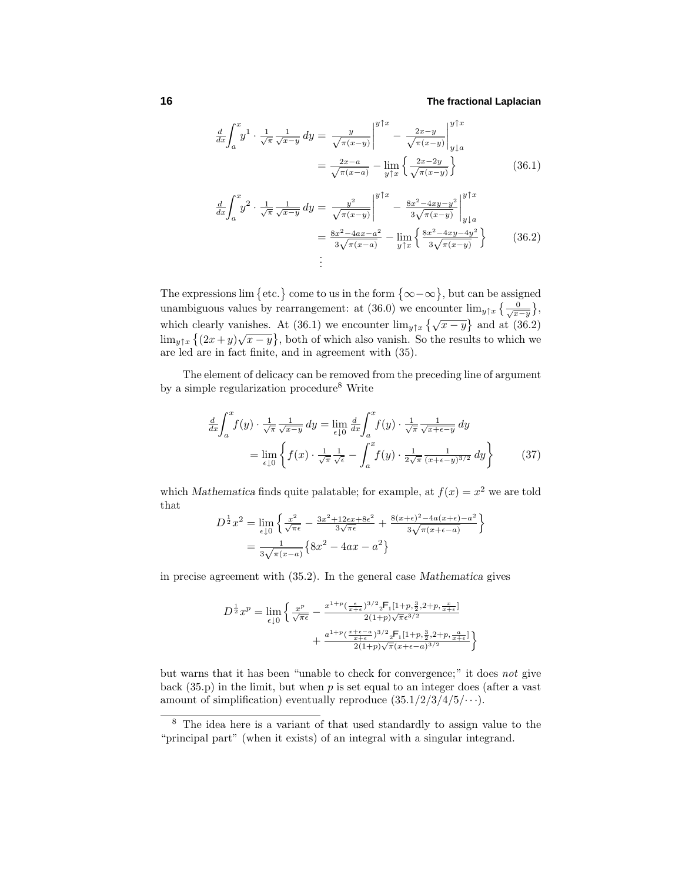$$
\frac{d}{dx} \int_{a}^{x} y^{1} \cdot \frac{1}{\sqrt{\pi}} \frac{1}{\sqrt{x-y}} dy = \frac{y}{\sqrt{\pi(x-y)}} \Big|_{a}^{y \uparrow x} - \frac{2x-y}{\sqrt{\pi(x-y)}} \Big|_{y \downarrow a}^{y \uparrow x}
$$
\n
$$
= \frac{2x-a}{\sqrt{\pi(x-a)}} - \lim_{y \uparrow x} \left\{ \frac{2x-2y}{\sqrt{\pi(x-y)}} \right\} \tag{36.1}
$$

$$
\frac{d}{dx}\int_{a}^{x} y^{2} \cdot \frac{1}{\sqrt{\pi}} \frac{1}{\sqrt{x-y}} dy = \frac{y^{2}}{\sqrt{\pi(x-y)}} \Big|_{a}^{y \uparrow x} - \frac{8x^{2} - 4xy - y^{2}}{3\sqrt{\pi(x-y)}} \Big|_{y \downarrow a}^{y \uparrow x}
$$
\n
$$
= \frac{8x^{2} - 4ax - a^{2}}{3\sqrt{\pi(x-a)}} - \lim_{y \uparrow x} \left\{ \frac{8x^{2} - 4xy - 4y^{2}}{3\sqrt{\pi(x-y)}} \right\} \tag{36.2}
$$
\n
$$
\vdots
$$

The expressions lim  $\{\text{etc.}\}\)$  come to us in the form  $\{\infty-\infty\}$ , but can be assigned unambiguous values by rearrangement: at (36.0) we encounter  $\lim_{y \uparrow x} \left\{ \frac{0}{\sqrt{x-y}} \right\}$ , which clearly vanishes. At (36.1) we encounter  $\lim_{y \uparrow x} {\sqrt{x-y}}$  and at (36.2) lim<sub>y</sub><sub>†*x*</sub>  $\{(2x+y)\sqrt{x-y}\}$ , both of which also vanish. So the results to which we are led are in fact finite, and in agreement with (35).

The element of delicacy can be removed from the preceding line of argument by a simple regularization procedure<sup>8</sup> Write

$$
\frac{d}{dx}\int_{a}^{x} f(y) \cdot \frac{1}{\sqrt{\pi}} \frac{1}{\sqrt{x-y}} dy = \lim_{\epsilon \downarrow 0} \frac{d}{dx} \int_{a}^{x} f(y) \cdot \frac{1}{\sqrt{\pi}} \frac{1}{\sqrt{x+\epsilon-y}} dy
$$

$$
= \lim_{\epsilon \downarrow 0} \left\{ f(x) \cdot \frac{1}{\sqrt{\pi}} \frac{1}{\sqrt{\epsilon}} - \int_{a}^{x} f(y) \cdot \frac{1}{2\sqrt{\pi}} \frac{1}{(x+\epsilon-y)^{3/2}} dy \right\} \tag{37}
$$

which *Mathematica* finds quite palatable; for example, at  $f(x) = x^2$  we are told that

$$
D^{\frac{1}{2}}x^2 = \lim_{\epsilon \downarrow 0} \left\{ \frac{x^2}{\sqrt{\pi \epsilon}} - \frac{3x^2 + 12\epsilon x + 8\epsilon^2}{3\sqrt{\pi \epsilon}} + \frac{8(x+\epsilon)^2 - 4a(x+\epsilon) - a^2}{3\sqrt{\pi (x+\epsilon-a)}} \right\}
$$
  
= 
$$
\frac{1}{3\sqrt{\pi (x-a)}} \left\{ 8x^2 - 4ax - a^2 \right\}
$$

in precise agreement with (35.2). In the general case *Mathematica* gives

$$
D^{\frac{1}{2}}x^p = \lim_{\epsilon \downarrow 0} \left\{ \frac{x^p}{\sqrt{\pi \epsilon}} - \frac{x^{1+p}(\frac{\epsilon}{x+\epsilon})^{3/2} 2^{\epsilon} \Gamma_1[1+p, \frac{3}{2}, 2+p, \frac{x}{x+\epsilon}]}{2(1+p)\sqrt{\pi} \epsilon^{3/2}} + \frac{a^{1+p}(\frac{x+\epsilon-a}{x+\epsilon})^{3/2} 2^{\epsilon} \Gamma_1[1+p, \frac{3}{2}, 2+p, \frac{a}{x+\epsilon}]}{2(1+p)\sqrt{\pi} (x+\epsilon-a)^{3/2}} \right\}
$$

but warns that it has been "unable to check for convergence;" it does not give back  $(35. p)$  in the limit, but when  $p$  is set equal to an integer does (after a vast amount of simplification) eventually reproduce  $(35.1/2/3/4/5/\cdots)$ .

<sup>8</sup> The idea here is a variant of that used standardly to assign value to the "principal part" (when it exists) of an integral with a singular integrand.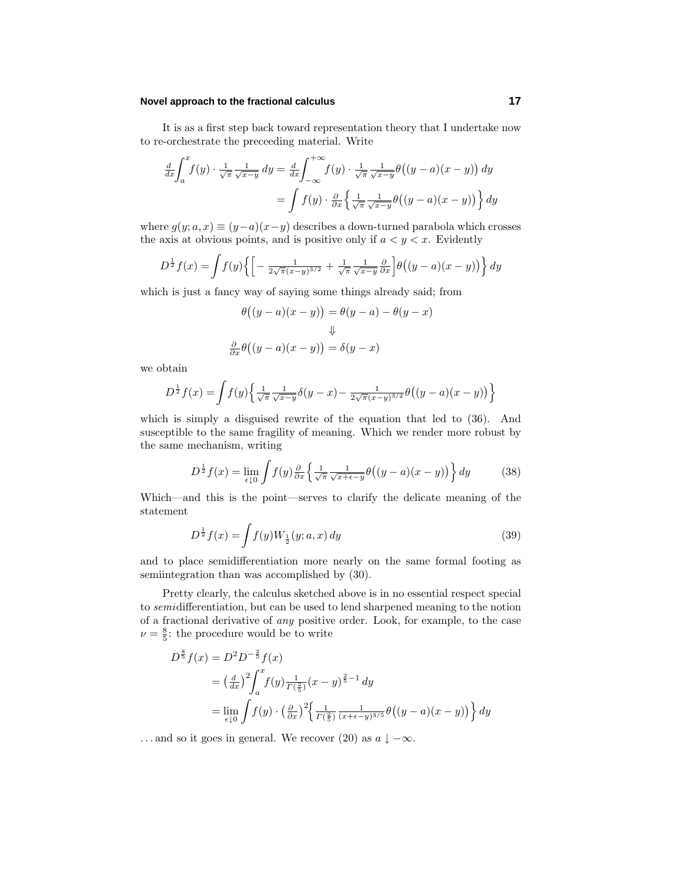It is as a first step back toward representation theory that I undertake now to re-orchestrate the preceeding material. Write

$$
\frac{d}{dx} \int_{a}^{x} f(y) \cdot \frac{1}{\sqrt{\pi}} \frac{1}{\sqrt{x-y}} dy = \frac{d}{dx} \int_{-\infty}^{+\infty} f(y) \cdot \frac{1}{\sqrt{\pi}} \frac{1}{\sqrt{x-y}} \theta((y-a)(x-y)) dy
$$

$$
= \int f(y) \cdot \frac{\partial}{\partial x} \left\{ \frac{1}{\sqrt{\pi}} \frac{1}{\sqrt{x-y}} \theta((y-a)(x-y)) \right\} dy
$$

where  $g(y; a, x) \equiv (y - a)(x - y)$  describes a down-turned parabola which crosses the axis at obvious points, and is positive only if  $a < y < x$ . Evidently

$$
D^{\frac{1}{2}}f(x) = \int f(y) \left\{ \left[ -\frac{1}{2\sqrt{\pi}(x-y)^{3/2}} + \frac{1}{\sqrt{\pi}} \frac{1}{\sqrt{x-y}} \frac{\partial}{\partial x} \right] \theta \left( (y-a)(x-y) \right) \right\} dy
$$

which is just a fancy way of saying some things already said; from

$$
\theta((y-a)(x-y)) = \theta(y-a) - \theta(y-x)
$$
  

$$
\Downarrow
$$
  

$$
\frac{\partial}{\partial x}\theta((y-a)(x-y)) = \delta(y-x)
$$

we obtain

$$
D^{\frac{1}{2}}f(x) = \int f(y) \left\{ \frac{1}{\sqrt{\pi}} \frac{1}{\sqrt{x-y}} \delta(y-x) - \frac{1}{2\sqrt{\pi}(x-y)^{3/2}} \theta((y-a)(x-y)) \right\}
$$

which is simply a disguised rewrite of the equation that led to (36). And susceptible to the same fragility of meaning. Which we render more robust by the same mechanism, writing

$$
D^{\frac{1}{2}}f(x) = \lim_{\epsilon \downarrow 0} \int f(y) \frac{\partial}{\partial x} \left\{ \frac{1}{\sqrt{\pi}} \frac{1}{\sqrt{x + \epsilon - y}} \theta((y - a)(x - y)) \right\} dy \tag{38}
$$

Which—and this is the point—serves to clarify the delicate meaning of the statement

$$
D^{\frac{1}{2}}f(x) = \int f(y)W_{\frac{1}{2}}(y; a, x) dy
$$
\n(39)

and to place semidifferentiation more nearly on the same formal footing as semiintegration than was accomplished by (30).

Pretty clearly, the calculus sketched above is in no essential respect special to semidifferentiation, but can be used to lend sharpened meaning to the notion of a fractional derivative of any positive order. Look, for example, to the case  $\nu = \frac{8}{5}$ : the procedure would be to write

$$
D^{\frac{8}{5}}f(x) = D^2 D^{-\frac{2}{5}}f(x)
$$
  
=  $\left(\frac{d}{dx}\right)^2 \int_a^x f(y) \frac{1}{\Gamma(\frac{2}{5})}(x-y)^{\frac{2}{5}-1} dy$   
=  $\lim_{\epsilon \downarrow 0} \int f(y) \cdot \left(\frac{\partial}{\partial x}\right)^2 \left\{\frac{1}{\Gamma(\frac{2}{5})} \frac{1}{(x+\epsilon-y)^{3/5}} \theta\left((y-a)(x-y)\right)\right\} dy$ 

*...* and so it goes in general. We recover (20) as  $a \downarrow -\infty$ .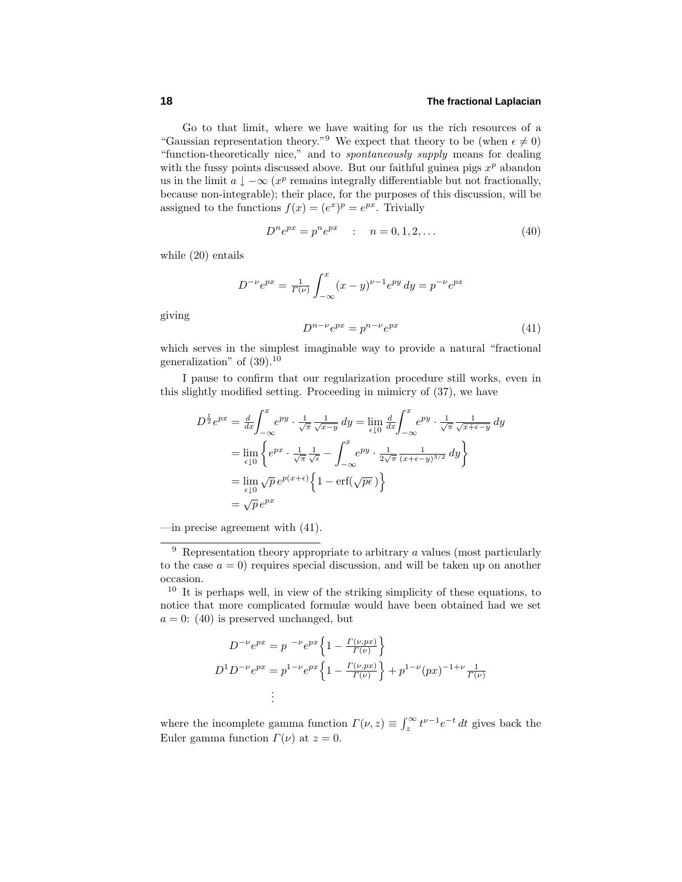Go to that limit, where we have waiting for us the rich resources of a "Gaussian representation theory."<sup>9</sup> We expect that theory to be (when  $\epsilon \neq 0$ ) "function-theoretically nice," and to spontaneously supply means for dealing with the fussy points discussed above. But our faithful guinea pigs  $x^p$  abandon us in the limit  $a \downarrow -\infty$  ( $x^p$  remains integrally differentiable but not fractionally, because non-integrable); their place, for the purposes of this discussion, will be assigned to the functions  $f(x)=(e^x)^p=e^{px}$ . Trivially

$$
D^n e^{px} = p^n e^{px} \qquad : \quad n = 0, 1, 2, \dots \tag{40}
$$

while  $(20)$  entails

giving

$$
D^{-\nu}e^{px} = \frac{1}{\Gamma(\nu)} \int_{-\infty}^{x} (x - y)^{\nu - 1} e^{py} dy = p^{-\nu} e^{px}
$$

$$
D^{n - \nu} e^{px} = p^{n - \nu} e^{px}
$$
(41)

which serves in the simplest imaginable way to provide a natural "fractional generalization" of  $(39).^{10}$ 

I pause to confirm that our regularization procedure still works, even in this slightly modified setting. Proceeding in mimicry of (37), we have

$$
D^{\frac{1}{2}}e^{px} = \frac{d}{dx}\int_{-\infty}^{x} e^{py} \cdot \frac{1}{\sqrt{\pi}} \frac{1}{\sqrt{x-y}} dy = \lim_{\epsilon \downarrow 0} \frac{d}{dx}\int_{-\infty}^{x} e^{py} \cdot \frac{1}{\sqrt{\pi}} \frac{1}{\sqrt{x+\epsilon-y}} dy
$$

$$
= \lim_{\epsilon \downarrow 0} \left\{ e^{px} \cdot \frac{1}{\sqrt{\pi}} \frac{1}{\sqrt{\epsilon}} - \int_{-\infty}^{x} e^{py} \cdot \frac{1}{2\sqrt{\pi}} \frac{1}{(x+\epsilon-y)^{3/2}} dy \right\}
$$

$$
= \lim_{\epsilon \downarrow 0} \sqrt{p} e^{p(x+\epsilon)} \left\{ 1 - \text{erf}(\sqrt{p\epsilon}) \right\}
$$

$$
= \sqrt{p} e^{px}
$$

—in precise agreement with (41).

$$
D^{-\nu}e^{px} = p^{-\nu}e^{px} \left\{ 1 - \frac{\Gamma(\nu, px)}{\Gamma(\nu)} \right\}
$$
  

$$
D^{1}D^{-\nu}e^{px} = p^{1-\nu}e^{px} \left\{ 1 - \frac{\Gamma(\nu, px)}{\Gamma(\nu)} \right\} + p^{1-\nu}(px)^{-1+\nu} \frac{1}{\Gamma(\nu)}
$$
  

$$
\vdots
$$

where the incomplete gamma function  $\Gamma(\nu, z) \equiv \int_z^{\infty} t^{\nu-1} e^{-t} dt$  gives back the Euler gamma function  $\Gamma(\nu)$  at  $z=0$ .

<sup>9</sup> Representation theory appropriate to arbitrary *a* values (most particularly to the case  $a = 0$  requires special discussion, and will be taken up on another occasion.

<sup>10</sup> It is perhaps well, in view of the striking simplicity of these equations, to notice that more complicated formulæ would have been obtained had we set  $a = 0$ : (40) is preserved unchanged, but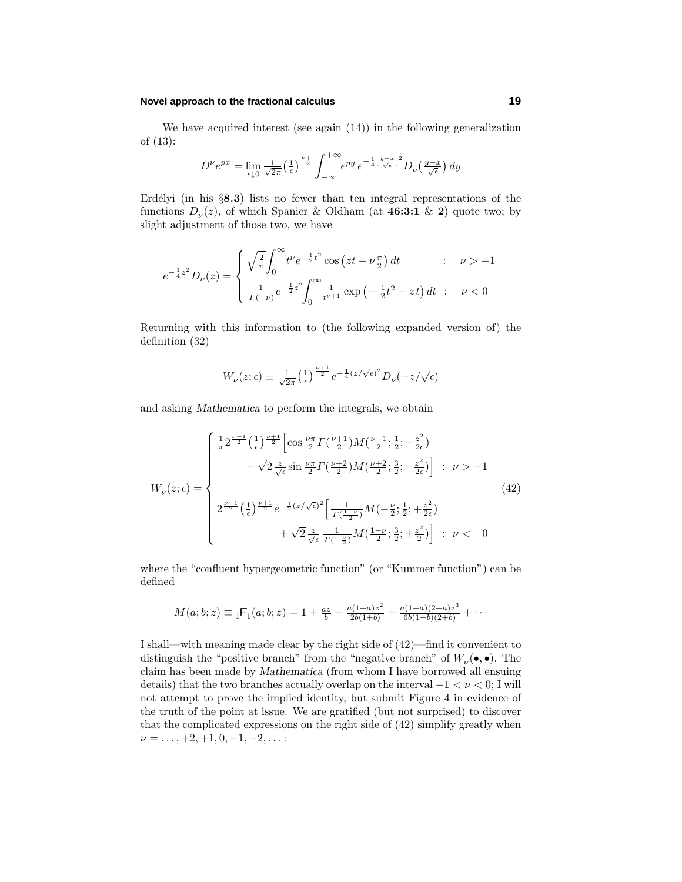We have acquired interest (see again  $(14)$ ) in the following generalization of (13):

$$
D^{\nu}e^{px} = \lim_{\epsilon \downarrow 0} \frac{1}{\sqrt{2\pi}} \left(\frac{1}{\epsilon}\right)^{\frac{\nu+1}{2}} \int_{-\infty}^{+\infty} e^{py} e^{-\frac{1}{4}\left[\frac{y-x}{\sqrt{\epsilon}}\right]^2} D_{\nu}\left(\frac{y-x}{\sqrt{\epsilon}}\right) dy
$$

Erdélyi (in his §8.3) lists no fewer than ten integral representations of the functions  $D_{\nu}(z)$ , of which Spanier & Oldham (at **46:3:1** & **2**) quote two; by slight adjustment of those two, we have

$$
e^{-\frac{1}{4}z^2}D_{\nu}(z) = \begin{cases} \sqrt{\frac{2}{\pi}} \int_0^{\infty} t^{\nu} e^{-\frac{1}{2}t^2} \cos\left(zt - \nu\frac{\pi}{2}\right) dt & ; \quad \nu > -1\\ \frac{1}{\Gamma(-\nu)} e^{-\frac{1}{2}z^2} \int_0^{\infty} \frac{1}{t^{\nu+1}} \exp\left(-\frac{1}{2}t^2 - zt\right) dt & ; \quad \nu < 0 \end{cases}
$$

Returning with this information to (the following expanded version of) the definition (32)

$$
W_{\nu}(z;\epsilon) \equiv \frac{1}{\sqrt{2\pi}} \left(\frac{1}{\epsilon}\right)^{\frac{\nu+1}{2}} e^{-\frac{1}{4}(z/\sqrt{\epsilon})^2} D_{\nu}(-z/\sqrt{\epsilon})
$$

and asking *Mathematica* to perform the integrals, we obtain

$$
W_{\nu}(z;\epsilon) = \begin{cases} \frac{1}{\pi} 2^{\frac{\nu-1}{2}} \left(\frac{1}{\epsilon}\right)^{\frac{\nu+1}{2}} \left[ \cos \frac{\nu \pi}{2} \Gamma\left(\frac{\nu+1}{2}\right) M\left(\frac{\nu+1}{2}; \frac{1}{2}; -\frac{z^2}{2\epsilon}\right) \right. \\ \left. - \sqrt{2} \frac{z}{\sqrt{\epsilon}} \sin \frac{\nu \pi}{2} \Gamma\left(\frac{\nu+2}{2}\right) M\left(\frac{\nu+2}{2}; \frac{3}{2}; -\frac{z^2}{2\epsilon}\right) \right] \; : \; \nu > -1 \\ 2^{\frac{\nu-1}{2}} \left(\frac{1}{\epsilon}\right)^{\frac{\nu+1}{2}} e^{-\frac{1}{2}(z/\sqrt{\epsilon})^2} \left[ \frac{1}{\Gamma\left(\frac{1-\nu}{2}\right)} M\left(-\frac{\nu}{2}; \frac{1}{2}; +\frac{z^2}{2\epsilon}\right) \right] \; : \; \nu < 0 \\ + \sqrt{2} \frac{z}{\sqrt{\epsilon}} \frac{1}{\Gamma\left(-\frac{\nu}{2}\right)} M\left(\frac{1-\nu}{2}; \frac{3}{2}; +\frac{z^2}{2}\right) \right] \; : \; \nu < 0 \end{cases} \tag{42}
$$

where the "confluent hypergeometric function" (or "Kummer function") can be defined

$$
M(a;b;z) \equiv {}_1\mathsf{F}_1(a;b;z) = 1 + \frac{az}{b} + \frac{a(1+a)z^2}{2b(1+b)} + \frac{a(1+a)(2+a)z^3}{6b(1+b)(2+b)} + \cdots
$$

I shall—with meaning made clear by the right side of (42)—find it convenient to distinguish the "positive branch" from the "negative branch" of  $W_{\nu}(\bullet, \bullet)$ . The claim has been made by *Mathematica* (from whom I have borrowed all ensuing details) that the two branches actually overlap on the interval  $-1 < \nu < 0$ ; I will not attempt to prove the implied identity, but submit Figure 4 in evidence of the truth of the point at issue. We are gratified (but not surprised) to discover that the complicated expressions on the right side of  $(42)$  simplify greatly when *ν* = ..., +2, +1, 0, −1, −2, ... :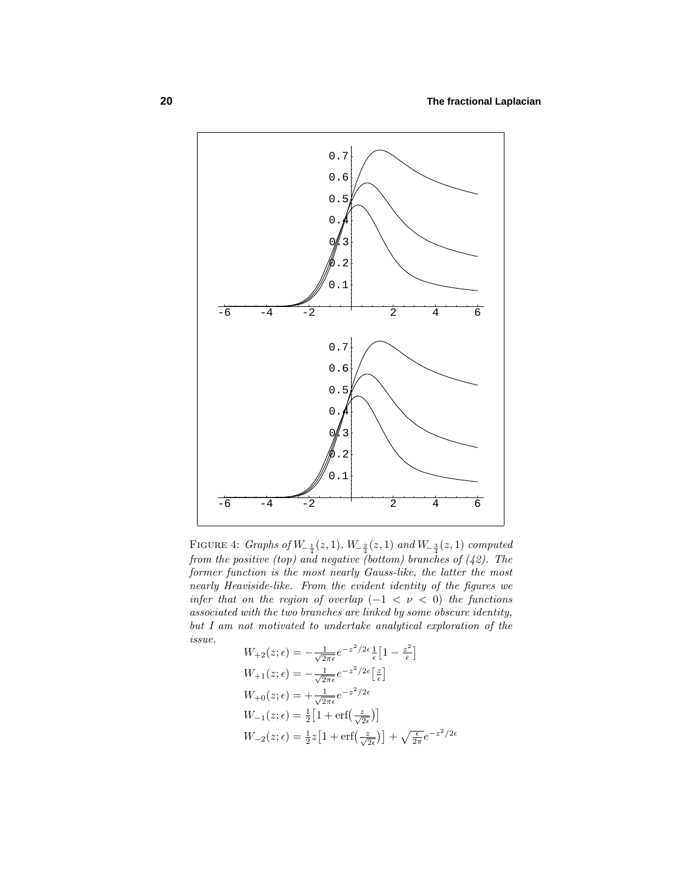

FIGURE 4: *Graphs of*  $W_{-\frac{1}{4}}(z,1)$ ,  $W_{-\frac{2}{4}}(z,1)$  and  $W_{-\frac{3}{4}}(z,1)$  computed from the positive (top) and negative (bottom) branches of  $(42)$ . The former function is the most nearly Gauss-like, the latter the most nearly Heaviside-like. From the evident identity of the figures we infer that on the region of overlap  $(-1 < \nu < 0)$  the functions associated with the two branches are linked by some obscure identity, but I am not motivated to undertake analytical exploration of the issue.

$$
W_{+2}(z; \epsilon) = -\frac{1}{\sqrt{2\pi\epsilon}} e^{-z^2/2\epsilon} \frac{1}{\epsilon} \left[ 1 - \frac{z^2}{\epsilon} \right]
$$
  
\n
$$
W_{+1}(z; \epsilon) = -\frac{1}{\sqrt{2\pi\epsilon}} e^{-z^2/2\epsilon} \left[ \frac{z}{\epsilon} \right]
$$
  
\n
$$
W_{+0}(z; \epsilon) = +\frac{1}{\sqrt{2\pi\epsilon}} e^{-z^2/2\epsilon}
$$
  
\n
$$
W_{-1}(z; \epsilon) = \frac{1}{2} \left[ 1 + \text{erf}\left(\frac{z}{\sqrt{2\epsilon}}\right) \right]
$$
  
\n
$$
W_{-2}(z; \epsilon) = \frac{1}{2} z \left[ 1 + \text{erf}\left(\frac{z}{\sqrt{2\epsilon}}\right) \right] + \sqrt{\frac{\epsilon}{2\pi}} e^{-z^2/2\epsilon}
$$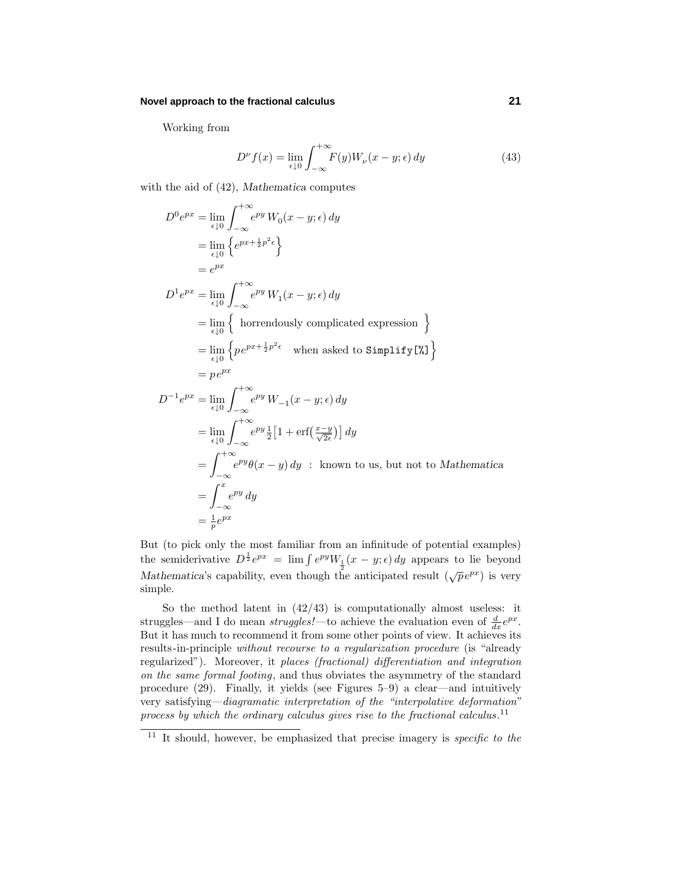Working from

$$
D^{\nu} f(x) = \lim_{\epsilon \downarrow 0} \int_{-\infty}^{+\infty} F(y) W_{\nu}(x - y; \epsilon) dy \tag{43}
$$

with the aid of (42), *Mathematica* computes

$$
D^{0}e^{px} = \lim_{\epsilon \downarrow 0} \int_{-\infty}^{+\infty} e^{py} W_{0}(x - y; \epsilon) dy
$$
  
\n
$$
= \lim_{\epsilon \downarrow 0} \left\{ e^{px + \frac{1}{2}p^{2} \epsilon} \right\}
$$
  
\n
$$
= e^{px}
$$
  
\n
$$
D^{1}e^{px} = \lim_{\epsilon \downarrow 0} \int_{-\infty}^{+\infty} e^{py} W_{1}(x - y; \epsilon) dy
$$
  
\n
$$
= \lim_{\epsilon \downarrow 0} \left\{ \text{horendously complicated expression } \right\}
$$
  
\n
$$
= \lim_{\epsilon \downarrow 0} \left\{ p e^{px + \frac{1}{2}p^{2} \epsilon} \text{ when asked to Simplify} [\%]\right\}
$$
  
\n
$$
= p e^{px}
$$
  
\n
$$
D^{-1}e^{px} = \lim_{\epsilon \downarrow 0} \int_{-\infty}^{+\infty} e^{py} W_{-1}(x - y; \epsilon) dy
$$
  
\n
$$
= \lim_{\epsilon \downarrow 0} \int_{-\infty}^{+\infty} e^{py} \frac{1}{2} [1 + \text{erf}(\frac{x - y}{\sqrt{2} \epsilon})] dy
$$
  
\n
$$
= \int_{-\infty}^{+\infty} e^{py} \theta(x - y) dy \text{ : known to us, but not to Mathematica}
$$
  
\n
$$
= \int_{-\infty}^{x} e^{py} dy
$$
  
\n
$$
= \frac{1}{p} e^{px}
$$

But (to pick only the most familiar from an infinitude of potential examples) the semiderivative  $D^{\frac{1}{2}}e^{px} = \lim_{x \to \infty} \int e^{py}W_1(x - y; \epsilon) dy$  appears to lie beyond Mathematica's capability, even though the anticipated result  $(\sqrt{p}e^{px})$  is very simple.

So the method latent in  $(42/43)$  is computationally almost useless: it struggles—and I do mean *struggles!*—to achieve the evaluation even of  $\frac{d}{dx}e^{px}$ . But it has much to recommend it from some other points of view. It achieves its results-in-principle without recourse to a regularization procedure (is "already regularized"). Moreover, it places (fractional) differentiation and integration on the same formal footing, and thus obviates the asymmetry of the standard procedure (29). Finally, it yields (see Figures 5–9) a clear—and intuitively very satisfying—diagramatic interpretation of the "interpolative deformation" process by which the ordinary calculus gives rise to the fractional calculus.<sup>11</sup>

<sup>&</sup>lt;sup>11</sup> It should, however, be emphasized that precise imagery is *specific to the*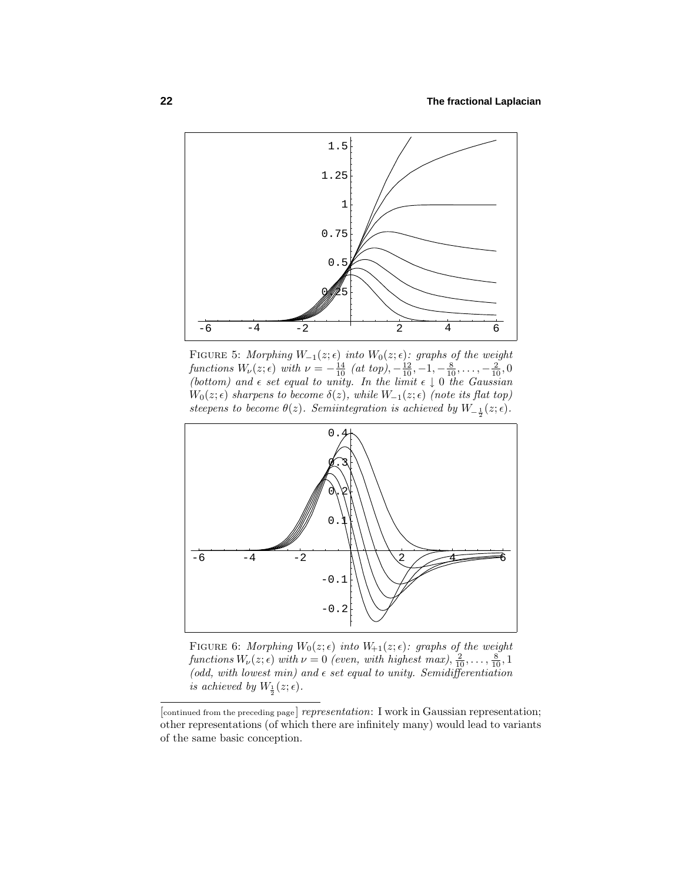

FIGURE 5: Morphing  $W_{-1}(z;\epsilon)$  into  $W_0(z;\epsilon)$ : graphs of the weight  $function s W_{\nu}(z; \epsilon) \text{ with } \nu = -\frac{14}{10} \text{ (at top)}, -\frac{12}{10}, -1, -\frac{8}{10}, \ldots, -\frac{2}{10}, 0$ (bottom) and  $\epsilon$  set equal to unity. In the limit  $\epsilon \downarrow 0$  the Gaussian  $W_0(z; \epsilon)$  sharpens to become  $\delta(z)$ , while  $W_{-1}(z; \epsilon)$  (note its flat top) steepens to become  $\theta(z)$ . Semiintegration is achieved by  $W_{-\frac{1}{2}}(z;\epsilon)$ .



FIGURE 6: Morphing  $W_0(z;\epsilon)$  into  $W_{+1}(z;\epsilon)$ : graphs of the weight  $function s W_{\nu}(z; \epsilon) \text{ with } \nu = 0 \text{ (even, with highest max)}, \frac{2}{10}, \ldots, \frac{8}{10}, 1$ (odd, with lowest min) and  $\epsilon$  set equal to unity. Semidifferentiation is achieved by  $W_{\frac{1}{2}}(z;\epsilon)$ .

 $[$  continued from the preceding page  $]$  representation: I work in Gaussian representation; other representations (of which there are infinitely many) would lead to variants of the same basic conception.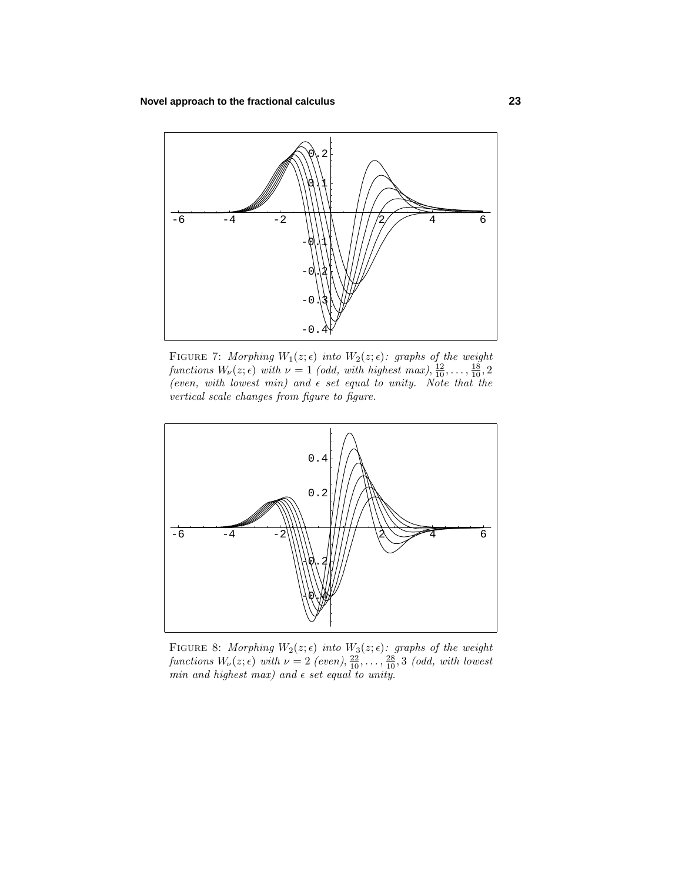

FIGURE 7: Morphing  $W_1(z;\epsilon)$  into  $W_2(z;\epsilon)$ : graphs of the weight functions  $W_{\nu}(z; \epsilon)$  with  $\nu = 1$  (odd, with highest max),  $\frac{12}{10}, \ldots, \frac{18}{10}, 2$ (even, with lowest min) and  $\epsilon$  set equal to unity. Note that the vertical scale changes from figure to figure.



FIGURE 8: Morphing  $W_2(z;\epsilon)$  into  $W_3(z;\epsilon)$ : graphs of the weight  $\mathit{functions}\ W_{\nu}(z;\epsilon)\ with\ \nu=2\ (even), \frac{22}{10}, \ldots, \frac{28}{10}, 3\ (odd, with\ lowest)$ min and highest max) and  $\epsilon$  set equal to unity.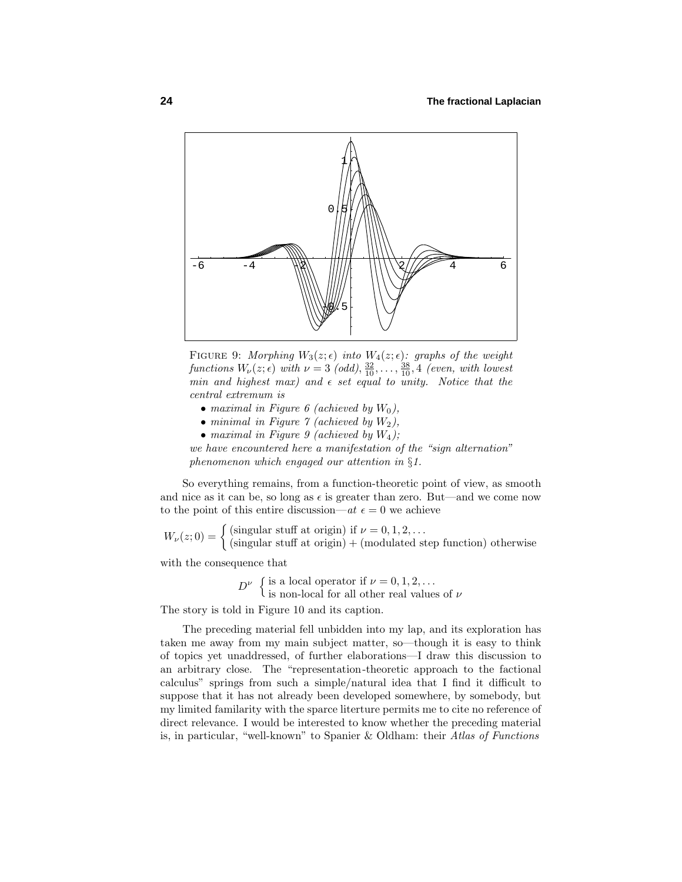

FIGURE 9: Morphing  $W_3(z;\epsilon)$  into  $W_4(z;\epsilon)$ : graphs of the weight  $function s W_{\nu}(z; \epsilon) \text{ with } \nu = 3 \text{ (odd)}, \frac{32}{10}, \ldots, \frac{38}{10}, 4 \text{ (even, with lowest)}$ min and highest max) and  $\epsilon$  set equal to unity. Notice that the central extremum is

- maximal in Figure 6 (achieved by *W*0),
- minimal in Figure 7 (achieved by *W*2),
- maximal in Figure 9 (achieved by  $W_4$ );

we have encountered here a manifestation of the "sign alternation" phenomenon which engaged our attention in §1.

So everything remains, from a function-theoretic point of view, as smooth and nice as it can be, so long as  $\epsilon$  is greater than zero. But—and we come now to the point of this entire discussion—at  $\epsilon = 0$  we achieve

 $W_{\nu}(z;0) = \begin{cases} \text{(singular stuff at origin)} \text{ if } \nu = 0, 1, 2, \ldots \\ \text{(singular stuff at origin)} + \text{(modulated step function) otherwise} \end{cases}$ 

with the consequence that

 $D^{\nu}$  { is a local operator if  $\nu = 0, 1, 2, ...$ <br>
is non-local for all other real values of  $\nu$ 

The story is told in Figure 10 and its caption.

The preceding material fell unbidden into my lap, and its exploration has taken me away from my main subject matter, so—though it is easy to think of topics yet unaddressed, of further elaborations—I draw this discussion to an arbitrary close. The "representation-theoretic approach to the factional calculus" springs from such a simple/natural idea that I find it difficult to suppose that it has not already been developed somewhere, by somebody, but my limited familarity with the sparce literture permits me to cite no reference of direct relevance. I would be interested to know whether the preceding material is, in particular, "well-known" to Spanier & Oldham: their Atlas of Functions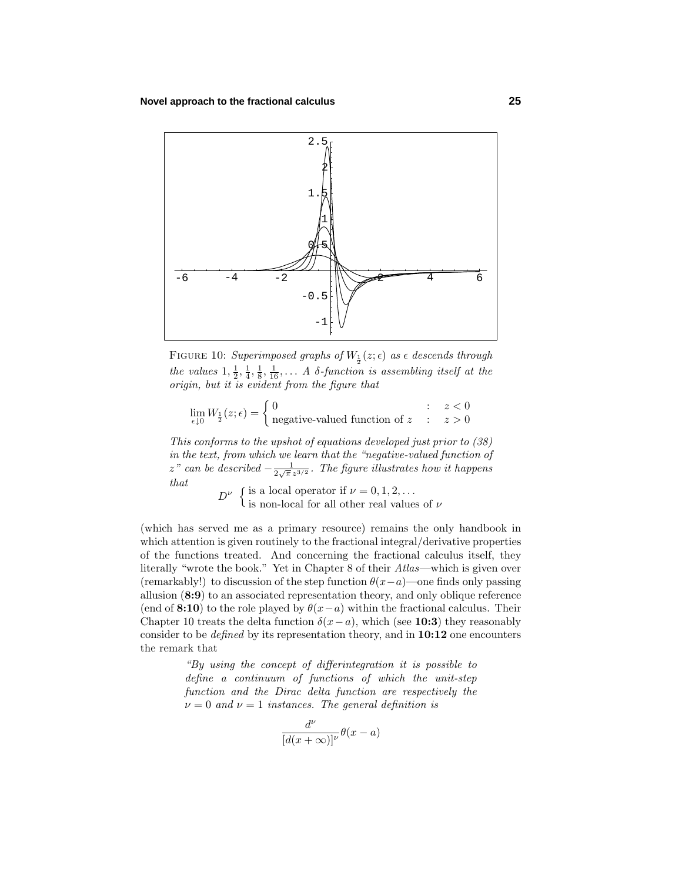

FIGURE 10: Superimposed graphs of  $W_{\frac{1}{2}}(z;\epsilon)$  as  $\epsilon$  descends through the values  $1, \frac{1}{2}, \frac{1}{4}, \frac{1}{8}, \frac{1}{16}, \ldots$  A  $\delta$ -function is assembling itself at the origin, but it is evident from the figure that

$$
\lim_{\epsilon \downarrow 0} W_{\frac{1}{2}}(z;\epsilon) = \begin{cases} 0 & \text{if } z < 0 \\ \text{negative-valued function of } z & \text{if } z > 0 \end{cases}
$$

This conforms to the upshot of equations developed just prior to (38) in the text, from which we learn that the "negative-valued function of *z*" can be described  $-\frac{1}{2\sqrt{\pi}z^{3/2}}$ . The figure illustrates how it happens that

 $D^{\nu}$  { is a local operator if  $\nu = 0, 1, 2, ...$ <br>
is non-local for all other real values of  $\nu$ 

(which has served me as a primary resource) remains the only handbook in which attention is given routinely to the fractional integral/derivative properties of the functions treated. And concerning the fractional calculus itself, they literally "wrote the book." Yet in Chapter 8 of their Atlas—which is given over (remarkably!) to discussion of the step function  $\theta(x-a)$ —one finds only passing allusion  $(8:9)$  to an associated representation theory, and only oblique reference (end of **8:10**) to the role played by  $\theta(x-a)$  within the fractional calculus. Their Chapter 10 treats the delta function  $\delta(x-a)$ , which (see **10:3**) they reasonably consider to be defined by its representation theory, and in **10:12** one encounters the remark that

> "By using the concept of differintegration it is possible to define a continuum of functions of which the unit-step function and the Dirac delta function are respectively the  $\nu = 0$  and  $\nu = 1$  instances. The general definition is

$$
\frac{d^{\nu}}{[d(x+\infty)]^{\nu}}\theta(x-a)
$$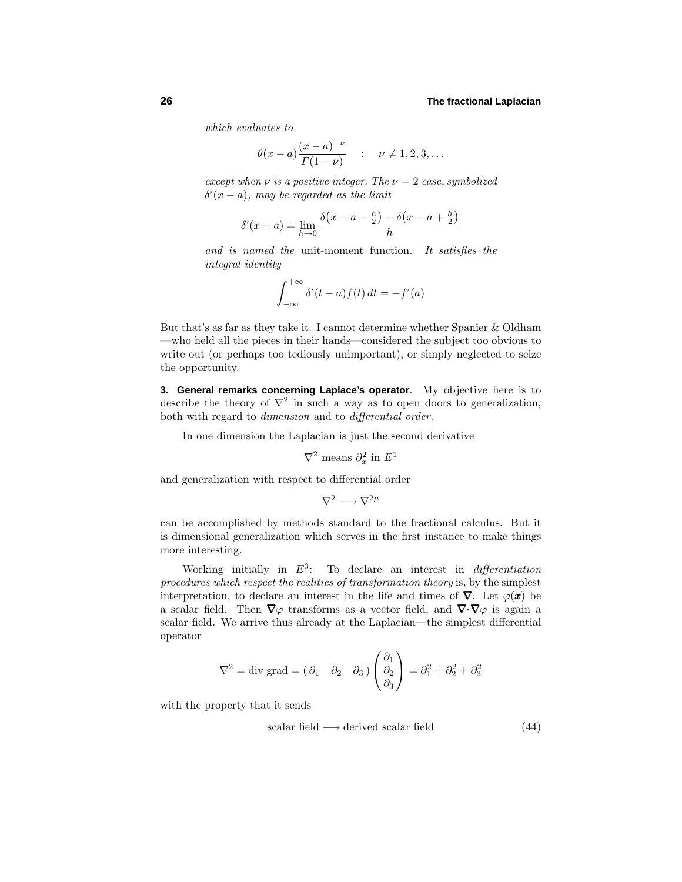which evaluates to

$$
\theta(x-a)\frac{(x-a)^{-\nu}}{\Gamma(1-\nu)}
$$
 :  $\nu \neq 1, 2, 3, ...$ 

except when  $\nu$  is a positive integer. The  $\nu = 2$  case, symbolized *δ* (*x* − *a*), may be regarded as the limit

$$
\delta'(x - a) = \lim_{h \to 0} \frac{\delta(x - a - \frac{h}{2}) - \delta(x - a + \frac{h}{2})}{h}
$$

and is named the unit-moment function. It satisfies the integral identity

$$
\int_{-\infty}^{+\infty} \delta'(t-a) f(t) dt = -f'(a)
$$

But that's as far as they take it. I cannot determine whether Spanier & Oldham —who held all the pieces in their hands—considered the subject too obvious to write out (or perhaps too tediously unimportant), or simply neglected to seize the opportunity.

**3. General remarks concerning Laplace's operator**. My objective here is to describe the theory of  $\nabla^2$  in such a way as to open doors to generalization, both with regard to dimension and to differential order .

In one dimension the Laplacian is just the second derivative

 $∇<sup>2</sup>$  means  $∂<sup>2</sup><sub>x</sub>$  in  $E<sup>1</sup>$ 

and generalization with respect to differential order

$$
\nabla^2 \longrightarrow \nabla^{2\mu}
$$

can be accomplished by methods standard to the fractional calculus. But it is dimensional generalization which serves in the first instance to make things more interesting.

Working initially in  $E^3$ : To declare an interest in *differentiation* procedures which respect the realities of transformation theory is, by the simplest interpretation, to declare an interest in the life and times of  $\nabla$ . Let  $\varphi(\mathbf{x})$  be a scalar field. Then  $\nabla\varphi$  transforms as a vector field, and  $\nabla\cdot\nabla\varphi$  is again a scalar field. We arrive thus already at the Laplacian—the simplest differential operator

$$
\nabla^2 = \text{div}\,\text{grad} = \begin{pmatrix} \partial_1 & \partial_2 & \partial_3 \end{pmatrix} \begin{pmatrix} \partial_1 \\ \partial_2 \\ \partial_3 \end{pmatrix} = \partial_1^2 + \partial_2^2 + \partial_3^2
$$

with the property that it sends

 $scalar field \longrightarrow derived scalar field$  (44)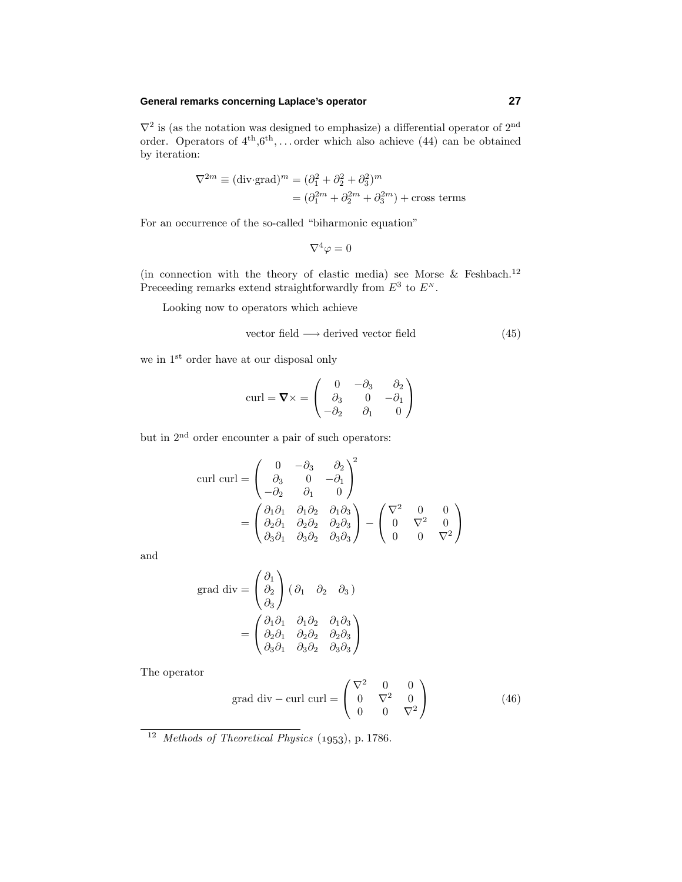# **General remarks concerning Laplace's operator 27**

 $\nabla^2$  is (as the notation was designed to emphasize) a differential operator of  $2^{\text{nd}}$ order. Operators of  $4<sup>th</sup>$ ,6<sup>th</sup>, ...order which also achieve (44) can be obtained by iteration:

$$
\nabla^{2m} \equiv (\text{div} \cdot \text{grad})^m = (\partial_1^2 + \partial_2^2 + \partial_3^2)^m
$$

$$
= (\partial_1^{2m} + \partial_2^{2m} + \partial_3^{2m}) + \text{cross terms}
$$

For an occurrence of the so-called "biharmonic equation"

$$
\nabla^4 \varphi = 0
$$

(in connection with the theory of elastic media) see Morse & Feshbach.<sup>12</sup> Preceeding remarks extend straightforwardly from  $E^3$  to  $E^N$ .

Looking now to operators which achieve

vector field 
$$
\longrightarrow
$$
 derived vector field  $(45)$ 

we in  $1<sup>st</sup>$  order have at our disposal only

$$
\text{curl} = \mathbf{\nabla} \times = \begin{pmatrix} 0 & -\partial_3 & \partial_2 \\ \partial_3 & 0 & -\partial_1 \\ -\partial_2 & \partial_1 & 0 \end{pmatrix}
$$

but in 2nd order encounter a pair of such operators:

$$
\text{curl curl} = \begin{pmatrix} 0 & -\partial_3 & \partial_2 \\ \partial_3 & 0 & -\partial_1 \\ -\partial_2 & \partial_1 & 0 \end{pmatrix}^2
$$

$$
= \begin{pmatrix} \partial_1 \partial_1 & \partial_1 \partial_2 & \partial_1 \partial_3 \\ \partial_2 \partial_1 & \partial_2 \partial_2 & \partial_2 \partial_3 \\ \partial_3 \partial_1 & \partial_3 \partial_2 & \partial_3 \partial_3 \end{pmatrix} - \begin{pmatrix} \nabla^2 & 0 & 0 \\ 0 & \nabla^2 & 0 \\ 0 & 0 & \nabla^2 \end{pmatrix}
$$

and

grad div = 
$$
\begin{pmatrix} \partial_1 \\ \partial_2 \\ \partial_3 \end{pmatrix}
$$
  $(\partial_1 \partial_2 \partial_3)$   
=  $\begin{pmatrix} \partial_1 \partial_1 & \partial_1 \partial_2 & \partial_1 \partial_3 \\ \partial_2 \partial_1 & \partial_2 \partial_2 & \partial_2 \partial_3 \\ \partial_3 \partial_1 & \partial_3 \partial_2 & \partial_3 \partial_3 \end{pmatrix}$ 

The operator

grad div - curl curl 
$$
=
$$
  $\begin{pmatrix} \nabla^2 & 0 & 0 \\ 0 & \nabla^2 & 0 \\ 0 & 0 & \nabla^2 \end{pmatrix}$  (46)

 $\frac{12 \text{ Methods of Theoretical Physics (1953), p. 1786.}}{12 \text{Methods of Theoretical Physics (1953).}}$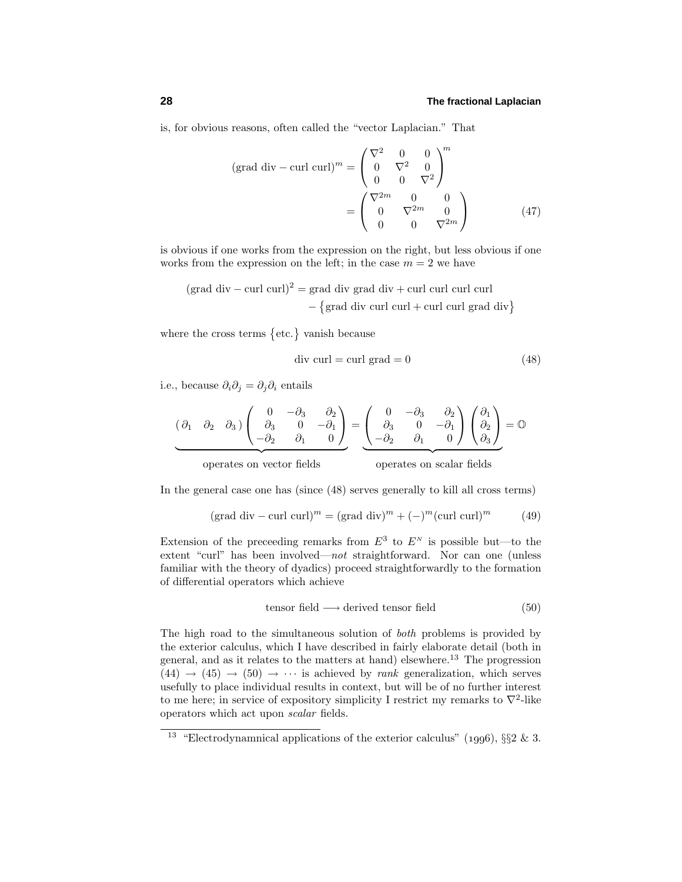is, for obvious reasons, often called the "vector Laplacian." That

$$
(\text{grad div} - \text{curl curl})^m = \begin{pmatrix} \nabla^2 & 0 & 0 \\ 0 & \nabla^2 & 0 \\ 0 & 0 & \nabla^2 \end{pmatrix}^m
$$

$$
= \begin{pmatrix} \nabla^{2m} & 0 & 0 \\ 0 & \nabla^{2m} & 0 \\ 0 & 0 & \nabla^{2m} \end{pmatrix}
$$
(47)

is obvious if one works from the expression on the right, but less obvious if one works from the expression on the left; in the case  $m = 2$  we have

$$
(\text{grad div} - \text{curl curl})^2 = \text{grad div grad div} + \text{curl curl curl curl curl}
$$

$$
- \{\text{grad div curl curldiv} + \text{curl curl curl } \text{curl } \text{div}\}
$$

where the cross terms  $\{\text{etc.}\}\$  vanish because

$$
div curl = curl grad = 0
$$
 (48)

i.e., because  $\partial_i \partial_j = \partial_j \partial_i$  entails

$$
\underbrace{(\partial_1 \quad \partial_2 \quad \partial_3)}_{\text{max}} \left( \begin{array}{ccc} 0 & -\partial_3 & \partial_2 \\ \partial_3 & 0 & -\partial_1 \\ -\partial_2 & \partial_1 & 0 \end{array} \right) = \underbrace{\begin{pmatrix} 0 & -\partial_3 & \partial_2 \\ \partial_3 & 0 & -\partial_1 \\ -\partial_2 & \partial_1 & 0 \end{pmatrix}}_{\text{max}} \left( \begin{array}{c} \partial_1 \\ \partial_2 \\ \partial_3 \end{array} \right) = \mathbb{O}
$$

operates on scalar fields operates on vector fields operates on scalar fields

In the general case one has (since  $(48)$  serves generally to kill all cross terms)

$$
(\text{grad div} - \text{curl curl})^m = (\text{grad div})^m + (-)^m (\text{curl curl})^m \tag{49}
$$

Extension of the preceeding remarks from  $E^3$  to  $E^N$  is possible but—to the extent "curl" has been involved—not straightforward. Nor can one (unless familiar with the theory of dyadics) proceed straightforwardly to the formation of differential operators which achieve

$$
tensor field \longrightarrow derived tensor field
$$
 (50)

The high road to the simultaneous solution of both problems is provided by the exterior calculus, which I have described in fairly elaborate detail (both in general, and as it relates to the matters at hand) elsewhere.<sup>13</sup> The progression  $(44) \rightarrow (45) \rightarrow (50) \rightarrow \cdots$  is achieved by *rank* generalization, which serves usefully to place individual results in context, but will be of no further interest to me here; in service of expository simplicity I restrict my remarks to  $\nabla^2$ -like operators which act upon scalar fields.

<sup>&</sup>lt;sup>13</sup> "Electrodynamnical applications of the exterior calculus" (1996), §§2 & 3.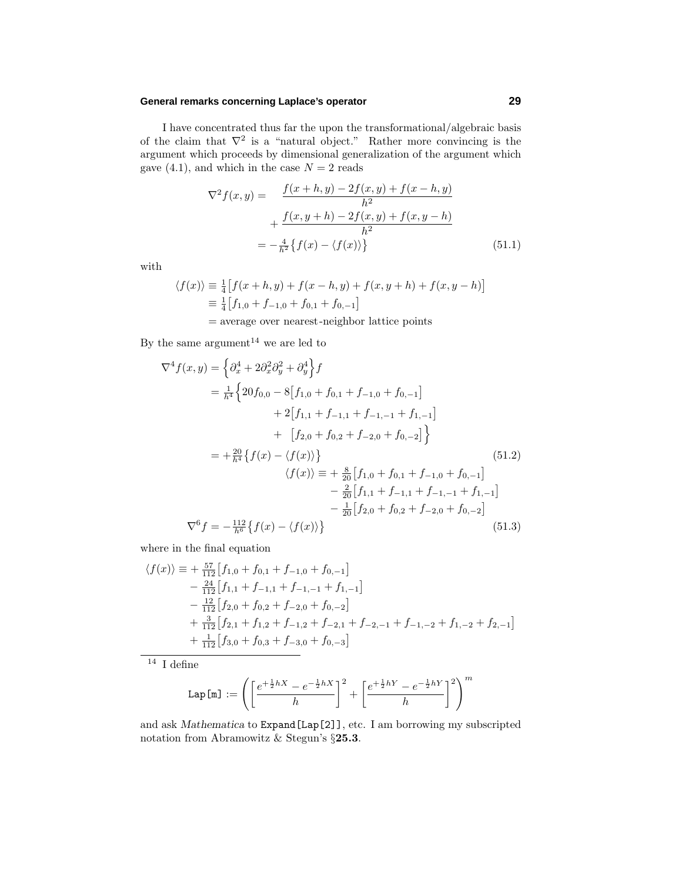#### **General remarks concerning Laplace's operator 29**

I have concentrated thus far the upon the transformational/algebraic basis of the claim that  $\nabla^2$  is a "natural object." Rather more convincing is the argument which proceeds by dimensional generalization of the argument which gave  $(4.1)$ , and which in the case  $N = 2$  reads

$$
\nabla^2 f(x, y) = \frac{f(x+h, y) - 2f(x, y) + f(x-h, y)}{h^2} \n+ \frac{f(x, y+h) - 2f(x, y) + f(x, y-h)}{h^2} \n= -\frac{4}{h^2} \{ f(x) - \langle f(x) \rangle \}
$$
\n(51.1)

with

$$
\langle f(x) \rangle \equiv \frac{1}{4} \left[ f(x+h, y) + f(x-h, y) + f(x, y+h) + f(x, y-h) \right]
$$
  

$$
\equiv \frac{1}{4} \left[ f_{1,0} + f_{-1,0} + f_{0,1} + f_{0,-1} \right]
$$

= average over nearest-neighbor lattice points

By the same argument<sup>14</sup> we are led to

$$
\nabla^4 f(x, y) = \left\{ \partial_x^4 + 2 \partial_x^2 \partial_y^2 + \partial_y^4 \right\} f
$$
  
\n
$$
= \frac{1}{h^4} \left\{ 20f_{0,0} - 8[f_{1,0} + f_{0,1} + f_{-1,0} + f_{0,-1}] \right. \\ \n\left. + 2[f_{1,1} + f_{-1,1} + f_{-1,-1} + f_{1,-1}] \right. \\ \n\left. + [f_{2,0} + f_{0,2} + f_{-2,0} + f_{0,-2}] \right\}
$$
  
\n
$$
= + \frac{20}{h^4} \left\{ f(x) - \langle f(x) \rangle \right\} \qquad (51.2)
$$
  
\n
$$
\langle f(x) \rangle = + \frac{8}{20} [f_{1,0} + f_{0,1} + f_{-1,0} + f_{0,-1}]
$$
  
\n
$$
- \frac{2}{20} [f_{1,1} + f_{-1,1} + f_{-1,-1} + f_{1,-1}]
$$
  
\n
$$
- \frac{1}{20} [f_{2,0} + f_{0,2} + f_{-2,0} + f_{0,-2}]
$$
  
\n
$$
\nabla^6 f = -\frac{112}{h^6} \{ f(x) - \langle f(x) \rangle \}
$$
  
\n(51.3)

where in the final equation

$$
\langle f(x) \rangle \equiv + \frac{57}{112} \left[ f_{1,0} + f_{0,1} + f_{-1,0} + f_{0,-1} \right] \n- \frac{24}{112} \left[ f_{1,1} + f_{-1,1} + f_{-1,-1} + f_{1,-1} \right] \n- \frac{12}{112} \left[ f_{2,0} + f_{0,2} + f_{-2,0} + f_{0,-2} \right] \n+ \frac{3}{112} \left[ f_{2,1} + f_{1,2} + f_{-1,2} + f_{-2,1} + f_{-2,-1} + f_{-1,-2} + f_{1,-2} + f_{2,-1} \right] \n+ \frac{1}{112} \left[ f_{3,0} + f_{0,3} + f_{-3,0} + f_{0,-3} \right]
$$

 $^{\overline{14}}$  I define

$$
\texttt{Lap[m]} := \left(\left[\frac{e^{+\frac{1}{2}hX}-e^{-\frac{1}{2}hX}}{h}\right]^2+\left[\frac{e^{+\frac{1}{2}hY}-e^{-\frac{1}{2}hY}}{h}\right]^2\right)^m
$$

and ask *Mathematica* to Expand[Lap[2]], etc. I am borrowing my subscripted notation from Abramowitz & Stegun's §**25.3**.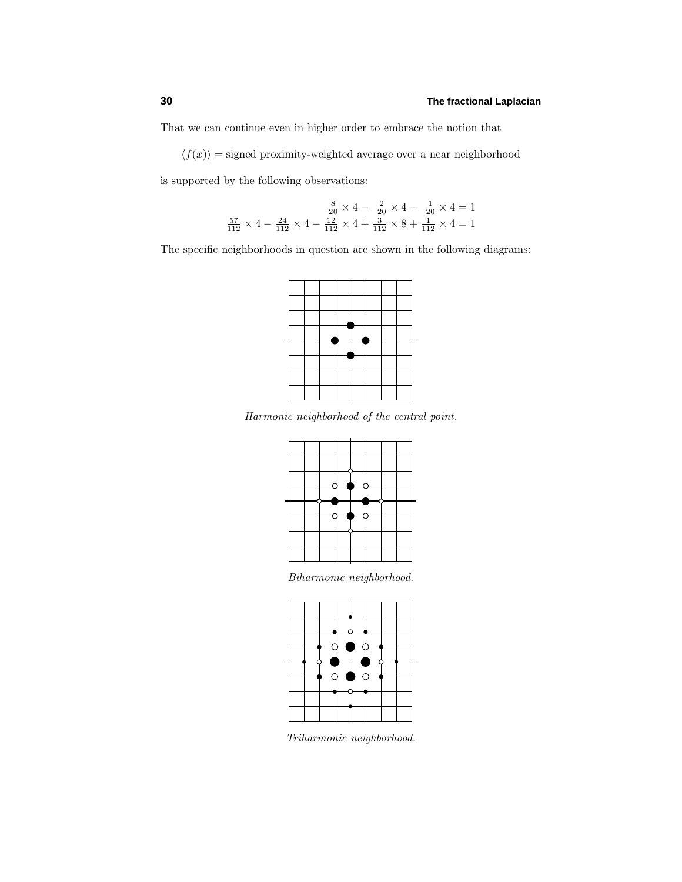That we can continue even in higher order to embrace the notion that

 $\langle f(x) \rangle$  = signed proximity-weighted average over a near neighborhood

is supported by the following observations:

$$
\frac{8}{20} \times 4 - \frac{2}{20} \times 4 - \frac{1}{20} \times 4 = 1
$$
  

$$
\frac{57}{112} \times 4 - \frac{24}{112} \times 4 - \frac{12}{112} \times 4 + \frac{3}{112} \times 8 + \frac{1}{112} \times 4 = 1
$$

The specific neighborhoods in question are shown in the following diagrams:



Harmonic neighborhood of the central point.



Biharmonic neighborhood.



Triharmonic neighborhood.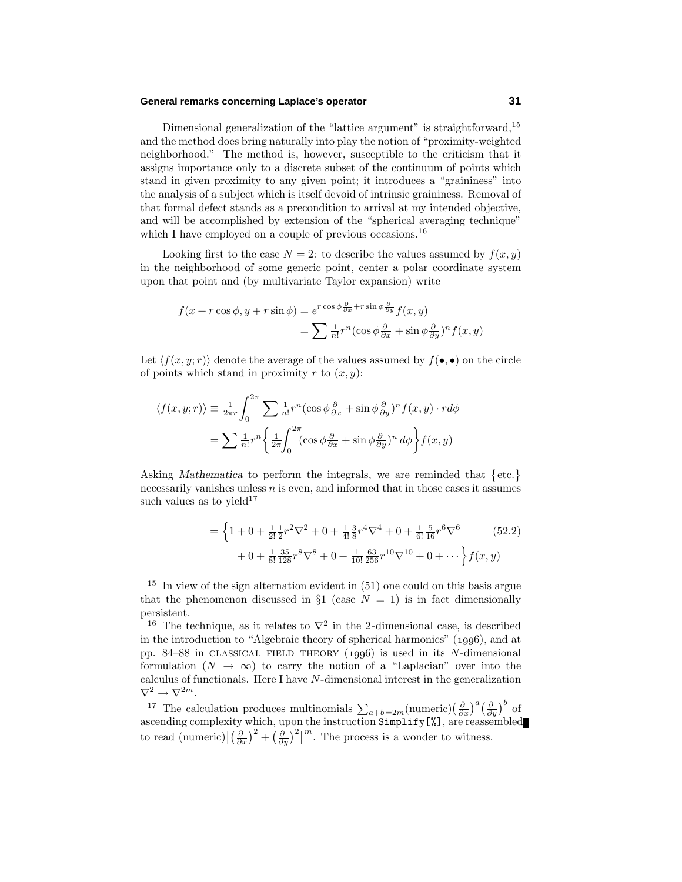#### **General remarks concerning Laplace's operator 31**

Dimensional generalization of the "lattice argument" is straightforward,<sup>15</sup> and the method does bring naturally into play the notion of "proximity-weighted neighborhood." The method is, however, susceptible to the criticism that it assigns importance only to a discrete subset of the continuum of points which stand in given proximity to any given point; it introduces a "graininess" into the analysis of a subject which is itself devoid of intrinsic graininess. Removal of that formal defect stands as a precondition to arrival at my intended objective, and will be accomplished by extension of the "spherical averaging technique" which I have employed on a couple of previous occasions.<sup>16</sup>

Looking first to the case  $N = 2$ : to describe the values assumed by  $f(x, y)$ in the neighborhood of some generic point, center a polar coordinate system upon that point and (by multivariate Taylor expansion) write

$$
f(x+r\cos\phi, y+r\sin\phi) = e^{r\cos\phi\frac{\partial}{\partial x}+r\sin\phi\frac{\partial}{\partial y}}f(x,y)
$$

$$
= \sum \frac{1}{n!}r^n(\cos\phi\frac{\partial}{\partial x}+\sin\phi\frac{\partial}{\partial y})^n f(x,y)
$$

Let  $\langle f(x, y; r) \rangle$  denote the average of the values assumed by  $f(\bullet, \bullet)$  on the circle of points which stand in proximity  $r$  to  $(x, y)$ :

$$
\langle f(x, y; r) \rangle \equiv \frac{1}{2\pi r} \int_0^{2\pi} \sum \frac{1}{n!} r^n (\cos \phi \frac{\partial}{\partial x} + \sin \phi \frac{\partial}{\partial y})^n f(x, y) \cdot r d\phi
$$

$$
= \sum \frac{1}{n!} r^n \left\{ \frac{1}{2\pi} \int_0^{2\pi} (\cos \phi \frac{\partial}{\partial x} + \sin \phi \frac{\partial}{\partial y})^n d\phi \right\} f(x, y)
$$

Asking *Mathematica* to perform the integrals, we are reminded that  $\{\text{etc.}\}\$ necessarily vanishes unless *n* is even, and informed that in those cases it assumes such values as to yield<sup>17</sup>

$$
= \left\{ 1 + 0 + \frac{1}{2!} \frac{1}{2} r^2 \nabla^2 + 0 + \frac{1}{4!} \frac{3}{8} r^4 \nabla^4 + 0 + \frac{1}{6!} \frac{5}{16} r^6 \nabla^6 \right\}
$$
(52.2)  
+ 0 +  $\frac{1}{8!} \frac{35}{128} r^8 \nabla^8 + 0 + \frac{1}{10!} \frac{63}{256} r^{10} \nabla^{10} + 0 + \cdots \right\} f(x, y)$ 

 $15$  In view of the sign alternation evident in (51) one could on this basis argue that the phenomenon discussed in  $\S1$  (case  $N = 1$ ) is in fact dimensionally persistent.

<sup>&</sup>lt;sup>16</sup> The technique, as it relates to  $\nabla^2$  in the 2-dimensional case, is described in the introduction to "Algebraic theory of spherical harmonics"  $(1996)$ , and at pp. 84–88 in classical FIELD THEORY  $(1996)$  is used in its *N*-dimensional formulation  $(N \to \infty)$  to carry the notion of a "Laplacian" over into the calculus of functionals. Here I have *N*-dimensional interest in the generalization  $\nabla^2\rightarrow\nabla^{2m}.$ 

<sup>&</sup>lt;sup>17</sup> The calculation produces multinomials  $\sum_{a+b=2m}$ (numeric)  $\left(\frac{\partial}{\partial x}\right)^a \left(\frac{\partial}{\partial y}\right)^b$  of ascending complexity which, upon the instruction Simplify[%], are reassembled to read (numeric)  $\left[\left(\frac{\partial}{\partial x}\right)^2 + \left(\frac{\partial}{\partial y}\right)^2\right]^m$ . The process is a wonder to witness.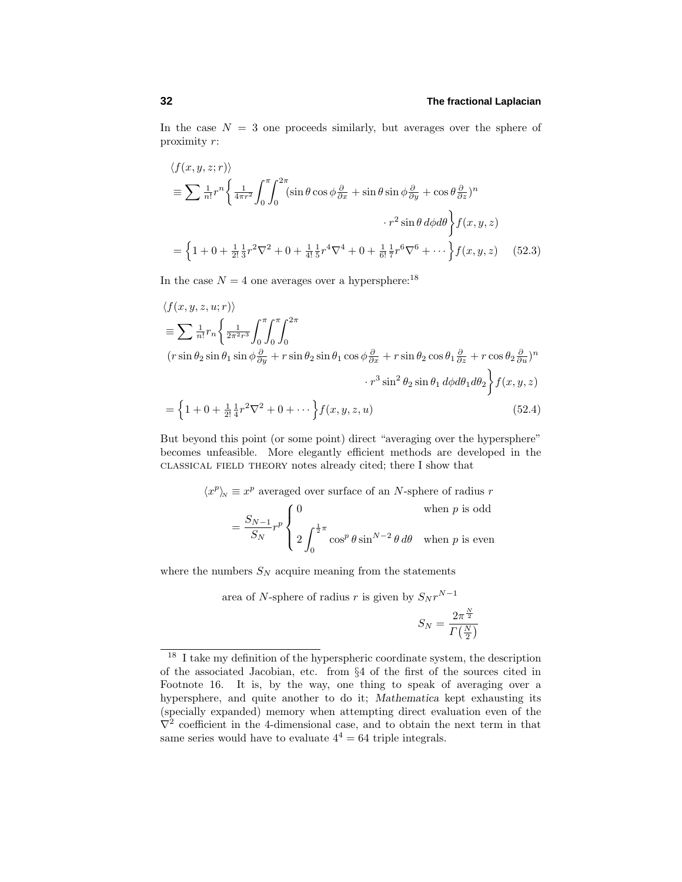In the case  $N = 3$  one proceeds similarly, but averages over the sphere of proximity *r*:

$$
\langle f(x, y, z; r) \rangle
$$
  
\n
$$
\equiv \sum \frac{1}{n!} r^n \left\{ \frac{1}{4\pi r^2} \int_0^{\pi} \int_0^{2\pi} (\sin \theta \cos \phi \frac{\partial}{\partial x} + \sin \theta \sin \phi \frac{\partial}{\partial y} + \cos \theta \frac{\partial}{\partial z})^n
$$
  
\n
$$
\cdot r^2 \sin \theta \, d\phi d\theta \right\} f(x, y, z)
$$
  
\n
$$
= \left\{ 1 + 0 + \frac{1}{2!} \frac{1}{3} r^2 \nabla^2 + 0 + \frac{1}{4!} \frac{1}{5} r^4 \nabla^4 + 0 + \frac{1}{6!} \frac{1}{7} r^6 \nabla^6 + \cdots \right\} f(x, y, z) \quad (52.3)
$$

In the case  $N = 4$  one averages over a hypersphere:<sup>18</sup>

$$
\langle f(x, y, z, u; r) \rangle
$$
  
\n
$$
\equiv \sum \frac{1}{n!} r_n \left\{ \frac{1}{2\pi^2 r^3} \int_0^{\pi} \int_0^{\pi} \int_0^{2\pi} \int_0^{2\pi} (r \sin \theta_2 \sin \theta_1 \sin \phi \frac{\partial}{\partial y} + r \sin \theta_2 \sin \theta_1 \cos \phi \frac{\partial}{\partial x} + r \sin \theta_2 \cos \theta_1 \frac{\partial}{\partial z} + r \cos \theta_2 \frac{\partial}{\partial u} )^n
$$
  
\n
$$
\cdot r^3 \sin^2 \theta_2 \sin \theta_1 d\phi d\theta_1 d\theta_2 \left\} f(x, y, z) \right.
$$
  
\n
$$
= \left\{ 1 + 0 + \frac{1}{2!} \frac{1}{4} r^2 \nabla^2 + 0 + \cdots \right\} f(x, y, z, u) \tag{52.4}
$$

But beyond this point (or some point) direct "averaging over the hypersphere" becomes unfeasible. More elegantly efficient methods are developed in the classical field theory notes already cited; there I show that

$$
\langle x^p \rangle_{\!N} \equiv x^p
$$
 averaged over surface of an *N*-sphere of radius *r*  

$$
= \frac{S_{N-1}}{S_N} r^p \begin{cases} 0 & \text{when } p \text{ is odd} \\ 2 \int_0^{\frac{1}{2}\pi} \cos^p \theta \sin^{N-2} \theta \, d\theta & \text{when } p \text{ is even} \end{cases}
$$

where the numbers  $S_N$  acquire meaning from the statements

area of *N*-sphere of radius *r* is given by  $S_N r^{N-1}$  $S_N = \frac{2\pi^{\frac{N}{2}}}{\frac{N}{N}}$ 

 $\Gamma\left(\frac{N}{2}\right)$ 

<sup>&</sup>lt;sup>18</sup> I take my definition of the hyperspheric coordinate system, the description of the associated Jacobian, etc. from §4 of the first of the sources cited in Footnote 16. It is, by the way, one thing to speak of averaging over a hypersphere, and quite another to do it; *Mathematica* kept exhausting its (specially expanded) memory when attempting direct evaluation even of the  $\nabla^2$  coefficient in the 4-dimensional case, and to obtain the next term in that same series would have to evaluate  $4^4 = 64$  triple integrals.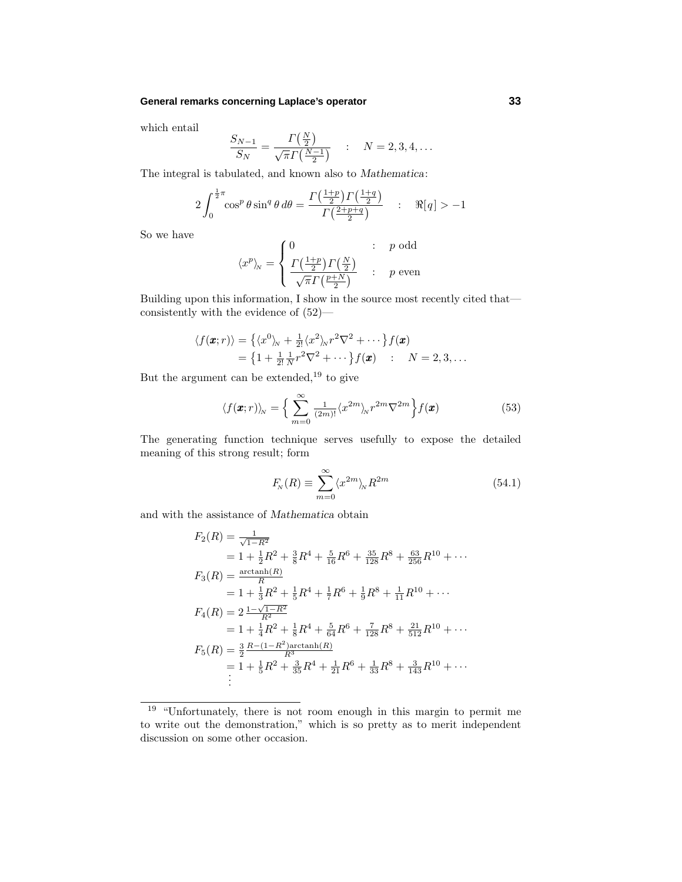#### **General remarks concerning Laplace's operator 33**

which entail

$$
\frac{S_{N-1}}{S_N} = \frac{\Gamma(\frac{N}{2})}{\sqrt{\pi} \Gamma(\frac{N-1}{2})} \quad : \quad N = 2, 3, 4, ...
$$

The integral is tabulated, and known also to *Mathematica*:

$$
2\int_0^{\frac{1}{2}\pi} \cos^p\theta \sin^q\theta \,d\theta = \frac{\Gamma\left(\frac{1+p}{2}\right)\Gamma\left(\frac{1+q}{2}\right)}{\Gamma\left(\frac{2+p+q}{2}\right)} \quad : \quad \Re[q] > -1
$$

So we have

$$
\langle x^p \rangle_{\!N} = \begin{cases} 0 & : p \text{ odd} \\ \frac{\Gamma(\frac{1+p}{2})\Gamma(\frac{N}{2})}{\sqrt{\pi}\Gamma(\frac{p+N}{2})} & : p \text{ even} \end{cases}
$$

Building upon this information, I show in the source most recently cited that consistently with the evidence of (52)—

$$
\langle f(\pmb{x};r) \rangle = \left\{ \langle x^0 \rangle_{\!N} + \frac{1}{2!} \langle x^2 \rangle_{\!N} r^2 \nabla^2 + \cdots \right\} f(\pmb{x})
$$
  
= 
$$
\left\{ 1 + \frac{1}{2!} \frac{1}{N} r^2 \nabla^2 + \cdots \right\} f(\pmb{x}) \qquad \qquad N = 2, 3, \ldots
$$

But the argument can be extended,  $19$  to give

$$
\langle f(\pmb{x};r) \rangle_N = \left\{ \sum_{m=0}^{\infty} \frac{1}{(2m)!} \langle x^{2m} \rangle_N r^{2m} \nabla^{2m} \right\} f(\pmb{x}) \tag{53}
$$

The generating function technique serves usefully to expose the detailed meaning of this strong result; form

$$
F_N(R) \equiv \sum_{m=0}^{\infty} \langle x^{2m} \rangle_N R^{2m} \tag{54.1}
$$

and with the assistance of *Mathematica* obtain

$$
F_2(R) = \frac{1}{\sqrt{1 - R^2}}
$$
  
=  $1 + \frac{1}{2}R^2 + \frac{3}{8}R^4 + \frac{5}{16}R^6 + \frac{35}{128}R^8 + \frac{63}{256}R^{10} + \cdots$   

$$
F_3(R) = \frac{\arctanh(R)}{R}
$$
  
=  $1 + \frac{1}{3}R^2 + \frac{1}{5}R^4 + \frac{1}{7}R^6 + \frac{1}{9}R^8 + \frac{1}{11}R^{10} + \cdots$   

$$
F_4(R) = 2\frac{1 - \sqrt{1 - R^2}}{R^2}
$$
  
=  $1 + \frac{1}{4}R^2 + \frac{1}{8}R^4 + \frac{5}{64}R^6 + \frac{7}{128}R^8 + \frac{21}{512}R^{10} + \cdots$   

$$
F_5(R) = \frac{3}{2}\frac{R - (1 - R^2)\arctanh(R)}{R^3}
$$
  
=  $1 + \frac{1}{5}R^2 + \frac{3}{35}R^4 + \frac{1}{21}R^6 + \frac{1}{33}R^8 + \frac{3}{143}R^{10} + \cdots$   
:

<sup>19</sup> "Unfortunately, there is not room enough in this margin to permit me to write out the demonstration," which is so pretty as to merit independent discussion on some other occasion.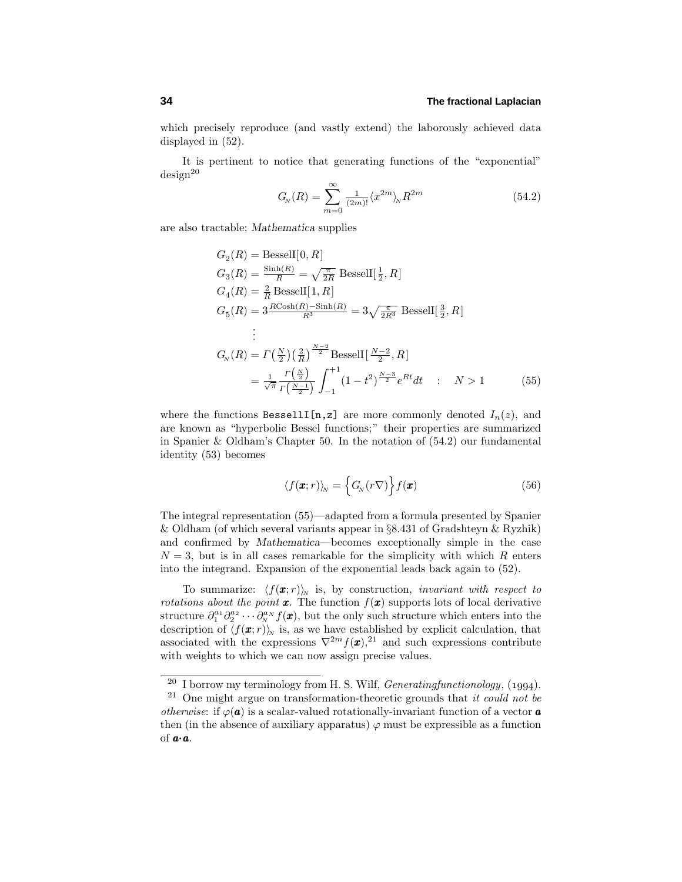which precisely reproduce (and vastly extend) the laborously achieved data displayed in (52).

It is pertinent to notice that generating functions of the "exponential"  $design<sup>20</sup>$ 

$$
G_N(R) = \sum_{m=0}^{\infty} \frac{1}{(2m)!} \langle x^{2m} \rangle_N R^{2m}
$$
 (54.2)

are also tractable; *Mathematica* supplies

$$
G_2(R) = \text{BesselI}[0, R]
$$
  
\n
$$
G_3(R) = \frac{\sinh(R)}{R} = \sqrt{\frac{\pi}{2R}} \text{BesselI}[\frac{1}{2}, R]
$$
  
\n
$$
G_4(R) = \frac{2}{R} \text{BesselI}[1, R]
$$
  
\n
$$
G_5(R) = 3 \frac{R \cosh(R) - \sinh(R)}{R^3} = 3 \sqrt{\frac{\pi}{2R^3}} \text{BesselI}[\frac{3}{2}, R]
$$
  
\n:  
\n
$$
G_N(R) = \Gamma(\frac{N}{2})(\frac{2}{R})^{\frac{N-2}{2}} \text{BesselI}[\frac{N-2}{2}, R]
$$
  
\n
$$
= \frac{1}{\sqrt{\pi}} \frac{\Gamma(\frac{N}{2})}{\Gamma(\frac{N-1}{2})} \int_{-1}^{+1} (1 - t^2)^{\frac{N-3}{2}} e^{Rt} dt \quad : \quad N > 1
$$
 (55)

where the functions BessellI[n,z] are more commonly denoted  $I_n(z)$ , and are known as "hyperbolic Bessel functions;" their properties are summarized in Spanier & Oldham's Chapter 50. In the notation of  $(54.2)$  our fundamental identity  $(53)$  becomes

$$
\langle f(\boldsymbol{x};r) \rangle_N = \left\{ G_N(r\nabla) \right\} f(\boldsymbol{x}) \tag{56}
$$

The integral representation (55)—adapted from a formula presented by Spanier & Oldham (of which several variants appear in §8.431 of Gradshteyn & Ryzhik) and confirmed by *Mathematica*—becomes exceptionally simple in the case  $N=3$ , but is in all cases remarkable for the simplicity with which  $R$  enters into the integrand. Expansion of the exponential leads back again to (52).

To summarize:  $\langle f(\mathbf{x}; r) \rangle_{N}$  is, by construction, *invariant with respect to rotations about the point*  $\boldsymbol{x}$ . The function  $f(\boldsymbol{x})$  supports lots of local derivative structure  $\partial_1^{a_1} \partial_2^{a_2} \cdots \partial_n^{a_N} f(x)$ , but the only such structure which enters into the description of  $\langle f(\mathbf{x}; r) \rangle_{N}$  is, as we have established by explicit calculation, that associated with the expressions  $\nabla^{2m} f(\mathbf{x})$ ,<sup>21</sup> and such expressions contribute with weights to which we can now assign precise values.

 $^{20}$  I borrow my terminology from H. S. Wilf, *Generatingfunctionology*, (1994).

 $21$  One might argue on transformation-theoretic grounds that it could not be *otherwise*: if  $\varphi(\mathbf{a})$  is a scalar-valued rotationally-invariant function of a vector **a** then (in the absence of auxiliary apparatus)  $\varphi$  must be expressible as a function of *a*·*a*.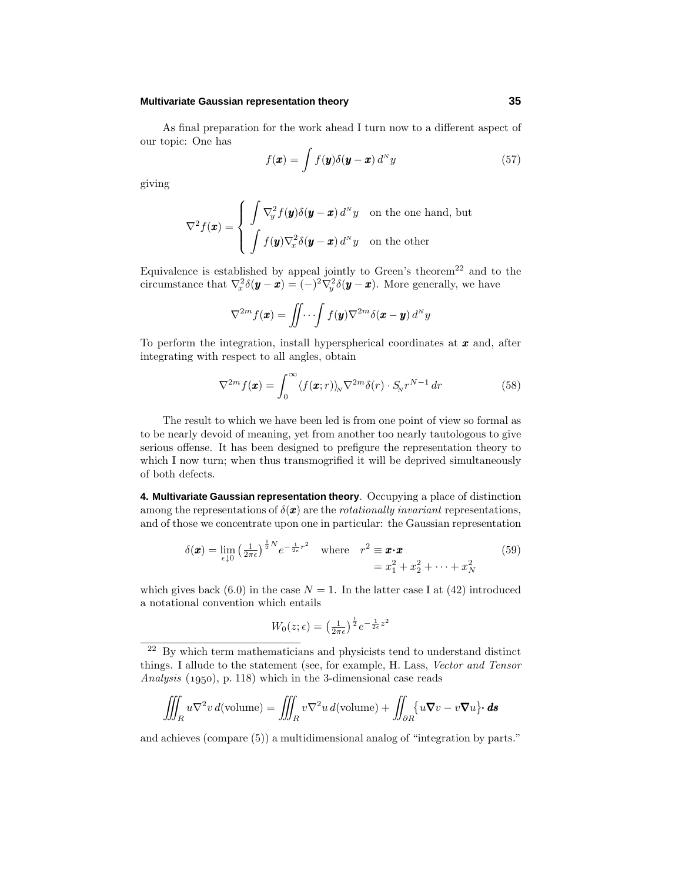# **Multivariate Gaussian representation theory 35**

As final preparation for the work ahead I turn now to a different aspect of our topic: One has

$$
f(\mathbf{x}) = \int f(\mathbf{y}) \delta(\mathbf{y} - \mathbf{x}) d^N y \tag{57}
$$

giving

$$
\nabla^2 f(\boldsymbol{x}) = \begin{cases} \int \nabla_y^2 f(\boldsymbol{y}) \delta(\boldsymbol{y} - \boldsymbol{x}) d^N y & \text{on the one hand, but} \\ \int f(\boldsymbol{y}) \nabla_x^2 \delta(\boldsymbol{y} - \boldsymbol{x}) d^N y & \text{on the other} \end{cases}
$$

Equivalence is established by appeal jointly to Green's theorem<sup>22</sup> and to the circumstance that  $\nabla_x^2 \delta(y - x) = (-)^2 \nabla_y^2 \delta(y - x)$ . More generally, we have

$$
\nabla^{2m} f(\boldsymbol{x}) = \iint \cdots \int f(\boldsymbol{y}) \nabla^{2m} \delta(\boldsymbol{x} - \boldsymbol{y}) d^N y
$$

To perform the integration, install hyperspherical coordinates at *x* and, after integrating with respect to all angles, obtain

$$
\nabla^{2m} f(\boldsymbol{x}) = \int_0^\infty \langle f(\boldsymbol{x};r) \rangle_N \nabla^{2m} \delta(r) \cdot S_N r^{N-1} \, dr \tag{58}
$$

The result to which we have been led is from one point of view so formal as to be nearly devoid of meaning, yet from another too nearly tautologous to give serious offense. It has been designed to prefigure the representation theory to which I now turn; when thus transmogrified it will be deprived simultaneously of both defects.

**4. Multivariate Gaussian representation theory**. Occupying a place of distinction among the representations of  $\delta(\mathbf{x})$  are the *rotationally invariant* representations, and of those we concentrate upon one in particular: the Gaussian representation

$$
\delta(\boldsymbol{x}) = \lim_{\epsilon \downarrow 0} \left( \frac{1}{2\pi\epsilon} \right)^{\frac{1}{2}N} e^{-\frac{1}{2\epsilon}r^2} \quad \text{where} \quad r^2 \equiv \boldsymbol{x} \cdot \boldsymbol{x} = x_1^2 + x_2^2 + \dots + x_N^2
$$
 (59)

which gives back (6.0) in the case  $N = 1$ . In the latter case I at (42) introduced a notational convention which entails

$$
W_0(z;\epsilon) = \left(\frac{1}{2\pi\epsilon}\right)^{\frac{1}{2}} e^{-\frac{1}{2\epsilon}z^2}
$$

<sup>22</sup> By which term mathematicians and physicists tend to understand distinct things. I allude to the statement (see, for example, H. Lass, Vector and Tensor Analysis  $(1950)$ , p. 118) which in the 3-dimensional case reads

$$
\iiint_R u \nabla^2 v \, d(\text{volume}) = \iiint_R v \nabla^2 u \, d(\text{volume}) + \iint_{\partial R} \{u \nabla v - v \nabla u\} \cdot d\mathbf{s}
$$

and achieves (compare (5)) a multidimensional analog of "integration by parts."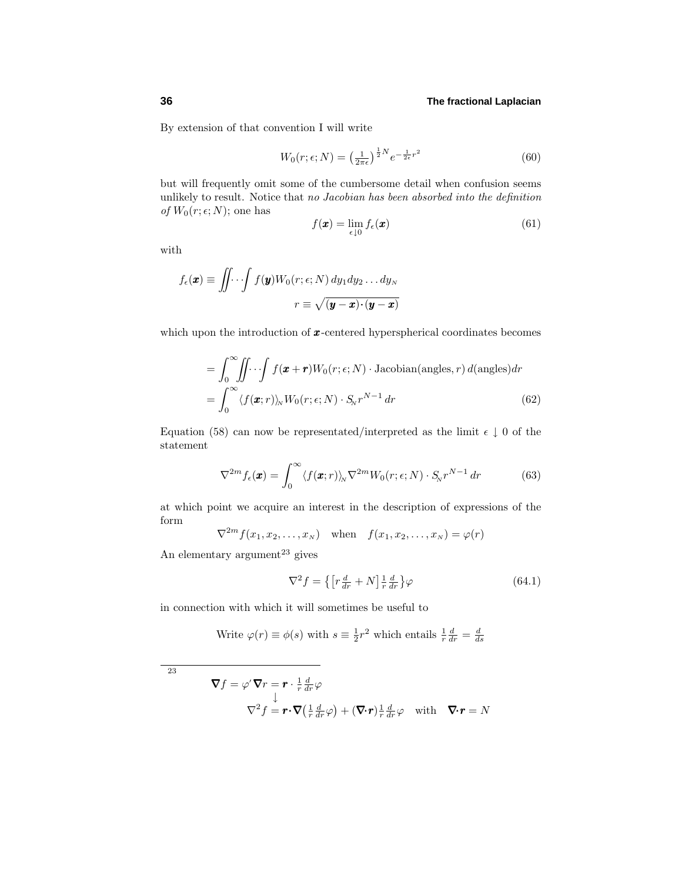By extension of that convention I will write

$$
W_0(r; \epsilon; N) = \left(\frac{1}{2\pi\epsilon}\right)^{\frac{1}{2}N} e^{-\frac{1}{2\epsilon}r^2}
$$
\n(60)

but will frequently omit some of the cumbersome detail when confusion seems unlikely to result. Notice that no Jacobian has been absorbed into the definition of  $W_0(r; \epsilon; N)$ ; one has

$$
f(\boldsymbol{x}) = \lim_{\epsilon \downarrow 0} f_{\epsilon}(\boldsymbol{x}) \tag{61}
$$

with

$$
f_{\epsilon}(\boldsymbol{x}) \equiv \iint \cdots \int f(\boldsymbol{y}) W_0(r; \epsilon; N) dy_1 dy_2 \dots dy_N
$$

$$
r \equiv \sqrt{(\boldsymbol{y} - \boldsymbol{x}) \cdot (\boldsymbol{y} - \boldsymbol{x})}
$$

which upon the introduction of  $x$ -centered hyperspherical coordinates becomes

$$
= \int_0^\infty \iint \cdots \int f(\mathbf{x} + \mathbf{r}) W_0(r; \epsilon; N) \cdot \text{Jacobian(angles, } r) d(\text{angles}) dr
$$

$$
= \int_0^\infty \langle f(\mathbf{x}; r) \rangle_N W_0(r; \epsilon; N) \cdot S_N r^{N-1} dr \qquad (62)
$$

Equation (58) can now be representated/interpreted as the limit  $\epsilon \downarrow 0$  of the statement

$$
\nabla^{2m} f_{\epsilon}(\boldsymbol{x}) = \int_0^{\infty} \langle f(\boldsymbol{x};r) \rangle_N \nabla^{2m} W_0(r;\epsilon;N) \cdot S_N r^{N-1} dr \qquad (63)
$$

at which point we acquire an interest in the description of expressions of the form

$$
\nabla^{2m} f(x_1, x_2, \dots, x_N) \quad \text{when} \quad f(x_1, x_2, \dots, x_N) = \varphi(r)
$$

An elementary argument<sup>23</sup> gives

$$
\nabla^2 f = \left\{ \left[ r \frac{d}{dr} + N \right] \frac{1}{r} \frac{d}{dr} \right\} \varphi \tag{64.1}
$$

in connection with which it will sometimes be useful to

Write 
$$
\varphi(r) \equiv \phi(s)
$$
 with  $s \equiv \frac{1}{2}r^2$  which entails  $\frac{1}{r}\frac{d}{dr} = \frac{d}{ds}$ 

23

$$
\nabla f = \varphi' \nabla r = \mathbf{r} \cdot \frac{1}{r} \frac{d}{dr} \varphi
$$
  

$$
\nabla^2 f = \mathbf{r} \cdot \nabla \left( \frac{1}{r} \frac{d}{dr} \varphi \right) + (\nabla \cdot \mathbf{r}) \frac{1}{r} \frac{d}{dr} \varphi \quad \text{with} \quad \nabla \cdot \mathbf{r} = N
$$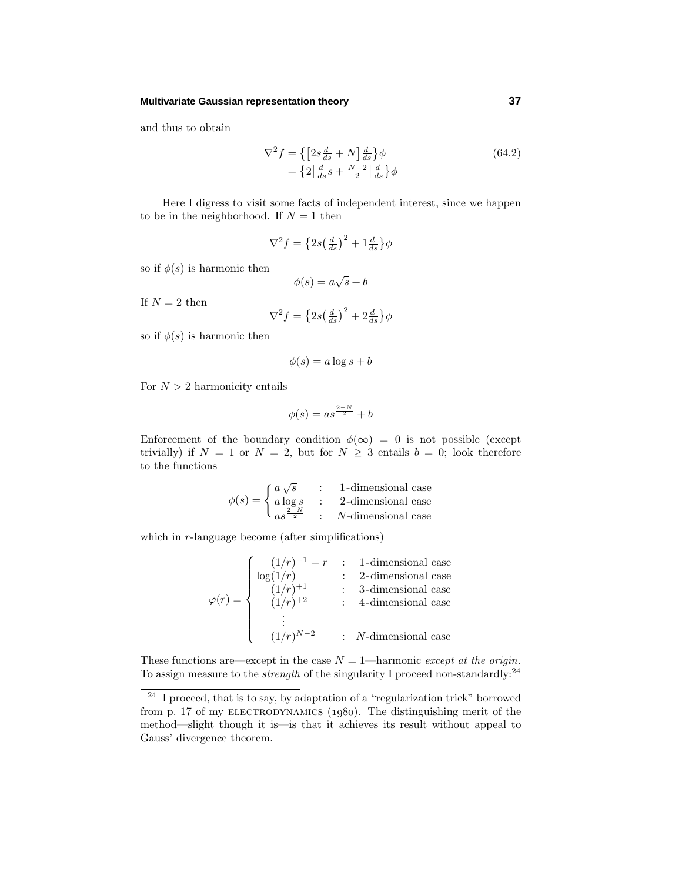#### **Multivariate Gaussian representation theory 37**

and thus to obtain

$$
\nabla^2 f = \left\{ \left[ 2s \frac{d}{ds} + N \right] \frac{d}{ds} \right\} \phi
$$
\n
$$
= \left\{ 2 \left[ \frac{d}{ds} s + \frac{N-2}{2} \right] \frac{d}{ds} \right\} \phi
$$
\n(64.2)

Here I digress to visit some facts of independent interest, since we happen to be in the neighborhood. If  $N = 1$  then

$$
\nabla^2 f = \left\{ 2s \left( \frac{d}{ds} \right)^2 + 1 \frac{d}{ds} \right\} \phi
$$

so if  $\phi(s)$  is harmonic then

$$
\phi(s) = a\sqrt{s} + b
$$

If  $N = 2$  then

$$
\nabla^2 f = \left\{ 2s \left( \frac{d}{ds} \right)^2 + 2 \frac{d}{ds} \right\} \phi
$$

so if  $\phi(s)$  is harmonic then

$$
\phi(s) = a \log s + b
$$

For  $N > 2$  harmonicity entails

$$
\phi(s) = as^{\frac{2-N}{2}} + b
$$

Enforcement of the boundary condition  $\phi(\infty) = 0$  is not possible (except trivially) if  $N = 1$  or  $N = 2$ , but for  $N \geq 3$  entails  $b = 0$ ; look therefore to the functions

$$
\phi(s) = \begin{cases} a\sqrt{s} & : \quad \text{1-dimensional case} \\ a\log s & : \quad \text{2-dimensional case} \\ as^{\frac{2-N}{2}} & : \quad N\text{-dimensional case} \end{cases}
$$

which in *r*-language become (after simplifications)

$$
\varphi(r) = \begin{cases}\n(1/r)^{-1} = r & : 1\text{-dimensional case} \\
\log(1/r) & : 2\text{-dimensional case} \\
(1/r)^{+1} & : 3\text{-dimensional case} \\
(1/r)^{+2} & : 4\text{-dimensional case} \\
\vdots \\
(1/r)^{N-2} & : N\text{-dimensional case}\n\end{cases}
$$

These functions are—except in the case  $N = 1$ —harmonic except at the origin. To assign measure to the *strength* of the singularity I proceed non-standardly:<sup>24</sup>

 $\overline{a^2}$  I proceed, that is to say, by adaptation of a "regularization trick" borrowed from p. 17 of my ELECTRODYNAMICS  $(1980)$ . The distinguishing merit of the method—slight though it is—is that it achieves its result without appeal to Gauss' divergence theorem.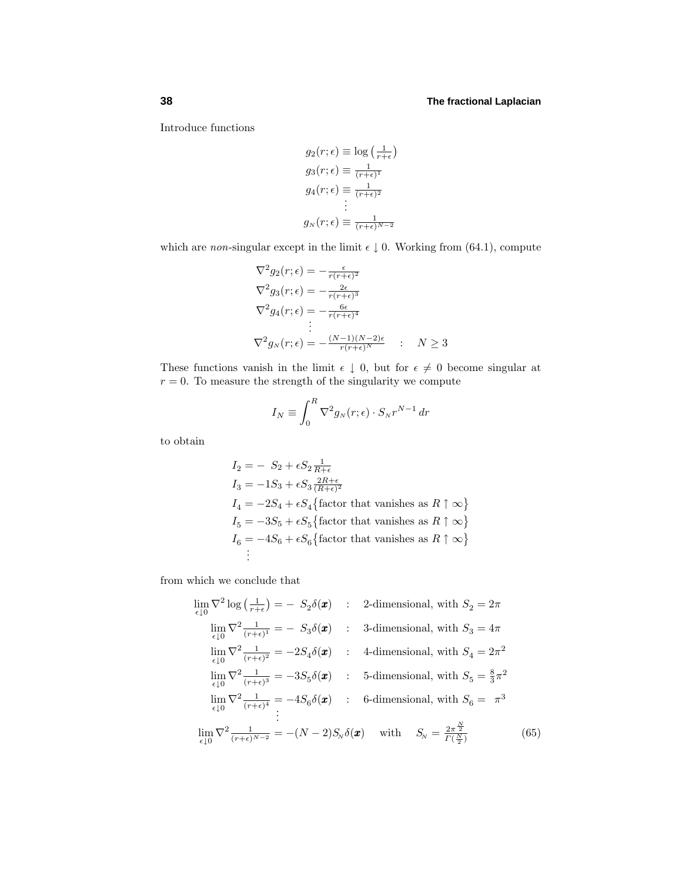Introduce functions

$$
g_2(r; \epsilon) \equiv \log \left(\frac{1}{r+\epsilon}\right)
$$
  
\n
$$
g_3(r; \epsilon) \equiv \frac{1}{(r+\epsilon)^1}
$$
  
\n
$$
g_4(r; \epsilon) \equiv \frac{1}{(r+\epsilon)^2}
$$
  
\n
$$
\vdots
$$
  
\n
$$
g_N(r; \epsilon) \equiv \frac{1}{(r+\epsilon)^{N-2}}
$$

which are *non*-singular except in the limit  $\epsilon \downarrow 0$ . Working from (64.1), compute

$$
\nabla^2 g_2(r;\epsilon) = -\frac{\epsilon}{r(r+\epsilon)^2}
$$
  
\n
$$
\nabla^2 g_3(r;\epsilon) = -\frac{2\epsilon}{r(r+\epsilon)^3}
$$
  
\n
$$
\nabla^2 g_4(r;\epsilon) = -\frac{6\epsilon}{r(r+\epsilon)^4}
$$
  
\n
$$
\vdots
$$
  
\n
$$
\nabla^2 g_N(r;\epsilon) = -\frac{(N-1)(N-2)\epsilon}{r(r+\epsilon)^N} \qquad N \ge 3
$$

These functions vanish in the limit  $\epsilon \downarrow 0$ , but for  $\epsilon \neq 0$  become singular at  $r = 0$ . To measure the strength of the singularity we compute

$$
I_N \equiv \int_0^R \nabla^2 g_N(r;\epsilon) \cdot S_N r^{N-1} \, dr
$$

to obtain

$$
I_2 = -S_2 + \epsilon S_2 \frac{1}{R+\epsilon}
$$
  
\n
$$
I_3 = -1S_3 + \epsilon S_3 \frac{2R+\epsilon}{(R+\epsilon)^2}
$$
  
\n
$$
I_4 = -2S_4 + \epsilon S_4 \{\text{factor that vanishes as } R \uparrow \infty \}
$$
  
\n
$$
I_5 = -3S_5 + \epsilon S_5 \{\text{factor that vanishes as } R \uparrow \infty \}
$$
  
\n
$$
I_6 = -4S_6 + \epsilon S_6 \{\text{factor that vanishes as } R \uparrow \infty \}
$$
  
\n
$$
\vdots
$$

from which we conclude that

$$
\lim_{\epsilon \downarrow 0} \nabla^2 \log \left( \frac{1}{r+\epsilon} \right) = - S_2 \delta(\boldsymbol{x}) \qquad : \qquad \text{2-dimensional, with } S_2 = 2\pi
$$
\n
$$
\lim_{\epsilon \downarrow 0} \nabla^2 \frac{1}{(r+\epsilon)^1} = - S_3 \delta(\boldsymbol{x}) \qquad : \qquad \text{3-dimensional, with } S_3 = 4\pi
$$
\n
$$
\lim_{\epsilon \downarrow 0} \nabla^2 \frac{1}{(r+\epsilon)^2} = -2S_4 \delta(\boldsymbol{x}) \qquad : \qquad \text{4-dimensional, with } S_4 = 2\pi^2
$$
\n
$$
\lim_{\epsilon \downarrow 0} \nabla^2 \frac{1}{(r+\epsilon)^3} = -3S_5 \delta(\boldsymbol{x}) \qquad : \qquad \text{5-dimensional, with } S_5 = \frac{8}{3}\pi^2
$$
\n
$$
\lim_{\epsilon \downarrow 0} \nabla^2 \frac{1}{(r+\epsilon)^4} = -4S_6 \delta(\boldsymbol{x}) \qquad : \qquad \text{6-dimensional, with } S_6 = \pi^3
$$
\n
$$
\lim_{\epsilon \downarrow 0} \nabla^2 \frac{1}{(r+\epsilon)^{N-2}} = -(N-2)S_N \delta(\boldsymbol{x}) \qquad \text{with } \quad S_N = \frac{2\pi^{\frac{N}{2}}}{\Gamma(\frac{N}{2})} \tag{65}
$$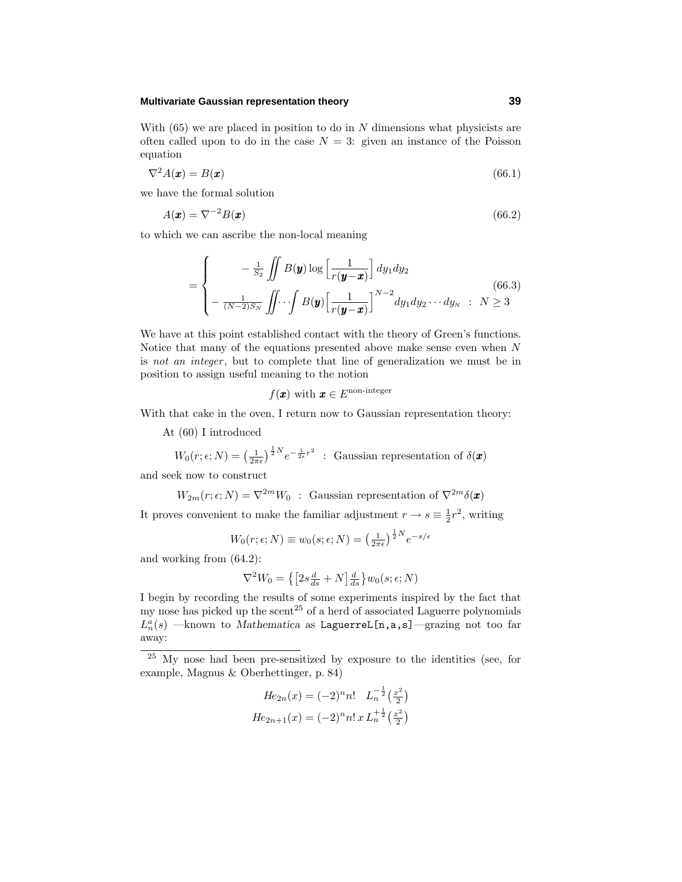## **Multivariate Gaussian representation theory 39**

With  $(65)$  we are placed in position to do in  $N$  dimensions what physicists are often called upon to do in the case  $N = 3$ : given an instance of the Poisson equation

$$
\nabla^2 A(\mathbf{x}) = B(\mathbf{x}) \tag{66.1}
$$

we have the formal solution

$$
A(\mathbf{x}) = \nabla^{-2} B(\mathbf{x}) \tag{66.2}
$$

to which we can ascribe the non-local meaning

$$
= \begin{cases}\n\quad -\frac{1}{S_2} \iint B(\mathbf{y}) \log \left[ \frac{1}{r(\mathbf{y} - \mathbf{x})} \right] dy_1 dy_2 \\
-\frac{1}{(N-2)S_N} \iint \cdots \int B(\mathbf{y}) \left[ \frac{1}{r(\mathbf{y} - \mathbf{x})} \right]^{N-2} dy_1 dy_2 \cdots dy_N \quad : \quad N \ge 3\n\end{cases} \tag{66.3}
$$

We have at this point established contact with the theory of Green's functions. Notice that many of the equations presented above make sense even when *N* is not an integer, but to complete that line of generalization we must be in position to assign useful meaning to the notion

$$
f(\pmb{x})\text{ with }\pmb{x}\in E^{\text{non-integer}}
$$

With that cake in the oven, I return now to Gaussian representation theory:

At (60) I introduced

$$
W_0(r; \epsilon; N) = \left(\frac{1}{2\pi\epsilon}\right)^{\frac{1}{2}N} e^{-\frac{1}{2\epsilon}r^2}
$$
: Gaussian representation of  $\delta(\boldsymbol{x})$ 

and seek now to construct

$$
W_{2m}(r; \epsilon; N) = \nabla^{2m} W_0
$$
: Gaussian representation of  $\nabla^{2m} \delta(\mathbf{x})$ 

It proves convenient to make the familiar adjustment  $r \to s \equiv \frac{1}{2}r^2$ , writing

$$
W_0(r; \epsilon; N) \equiv w_0(s; \epsilon; N) = \left(\frac{1}{2\pi\epsilon}\right)^{\frac{1}{2}N} e^{-s/\epsilon}
$$

and working from (64.2):

$$
\nabla^2 W_0 = \left\{ \left[ 2s \frac{d}{ds} + N \right] \frac{d}{ds} \right\} w_0(s; \epsilon; N)
$$

I begin by recording the results of some experiments inspired by the fact that my nose has picked up the scent<sup>25</sup> of a herd of associated Laguerre polynomials  $L_n^a(s)$  —known to *Mathematica* as LaguerreL[n,a,s]—grazing not too far away:

$$
He_{2n}(x) = (-2)^n n! \quad L_n^{-\frac{1}{2}} \left(\frac{x^2}{2}\right)
$$

$$
He_{2n+1}(x) = (-2)^n n! \, x \, L_n^{+\frac{1}{2}} \left(\frac{x^2}{2}\right)
$$

<sup>&</sup>lt;sup>25</sup> My nose had been pre-sensitized by exposure to the identities (see, for example, Magnus & Oberhettinger, p. 84)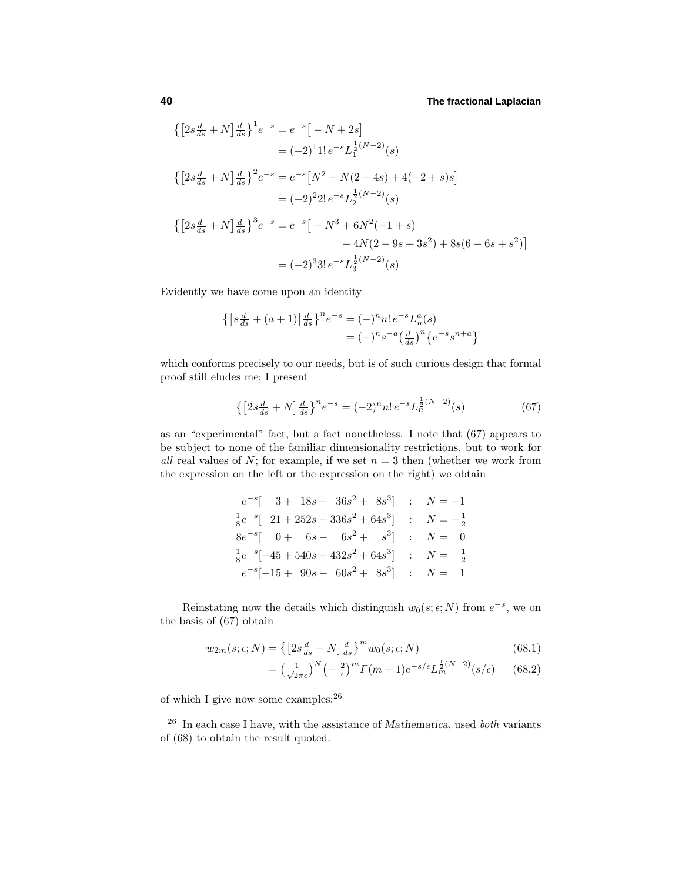$$
\begin{aligned}\n\left\{\left[2s\frac{d}{ds} + N\right]\frac{d}{ds}\right\}^{1}e^{-s} &= e^{-s}\left[-N+2s\right] \\
&= (-2)^{1}1! \, e^{-s}L_{1}^{\frac{1}{2}(N-2)}(s) \\
\left\{\left[2s\frac{d}{ds} + N\right]\frac{d}{ds}\right\}^{2}e^{-s} &= e^{-s}\left[N^{2} + N(2-4s) + 4(-2+s)s\right] \\
&= (-2)^{2}2! \, e^{-s}L_{2}^{\frac{1}{2}(N-2)}(s) \\
\left\{\left[2s\frac{d}{ds} + N\right]\frac{d}{ds}\right\}^{3}e^{-s} &= e^{-s}\left[-N^{3} + 6N^{2}(-1+s) \\
&-4N(2-9s+3s^{2}) + 8s(6-6s+s^{2})\right] \\
&= (-2)^{3}3! \, e^{-s}L_{3}^{\frac{1}{2}(N-2)}(s)\n\end{aligned}
$$

Evidently we have come upon an identity

$$
\begin{aligned} \left\{ \left[ s \frac{d}{ds} + (a+1) \right] \frac{d}{ds} \right\}^n e^{-s} &= (-)^n n! \, e^{-s} L_n^a(s) \\ &= (-)^n s^{-a} \left( \frac{d}{ds} \right)^n \left\{ e^{-s} s^{n+a} \right\} \end{aligned}
$$

which conforms precisely to our needs, but is of such curious design that formal proof still eludes me; I present

$$
\left\{ \left[ 2s \frac{d}{ds} + N \right] \frac{d}{ds} \right\}^n e^{-s} = (-2)^n n! \, e^{-s} L_n^{\frac{1}{2}(N-2)}(s) \tag{67}
$$

as an "experimental" fact, but a fact nonetheless. I note that  $(67)$  appears to be subject to none of the familiar dimensionality restrictions, but to work for all real values of N; for example, if we set  $n=3$  then (whether we work from the expression on the left or the expression on the right) we obtain

$$
e^{-s} \begin{bmatrix} 3+18s-36s^2+8s^3 \\ \frac{1}{8}e^{-s} \begin{bmatrix} 21+252s-336s^2+64s^3 \\ 0+6s-6s^2+s^3 \end{bmatrix} & ; N = -\frac{1}{2} \\ 8e^{-s} \begin{bmatrix} 0+6s-6s^2+s^3 \\ \frac{1}{8}e^{-s} \begin{bmatrix} -45+540s-432s^2+64s^3 \\ -15+90s-60s^2+8s^3 \end{bmatrix} & ; N = \frac{1}{2} \\ 0 & ; N = 1 \end{bmatrix}
$$

Reinstating now the details which distinguish  $w_0(s; \epsilon; N)$  from  $e^{-s}$ , we on the basis of  $(67)$  obtain

$$
w_{2m}(s; \epsilon; N) = \left\{ \left[ 2s \frac{d}{ds} + N \right] \frac{d}{ds} \right\}^m w_0(s; \epsilon; N) \tag{68.1}
$$

$$
= \left(\frac{1}{\sqrt{2\pi\epsilon}}\right)^N \left(-\frac{2}{\epsilon}\right)^m \Gamma(m+1) e^{-s/\epsilon} L_m^{\frac{1}{2}(N-2)}(s/\epsilon) \tag{68.2}
$$

of which I give now some examples:  $^{26}$ 

<sup>26</sup> In each case I have, with the assistance of *Mathematica*, used both variants of  $(68)$  to obtain the result quoted.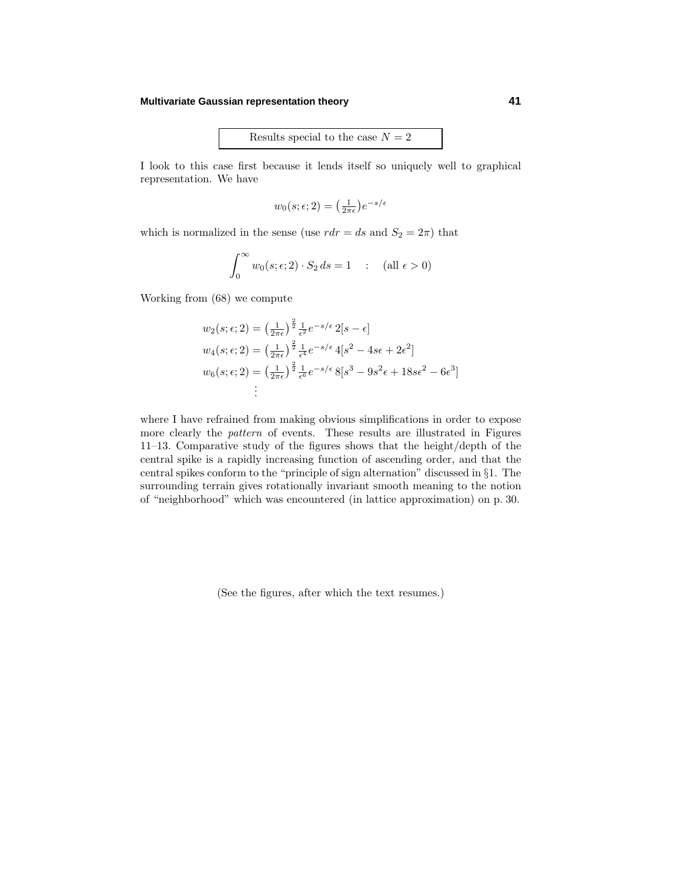## **Multivariate Gaussian representation theory 41**

Results special to the case  $N = 2$ 

I look to this case first because it lends itself so uniquely well to graphical representation. We have

$$
w_0(s; \epsilon; 2) = \left(\frac{1}{2\pi\epsilon}\right) e^{-s/\epsilon}
$$

which is normalized in the sense (use  $rdr = ds$  and  $S_2 = 2\pi$ ) that

$$
\int_0^\infty w_0(s;\epsilon; 2) \cdot S_2 \, ds = 1 \quad : \quad \text{(all } \epsilon > 0\text{)}
$$

Working from  $(68)$  we compute

$$
w_2(s; \epsilon; 2) = \left(\frac{1}{2\pi\epsilon}\right)^{\frac{2}{2}} \frac{1}{\epsilon^2} e^{-s/\epsilon} 2[s - \epsilon]
$$
  
\n
$$
w_4(s; \epsilon; 2) = \left(\frac{1}{2\pi\epsilon}\right)^{\frac{2}{2}} \frac{1}{\epsilon^4} e^{-s/\epsilon} 4[s^2 - 4s\epsilon + 2\epsilon^2]
$$
  
\n
$$
w_6(s; \epsilon; 2) = \left(\frac{1}{2\pi\epsilon}\right)^{\frac{2}{2}} \frac{1}{\epsilon^6} e^{-s/\epsilon} 8[s^3 - 9s^2\epsilon + 18s\epsilon^2 - 6\epsilon^3]
$$
  
\n
$$
\vdots
$$

where I have refrained from making obvious simplifications in order to expose more clearly the pattern of events. These results are illustrated in Figures 11–13. Comparative study of the figures shows that the height/depth of the central spike is a rapidly increasing function of ascending order, and that the central spikes conform to the "principle of sign alternation" discussed in §1. The surrounding terrain gives rotationally invariant smooth meaning to the notion of "neighborhood" which was encountered (in lattice approximation) on p. 30.

(See the figures, after which the text resumes.)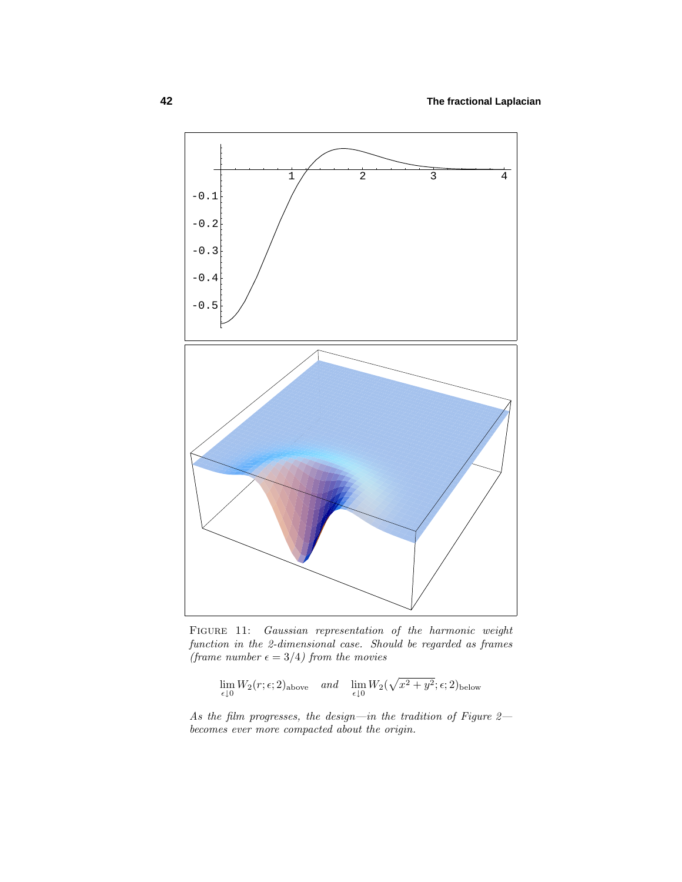

FIGURE 11: Gaussian representation of the harmonic weight function in the 2-dimensional case. Should be regarded as frames (frame number  $\epsilon = 3/4$ ) from the movies

$$
\lim_{\epsilon \downarrow 0} W_2(r; \epsilon; 2)_{\text{above}} \quad \text{and} \quad \lim_{\epsilon \downarrow 0} W_2(\sqrt{x^2 + y^2}; \epsilon; 2)_{\text{below}}
$$

As the film progresses, the design—in the tradition of Figure 2 becomes ever more compacted about the origin.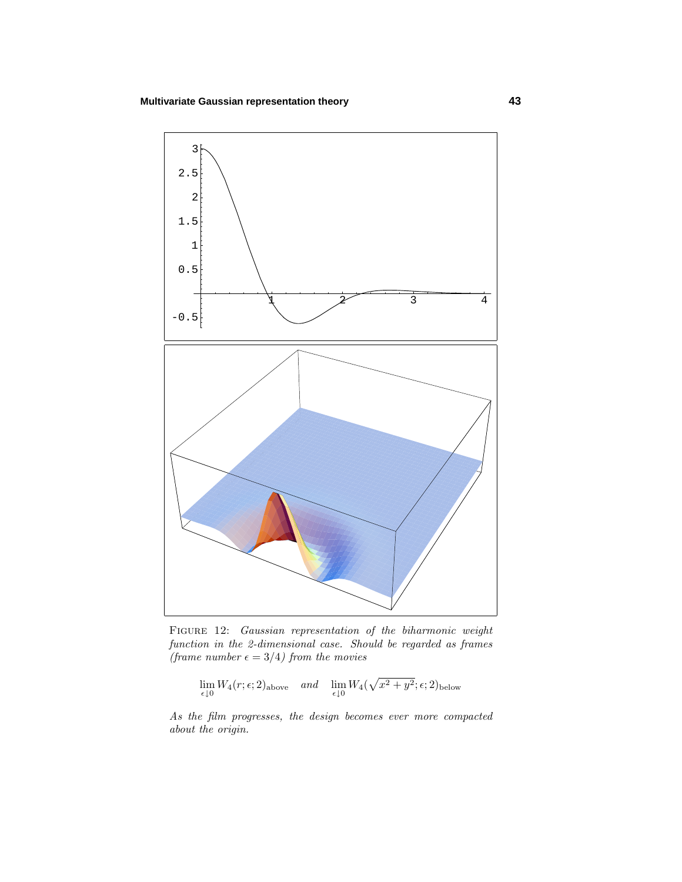

FIGURE 12: Gaussian representation of the biharmonic weight function in the 2-dimensional case. Should be regarded as frames (frame number  $\epsilon = 3/4$ ) from the movies

$$
\lim_{\epsilon \downarrow 0} W_4(r;\epsilon;2)_{\text{above}} \quad \text{and} \quad \lim_{\epsilon \downarrow 0} W_4(\sqrt{x^2+y^2};\epsilon;2)_{\text{below}}
$$

As the film progresses, the design becomes ever more compacted about the origin.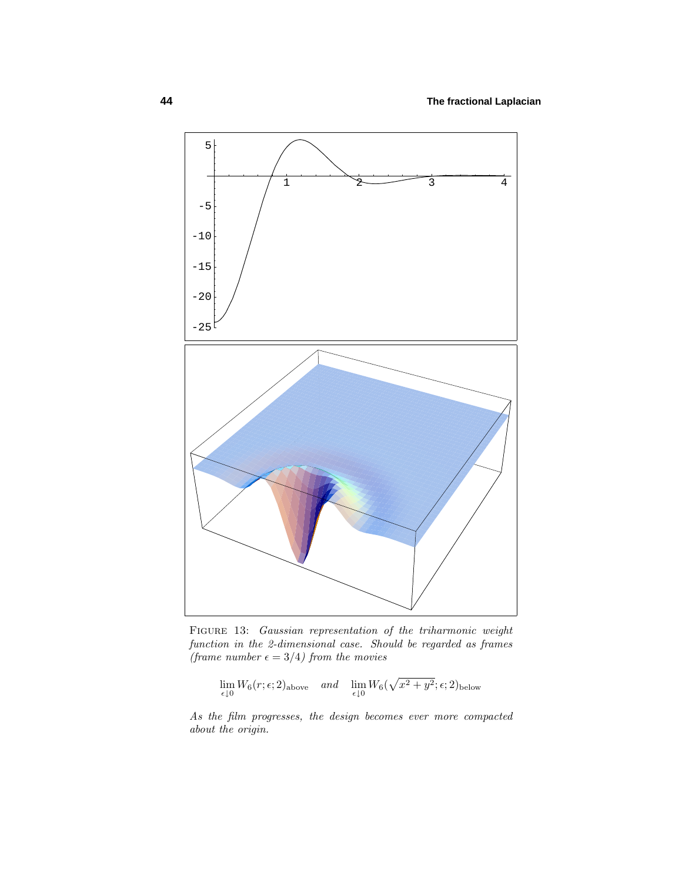

FIGURE 13: Gaussian representation of the triharmonic weight function in the 2-dimensional case. Should be regarded as frames (frame number  $\epsilon = 3/4$ ) from the movies

$$
\lim_{\epsilon \downarrow 0} W_6(r;\epsilon;2)_{\text{above}} \quad \text{and} \quad \lim_{\epsilon \downarrow 0} W_6(\sqrt{x^2 + y^2};\epsilon;2)_{\text{below}}
$$

As the film progresses, the design becomes ever more compacted about the origin.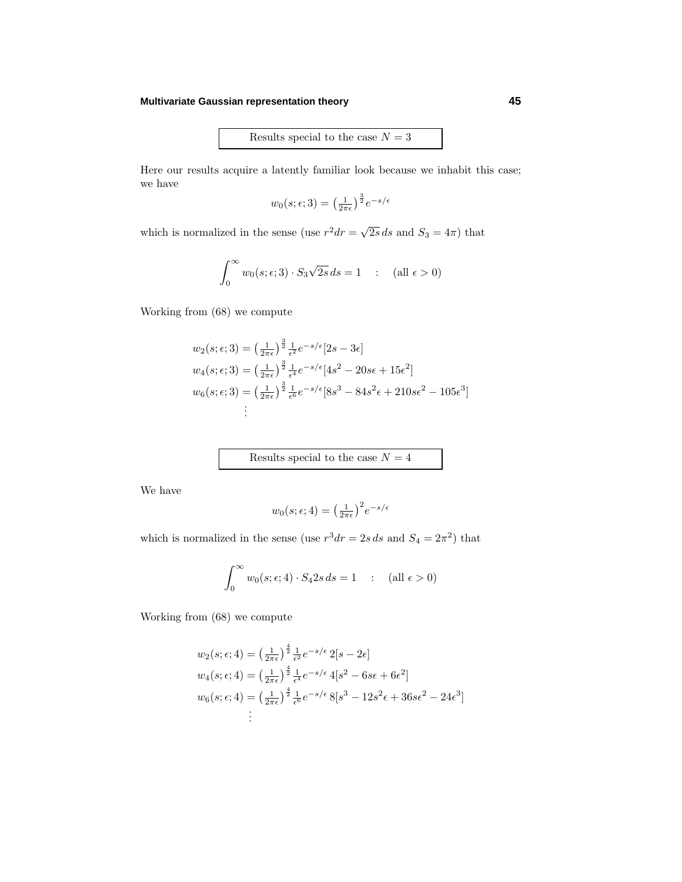## **Multivariate Gaussian representation theory 45**

Results special to the case  $N = 3$ 

Here our results acquire a latently familiar look because we inhabit this case; we have

$$
w_0(s; \epsilon; 3) = \left(\frac{1}{2\pi\epsilon}\right)^{\frac{3}{2}} e^{-s/\epsilon}
$$

which is normalized in the sense (use  $r^2 dr = \sqrt{2s} ds$  and  $S_3 = 4\pi$ ) that

$$
\int_0^\infty w_0(s; \epsilon; 3) \cdot S_3 \sqrt{2s} \, ds = 1 \quad : \quad (\text{all } \epsilon > 0)
$$

Working from  $(68)$  we compute

$$
w_2(s; \epsilon; 3) = \left(\frac{1}{2\pi\epsilon}\right)^{\frac{3}{2}} \frac{1}{\epsilon^2} e^{-s/\epsilon} [2s - 3\epsilon]
$$
  
\n
$$
w_4(s; \epsilon; 3) = \left(\frac{1}{2\pi\epsilon}\right)^{\frac{3}{2}} \frac{1}{\epsilon^4} e^{-s/\epsilon} [4s^2 - 20s\epsilon + 15\epsilon^2]
$$
  
\n
$$
w_6(s; \epsilon; 3) = \left(\frac{1}{2\pi\epsilon}\right)^{\frac{3}{2}} \frac{1}{\epsilon^6} e^{-s/\epsilon} [8s^3 - 84s^2\epsilon + 210s\epsilon^2 - 105\epsilon^3]
$$
  
\n
$$
\vdots
$$

Results special to the case  ${\cal N}=4$ 

We have

$$
w_0(s; \epsilon; 4) = \left(\frac{1}{2\pi\epsilon}\right)^2 e^{-s/\epsilon}
$$

which is normalized in the sense (use  $r^3 dr = 2s ds$  and  $S_4 = 2\pi^2$ ) that

$$
\int_0^\infty w_0(s;\epsilon;4) \cdot S_4 2s \, ds = 1 \quad : \quad \text{(all } \epsilon > 0\text{)}
$$

Working from  $(68)$  we compute

$$
w_2(s; \epsilon; 4) = \left(\frac{1}{2\pi\epsilon}\right)^{\frac{4}{2}} \frac{1}{\epsilon^2} e^{-s/\epsilon} 2[s - 2\epsilon]
$$
  
\n
$$
w_4(s; \epsilon; 4) = \left(\frac{1}{2\pi\epsilon}\right)^{\frac{4}{2}} \frac{1}{\epsilon^4} e^{-s/\epsilon} 4[s^2 - 6s\epsilon + 6\epsilon^2]
$$
  
\n
$$
w_6(s; \epsilon; 4) = \left(\frac{1}{2\pi\epsilon}\right)^{\frac{4}{2}} \frac{1}{\epsilon^6} e^{-s/\epsilon} 8[s^3 - 12s^2\epsilon + 36s\epsilon^2 - 24\epsilon^3]
$$
  
\n
$$
\vdots
$$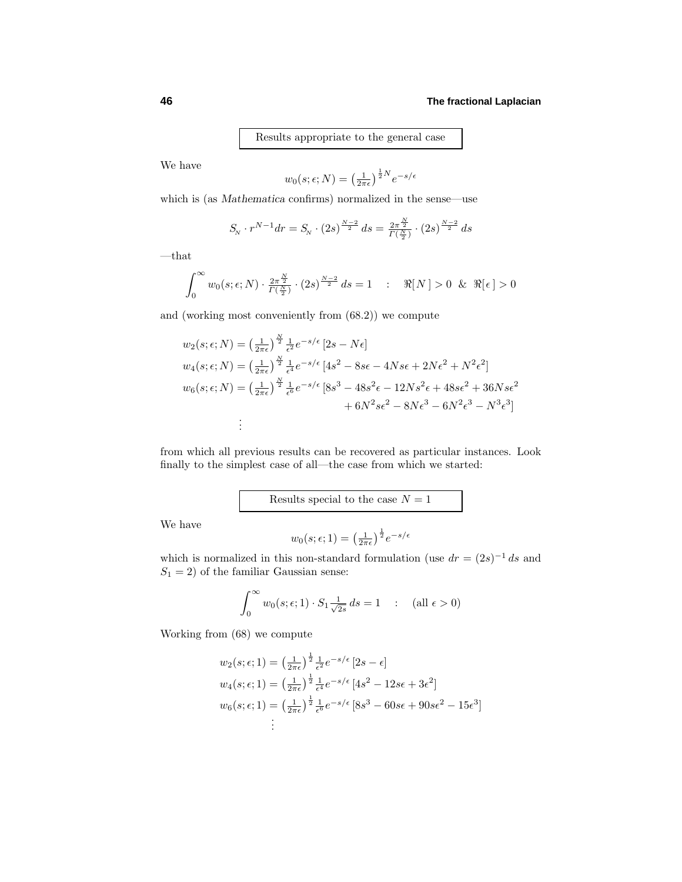Results appropriate to the general case

We have

$$
w_0(s; \epsilon; N) = \left(\frac{1}{2\pi\epsilon}\right)^{\frac{1}{2}N} e^{-s/\epsilon}
$$

which is (as *Mathematica* confirms) normalized in the sense—use

$$
S_{N} \cdot r^{N-1} dr = S_{N} \cdot (2s)^{\frac{N-2}{2}} ds = \frac{2\pi^{\frac{N}{2}}}{\Gamma(\frac{N}{2})} \cdot (2s)^{\frac{N-2}{2}} ds
$$

 $-\!$  that

$$
\int_0^\infty w_0(s;\epsilon;N) \cdot \frac{2\pi^{\frac{N}{2}}}{\Gamma(\frac{N}{2})} \cdot (2s)^{\frac{N-2}{2}} ds = 1 \quad : \quad \Re[N] > 0 \ \& \ \Re[\epsilon] > 0
$$

and (working most conveniently from (68.2)) we compute

$$
w_2(s; \epsilon; N) = \left(\frac{1}{2\pi\epsilon}\right)^{\frac{N}{2}} \frac{1}{\epsilon^2} e^{-s/\epsilon} \left[2s - N\epsilon\right]
$$
  
\n
$$
w_4(s; \epsilon; N) = \left(\frac{1}{2\pi\epsilon}\right)^{\frac{N}{2}} \frac{1}{\epsilon^4} e^{-s/\epsilon} \left[4s^2 - 8s\epsilon - 4Ns\epsilon + 2N\epsilon^2 + N^2\epsilon^2\right]
$$
  
\n
$$
w_6(s; \epsilon; N) = \left(\frac{1}{2\pi\epsilon}\right)^{\frac{N}{2}} \frac{1}{\epsilon^6} e^{-s/\epsilon} \left[8s^3 - 48s^2\epsilon - 12Ns^2\epsilon + 48s\epsilon^2 + 36Ns\epsilon^2 + 6N^2s\epsilon^2 - 8N\epsilon^3 - 6N^2\epsilon^3 - N^3\epsilon^3\right]
$$
  
\n:  
\n:

from which all previous results can be recovered as particular instances. Look finally to the simplest case of all—the case from which we started:

Results special to the case  $N = 1$ 

We have

$$
w_0(s; \epsilon; 1) = \left(\frac{1}{2\pi\epsilon}\right)^{\frac{1}{2}} e^{-s/\epsilon}
$$

which is normalized in this non-standard formulation (use  $dr = (2s)^{-1} ds$  and  $S_1 = 2$ ) of the familiar Gaussian sense:

$$
\int_0^\infty w_0(s;\epsilon;1) \cdot S_1 \frac{1}{\sqrt{2s}} ds = 1 \quad : \quad (\text{all } \epsilon > 0)
$$

Working from  $(68)$  we compute

$$
w_2(s; \epsilon; 1) = \left(\frac{1}{2\pi\epsilon}\right)^{\frac{1}{2}} \frac{1}{\epsilon^2} e^{-s/\epsilon} \left[2s - \epsilon\right]
$$
  
\n
$$
w_4(s; \epsilon; 1) = \left(\frac{1}{2\pi\epsilon}\right)^{\frac{1}{2}} \frac{1}{\epsilon^4} e^{-s/\epsilon} \left[4s^2 - 12s\epsilon + 3\epsilon^2\right]
$$
  
\n
$$
w_6(s; \epsilon; 1) = \left(\frac{1}{2\pi\epsilon}\right)^{\frac{1}{2}} \frac{1}{\epsilon^6} e^{-s/\epsilon} \left[8s^3 - 60s\epsilon + 90s\epsilon^2 - 15\epsilon^3\right]
$$
  
\n
$$
\vdots
$$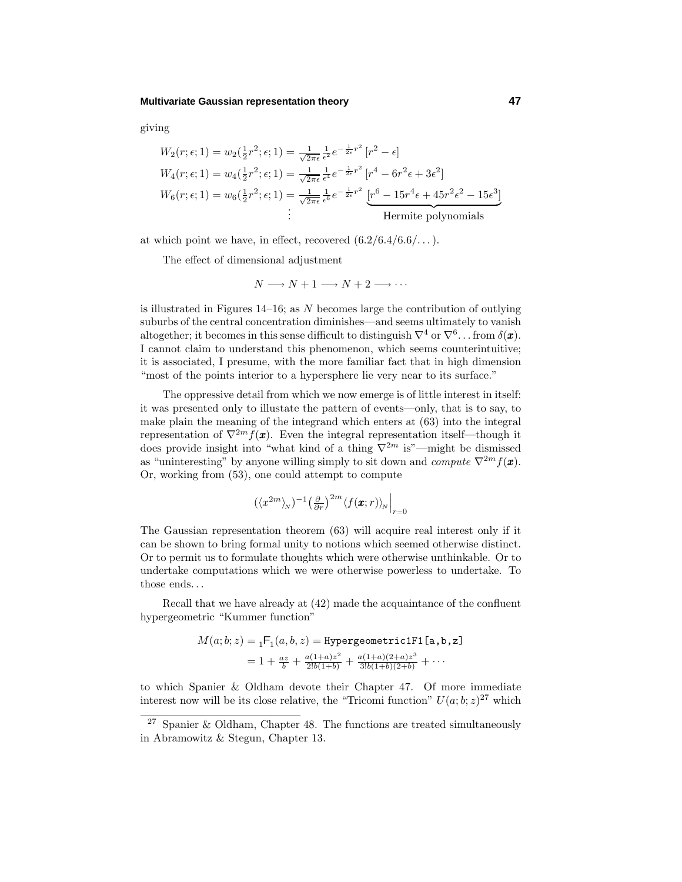## **Multivariate Gaussian representation theory 47**

giving

$$
W_2(r; \epsilon; 1) = w_2(\frac{1}{2}r^2; \epsilon; 1) = \frac{1}{\sqrt{2\pi\epsilon}}\frac{1}{\epsilon^2}e^{-\frac{1}{2\epsilon}r^2}[r^2 - \epsilon]
$$
  
\n
$$
W_4(r; \epsilon; 1) = w_4(\frac{1}{2}r^2; \epsilon; 1) = \frac{1}{\sqrt{2\pi\epsilon}}\frac{1}{\epsilon^4}e^{-\frac{1}{2\epsilon}r^2}[r^4 - 6r^2\epsilon + 3\epsilon^2]
$$
  
\n
$$
W_6(r; \epsilon; 1) = w_6(\frac{1}{2}r^2; \epsilon; 1) = \frac{1}{\sqrt{2\pi\epsilon}}\frac{1}{\epsilon^6}e^{-\frac{1}{2\epsilon}r^2}\underbrace{[r^6 - 15r^4\epsilon + 45r^2\epsilon^2 - 15\epsilon^3]}_{\text{Hermite polynomials}}
$$

at which point we have, in effect, recovered  $(6.2/6.4/6.6/\ldots)$ .

The effect of dimensional adjustment

$$
N \longrightarrow N+1 \longrightarrow N+2 \longrightarrow \cdots
$$

is illustrated in Figures 14–16; as *N* becomes large the contribution of outlying suburbs of the central concentration diminishes—and seems ultimately to vanish altogether; it becomes in this sense difficult to distinguish  $\nabla^4$  or  $\nabla^6$ ... from  $\delta(\mathbf{x})$ . I cannot claim to understand this phenomenon, which seems counterintuitive; it is associated, I presume, with the more familiar fact that in high dimension "most of the points interior to a hypersphere lie very near to its surface."

The oppressive detail from which we now emerge is of little interest in itself: it was presented only to illustate the pattern of events—only, that is to say, to make plain the meaning of the integrand which enters at  $(63)$  into the integral representation of  $\nabla^{2m} f(\mathbf{x})$ . Even the integral representation itself—though it does provide insight into "what kind of a thing  $\nabla^{2m}$  is"—might be dismissed as "uninteresting" by anyone willing simply to sit down and *compute*  $\nabla^{2m} f(\boldsymbol{x})$ . Or, working from (53), one could attempt to compute

$$
(\langle x^{2m}\rangle_{N})^{-1} \left(\frac{\partial}{\partial r}\right)^{2m} \langle f(\pmb{x};r)\rangle_{N}\Big|_{r=0}
$$

The Gaussian representation theorem  $(63)$  will acquire real interest only if it can be shown to bring formal unity to notions which seemed otherwise distinct. Or to permit us to formulate thoughts which were otherwise unthinkable. Or to undertake computations which we were otherwise powerless to undertake. To those ends*...*

Recall that we have already at  $(42)$  made the acquaintance of the confluent hypergeometric "Kummer function"

$$
M(a; b; z) = {}_1F_1(a, b, z) = \text{Hypergeometric1F1[a, b, z]}
$$
  
= 1 +  $\frac{az}{b}$  +  $\frac{a(1+a)z^2}{2!b(1+b)}$  +  $\frac{a(1+a)(2+a)z^3}{3!b(1+b)(2+b)}$  + ...

to which Spanier & Oldham devote their Chapter 47. Of more immediate interest now will be its close relative, the "Tricomi function"  $U(a; b; z)^{27}$  which

<sup>27</sup> Spanier & Oldham, Chapter 48. The functions are treated simultaneously in Abramowitz & Stegun, Chapter 13.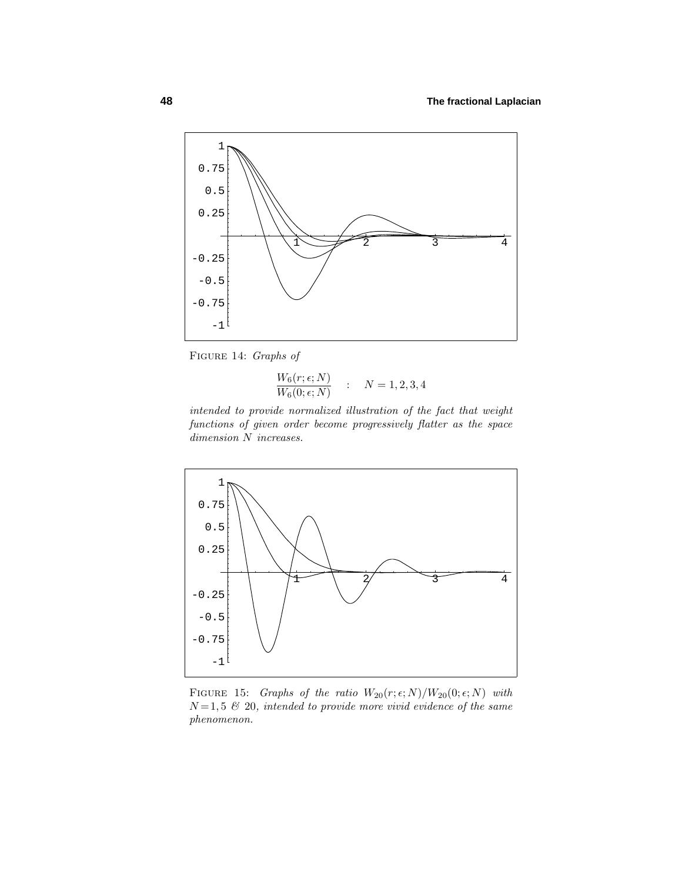

Figure 14: Graphs of

$$
\frac{W_6(r;\epsilon;N)}{W_6(0;\epsilon;N)} \qquad ; \qquad N = 1,2,3,4
$$

intended to provide normalized illustration of the fact that weight functions of given order become progressively flatter as the space dimension *N* increases.



FIGURE 15: Graphs of the ratio  $W_{20}(r; \epsilon; N)/W_{20}(0; \epsilon; N)$  with  $N=1,5,5,20$ , intended to provide more vivid evidence of the same phenomenon.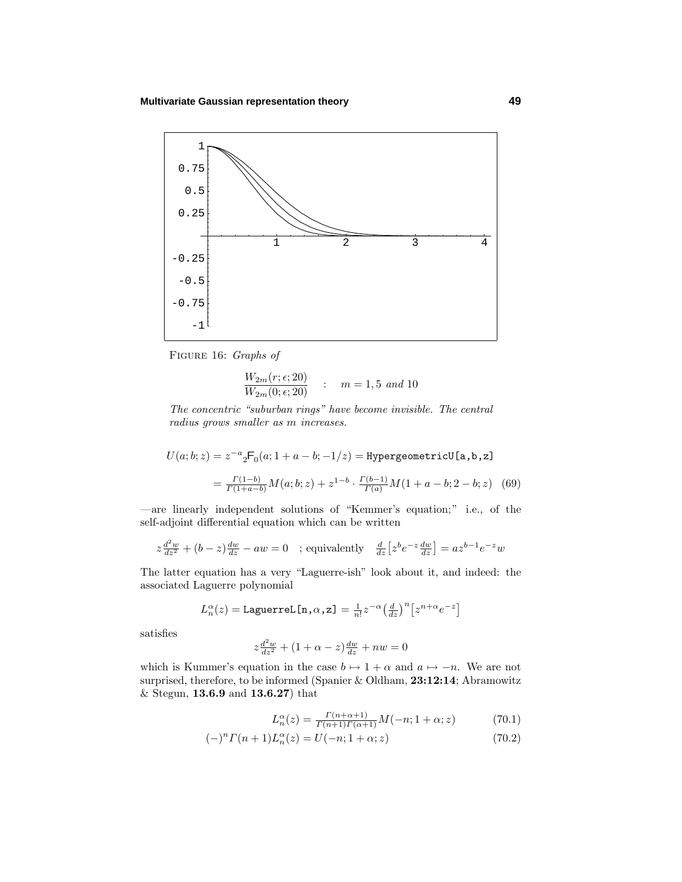

Figure 16: Graphs of

$$
\frac{W_{2m}(r; \epsilon; 20)}{W_{2m}(0; \epsilon; 20)} \qquad : \qquad m = 1, 5 \text{ and } 10
$$

The concentric "suburban rings" have become invisible. The central radius grows smaller as *m* increases.

$$
U(a; b; z) = z^{-a} {}_{2}F_{0}(a; 1 + a - b; -1/z) = \text{HypergeometricU[a, b, z]}
$$

$$
= \frac{\Gamma(1-b)}{\Gamma(1+a-b)} M(a; b; z) + z^{1-b} \cdot \frac{\Gamma(b-1)}{\Gamma(a)} M(1+a-b; 2-b; z) \quad (69)
$$

—are linearly independent solutions of "Kemmer's equation;" i.e., of the self-adjoint differential equation which can be written

$$
z\frac{d^2w}{dz^2} + (b-z)\frac{dw}{dz} - aw = 0 \quad ; \text{equivalently} \quad \frac{d}{dz}\left[z^b e^{-z} \frac{dw}{dz}\right] = az^{b-1}e^{-z}w
$$

The latter equation has a very "Laguerre-ish" look about it, and indeed: the associated Laguerre polynomial

$$
L_n^{\alpha}(z) = \text{Laguerrel}[n, \alpha, z] = \frac{1}{n!} z^{-\alpha} \left(\frac{d}{dz}\right)^n \left[z^{n+\alpha} e^{-z}\right]
$$

satisfies

$$
z\frac{d^2w}{dz^2} + (1+\alpha-z)\frac{dw}{dz} + nw = 0
$$

which is Kummer's equation in the case  $b \mapsto 1 + \alpha$  and  $a \mapsto -n$ . We are not surprised, therefore, to be informed (Spanier & Oldham, **23:12:14**; Abramowitz & Stegun, **13.6.9** and **13.6.27**) that

$$
L_n^{\alpha}(z) = \frac{\Gamma(n+\alpha+1)}{\Gamma(n+1)\Gamma(\alpha+1)} M(-n; 1+\alpha; z)
$$
\n(70.1)

$$
(-)^{n} \Gamma(n+1) L_{n}^{\alpha}(z) = U(-n; 1+\alpha; z)
$$
\n(70.2)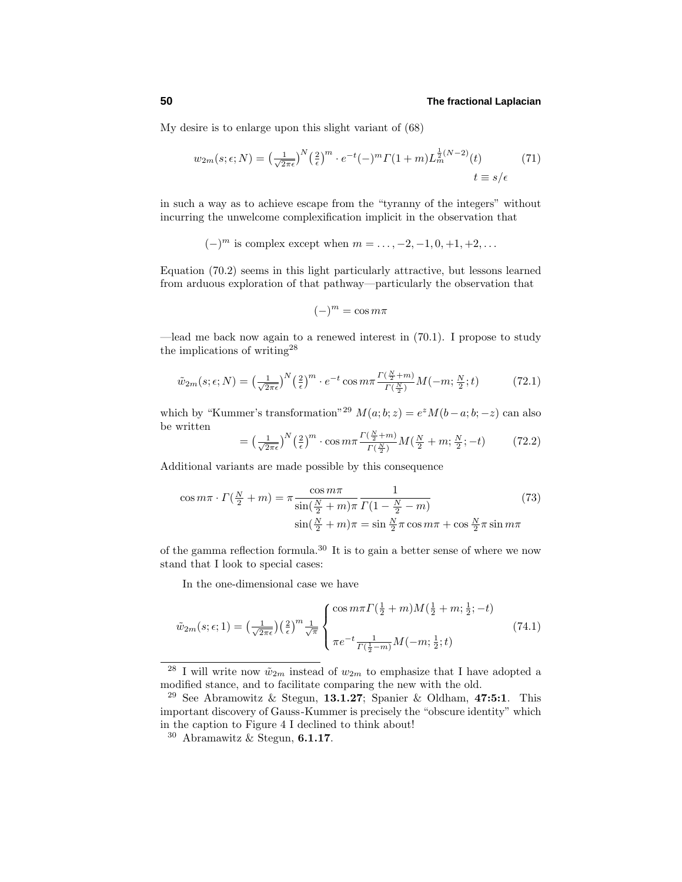My desire is to enlarge upon this slight variant of (68)

$$
w_{2m}(s; \epsilon; N) = \left(\frac{1}{\sqrt{2\pi\epsilon}}\right)^N \left(\frac{2}{\epsilon}\right)^m \cdot e^{-t}(-)^m \Gamma(1+m) L_m^{\frac{1}{2}(N-2)}(t) \qquad (71)
$$

$$
t \equiv s/\epsilon
$$

in such a way as to achieve escape from the "tyranny of the integers" without incurring the unwelcome complexification implicit in the observation that

(−)*<sup>m</sup>* is complex except when *m* = *...,* −2*,* −1*,* 0*,* +1*,* +2*,...*

Equation  $(70.2)$  seems in this light particularly attractive, but lessons learned from arduous exploration of that pathway—particularly the observation that

$$
(-)^m = \cos m\pi
$$

—lead me back now again to a renewed interest in (70.1). I propose to study the implications of writing<sup>28</sup>

$$
\tilde{w}_{2m}(s;\epsilon;N) = \left(\frac{1}{\sqrt{2\pi\epsilon}}\right)^N \left(\frac{2}{\epsilon}\right)^m \cdot e^{-t} \cos m\pi \frac{\Gamma(\frac{N}{2}+m)}{\Gamma(\frac{N}{2})} M(-m;\frac{N}{2};t) \tag{72.1}
$$

which by "Kummer's transformation"<sup>29</sup>  $M(a;b;z) = e^z M(b-a;b;-z)$  can also be written

$$
= \left(\frac{1}{\sqrt{2\pi\epsilon}}\right)^N \left(\frac{2}{\epsilon}\right)^m \cdot \cos m\pi \frac{\Gamma(\frac{N}{2}+m)}{\Gamma(\frac{N}{2})} M(\frac{N}{2}+m;\frac{N}{2};-t) \tag{72.2}
$$

Additional variants are made possible by this consequence

$$
\cos m\pi \cdot \Gamma(\frac{N}{2} + m) = \pi \frac{\cos m\pi}{\sin(\frac{N}{2} + m)\pi} \frac{1}{\Gamma(1 - \frac{N}{2} - m)}
$$
(73)  

$$
\sin(\frac{N}{2} + m)\pi = \sin \frac{N}{2}\pi \cos m\pi + \cos \frac{N}{2}\pi \sin m\pi
$$

of the gamma reflection formula.<sup>30</sup> It is to gain a better sense of where we now stand that I look to special cases:

In the one-dimensional case we have

$$
\tilde{w}_{2m}(s; \epsilon; 1) = \left(\frac{1}{\sqrt{2\pi\epsilon}}\right) \left(\frac{2}{\epsilon}\right)^m \frac{1}{\sqrt{\pi}} \begin{cases} \cos m\pi \Gamma\left(\frac{1}{2}+m\right) M\left(\frac{1}{2}+m;\frac{1}{2};-t\right) \\ \pi e^{-t} \frac{1}{\Gamma\left(\frac{1}{2}-m\right)} M\left(-m;\frac{1}{2};t\right) \end{cases} \tag{74.1}
$$

<sup>&</sup>lt;sup>28</sup> I will write now  $\tilde{w}_{2m}$  instead of  $w_{2m}$  to emphasize that I have adopted a modified stance, and to facilitate comparing the new with the old.

<sup>29</sup> See Abramowitz & Stegun, **13.1.27**; Spanier & Oldham, **47:5:1**. This important discovery of Gauss-Kummer is precisely the "obscure identity" which in the caption to Figure 4 I declined to think about!

<sup>30</sup> Abramawitz & Stegun, **6.1.17**.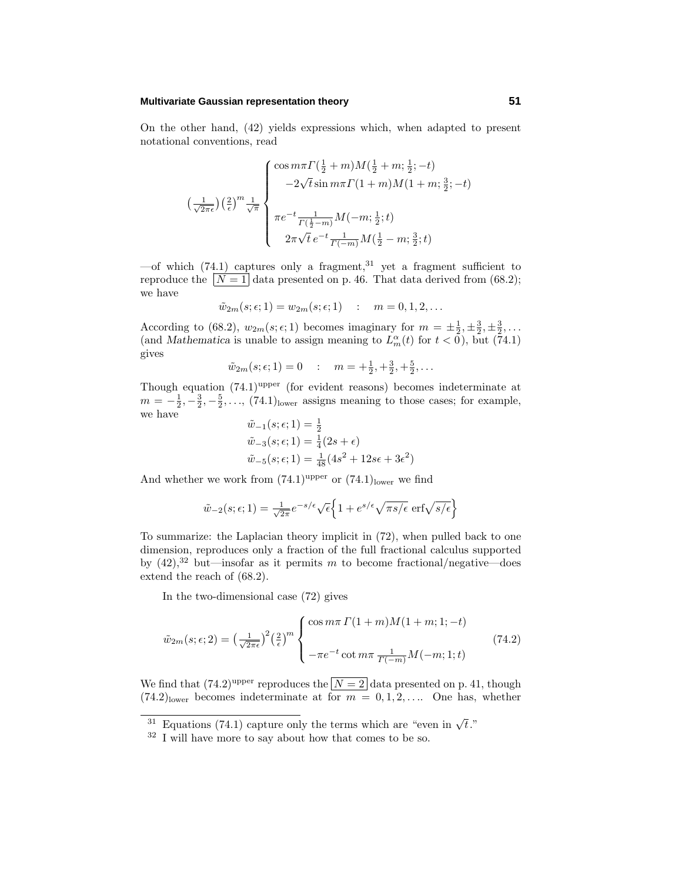## **Multivariate Gaussian representation theory 51**

On the other hand,  $(42)$  yields expressions which, when adapted to present notational conventions, read

$$
\left(\frac{1}{\sqrt{2\pi\epsilon}}\right) \left(\frac{2}{\epsilon}\right)^m \frac{1}{\sqrt{\pi}} \left\{ \begin{array}{l} \cos m\pi \Gamma(\frac{1}{2}+m)M(\frac{1}{2}+m;\frac{1}{2};-t) \\ \qquad -2\sqrt{t}\sin m\pi \Gamma(1+m)M(1+m;\frac{3}{2};-t) \\ \\ \pi e^{-t} \frac{1}{\Gamma(\frac{1}{2}-m)}M(-m;\frac{1}{2};t) \\ 2\pi\sqrt{t}e^{-t} \frac{1}{\Gamma(-m)}M(\frac{1}{2}-m;\frac{3}{2};t) \end{array} \right.
$$

—of which (74.1) captures only a fragment,<sup>31</sup> yet a fragment sufficient to reproduce the  $\boxed{N=1}$  data presented on p. 46. That data derived from (68.2); we have

$$
\tilde{w}_{2m}(s; \epsilon; 1) = w_{2m}(s; \epsilon; 1) \quad : \quad m = 0, 1, 2, ...
$$

According to (68.2),  $w_{2m}(s; \epsilon; 1)$  becomes imaginary for  $m = \pm \frac{1}{2}, \pm \frac{3}{2}, \pm \frac{3}{2}, \ldots$ (and *Mathematica* is unable to assign meaning to  $L_m^{\alpha}(t)$  for  $t < 0$ ), but (74.1) gives

$$
\tilde{w}_{2m}(s; \epsilon; 1) = 0
$$
 :  $m = +\frac{1}{2}, +\frac{3}{2}, +\frac{5}{2}, \dots$ 

Though equation  $(74.1)^{\text{upper}}$  (for evident reasons) becomes indeterminate at  $m = -\frac{1}{2}, -\frac{3}{2}, -\frac{5}{2}, \ldots$ , (74*.*1)<sub>lower</sub> assigns meaning to those cases; for example, we have

$$
\tilde{w}_{-1}(s; \epsilon; 1) = \frac{1}{2} \n\tilde{w}_{-3}(s; \epsilon; 1) = \frac{1}{4}(2s + \epsilon) \n\tilde{w}_{-5}(s; \epsilon; 1) = \frac{1}{48}(4s^2 + 12s\epsilon + 3\epsilon^2)
$$

And whether we work from  $(74.1)^{\text{upper}}$  or  $(74.1)_{\text{lower}}$  we find

$$
\tilde{w}_{-2}(s;\epsilon;1) = \frac{1}{\sqrt{2\pi}}e^{-s/\epsilon}\sqrt{\epsilon}\left\{1 + e^{s/\epsilon}\sqrt{\pi s/\epsilon} \operatorname{erf}\sqrt{s/\epsilon}\right\}
$$

To summarize: the Laplacian theory implicit in (72), when pulled back to one dimension, reproduces only a fraction of the full fractional calculus supported by  $(42)$ ,<sup>32</sup> but—insofar as it permits *m* to become fractional/negative—does extend the reach of (68.2).

In the two-dimensional case  $(72)$  gives

$$
\tilde{w}_{2m}(s;\epsilon;2) = \left(\frac{1}{\sqrt{2\pi\epsilon}}\right)^2 \left(\frac{2}{\epsilon}\right)^m \begin{cases} \cos m\pi \Gamma(1+m)M(1+m;1;-t) \\ \\ -\pi e^{-t} \cot m\pi \frac{1}{\Gamma(-m)}M(-m;1;t) \end{cases}
$$
\n(74.2)

We find that  $(74.2)^{\text{upper}}$  reproduces the  $N=2$  data presented on p. 41, though  $(74.2)$ lower becomes indeterminate at for  $m = 0, 1, 2, \ldots$  One has, whether

<sup>&</sup>lt;sup>31</sup> Equations (74.1) capture only the terms which are "even in  $\sqrt{t}$ ."

 $32$  I will have more to say about how that comes to be so.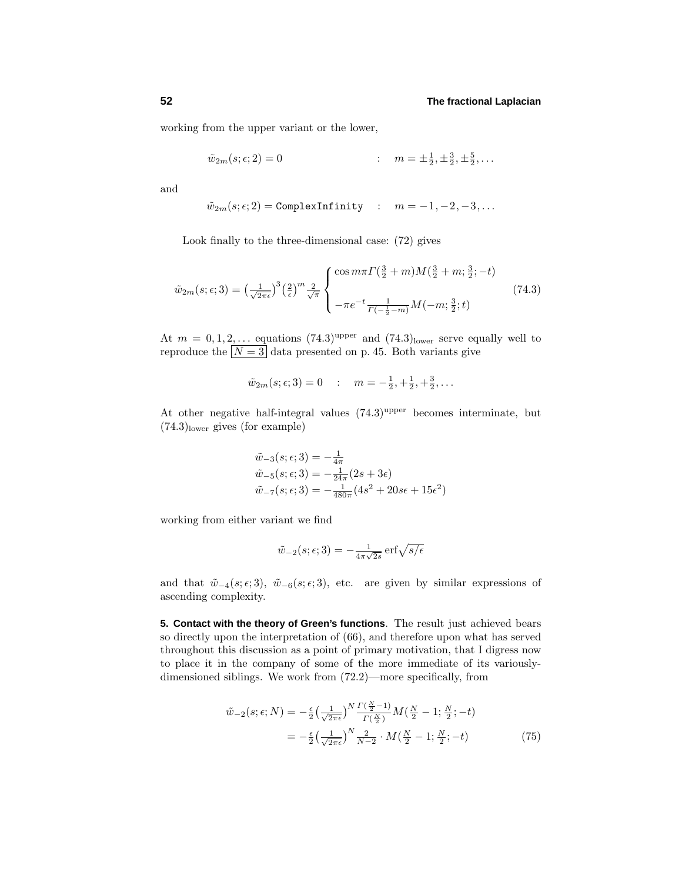working from the upper variant or the lower,

$$
\tilde{w}_{2m}(s; \epsilon; 2) = 0
$$
 :  $m = \pm \frac{1}{2}, \pm \frac{3}{2}, \pm \frac{5}{2}, \ldots$ 

and

$$
\tilde{w}_{2m}(s; \epsilon; 2) = \text{ComplexInfinity} \quad : \quad m = -1, -2, -3, \dots
$$

Look finally to the three-dimensional case:  $(72)$  gives

$$
\tilde{w}_{2m}(s; \epsilon; 3) = \left(\frac{1}{\sqrt{2\pi\epsilon}}\right)^3 \left(\frac{2}{\epsilon}\right)^m \frac{2}{\sqrt{\pi}} \begin{cases} \cos m\pi \Gamma(\frac{3}{2} + m) M(\frac{3}{2} + m; \frac{3}{2}; -t) \\ \\ -\pi e^{-t} \frac{1}{\Gamma(-\frac{1}{2} - m)} M(-m; \frac{3}{2}; t) \end{cases} \tag{74.3}
$$

At  $m = 0, 1, 2, \ldots$  equations  $(74.3)^{\text{upper}}$  and  $(74.3)_{\text{lower}}$  serve equally well to reproduce the  $N = 3$  data presented on p. 45. Both variants give

$$
\tilde{w}_{2m}(s; \epsilon; 3) = 0
$$
 :  $m = -\frac{1}{2}, +\frac{1}{2}, +\frac{3}{2}, \dots$ 

At other negative half-integral values  $(74.3)^{\text{upper}}$  becomes interminate, but (74*.*3)lower gives (for example)

$$
\tilde{w}_{-3}(s; \epsilon; 3) = -\frac{1}{4\pi} \n\tilde{w}_{-5}(s; \epsilon; 3) = -\frac{1}{24\pi} (2s + 3\epsilon) \n\tilde{w}_{-7}(s; \epsilon; 3) = -\frac{1}{480\pi} (4s^2 + 20s\epsilon + 15\epsilon^2)
$$

working from either variant we find

$$
\tilde{w}_{-2}(s; \epsilon; 3) = -\frac{1}{4\pi\sqrt{2s}} \operatorname{erf}\sqrt{s/\epsilon}
$$

and that  $\tilde{w}_{-4}(s; \epsilon; 3)$ ,  $\tilde{w}_{-6}(s; \epsilon; 3)$ , etc. are given by similar expressions of ascending complexity.

**5. Contact with the theory of Green's functions**. The result just achieved bears so directly upon the interpretation of (66), and therefore upon what has served throughout this discussion as a point of primary motivation, that I digress now to place it in the company of some of the more immediate of its variouslydimensioned siblings. We work from (72.2)—more specifically, from

$$
\tilde{w}_{-2}(s;\epsilon;N) = -\frac{\epsilon}{2} \left(\frac{1}{\sqrt{2\pi\epsilon}}\right)^N \frac{\Gamma(\frac{N}{2}-1)}{\Gamma(\frac{N}{2})} M\left(\frac{N}{2}-1;\frac{N}{2};-t\right)
$$
\n
$$
= -\frac{\epsilon}{2} \left(\frac{1}{\sqrt{2\pi\epsilon}}\right)^N \frac{2}{N-2} \cdot M\left(\frac{N}{2}-1;\frac{N}{2};-t\right) \tag{75}
$$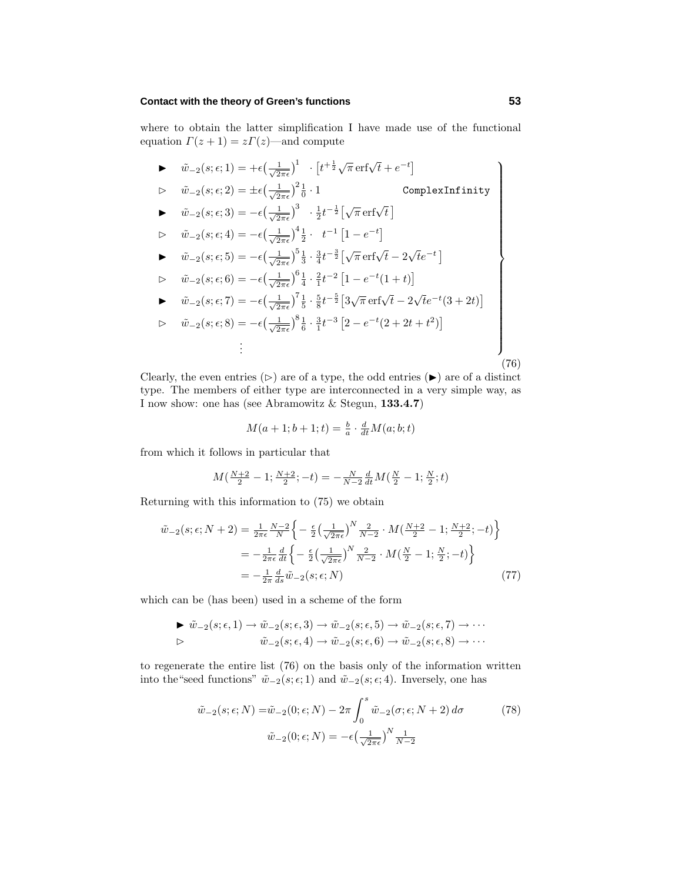## **Contact with the theory of Green's functions 53**

where to obtain the latter simplification I have made use of the functional equation  $\Gamma(z+1) = z\Gamma(z)$ —and compute

 $\tilde{w}_{-2}(s; \epsilon; 1) = +\epsilon \left( \frac{1}{\sqrt{2}} \right)$  $\left[t^{\pm \frac{1}{2}}\sqrt{\pi} \operatorname{erf}\sqrt{t} + e^{-t}\right]$  $\triangleright$   $\tilde{w}_{-2}(s; \epsilon; 2) = \pm \epsilon \left( \frac{1}{\sqrt{2}} \right)$  $\frac{1}{2\pi\epsilon}$ )<sup>2</sup> $\frac{1}{0} \cdot 1$  ComplexInfinity  $\tilde{w}_{-2}(s; \epsilon; 3) = -\epsilon \left( \frac{1}{\sqrt{2}} \right)$  $\left(\frac{1}{2\pi\epsilon}\right)^3$  ·  $\frac{1}{2}t^{-\frac{1}{2}}\left[\sqrt{\pi}\,\mathrm{erf}\sqrt{t}\,\right]$  $\triangleright \quad \tilde{w}_{-2}(s; \epsilon; 4) = -\epsilon \left( \frac{1}{\sqrt{2}} \right)$  $\frac{1}{2\pi\epsilon}$ <sup>4</sup> $\frac{1}{2}$  ·  $t^{-1}$  $[1 - e^{-t}]$  $\tilde{w}_{-2}(s; \epsilon; 5) = -\epsilon \left( \frac{1}{\sqrt{2}} \right)$  $\frac{1}{2\pi\epsilon}$ <sup>5</sup> $\frac{1}{3}$  ·  $\frac{3}{4}t^{-\frac{3}{2}}\left[\sqrt{\pi}\,\text{erf}\sqrt{t} - 2\sqrt{t}e^{-t}\,\right]$  $\triangleright \quad \tilde{w}_{-2}(s; \epsilon; 6) = -\epsilon \left( \frac{1}{\sqrt{2}} \right)$  $\frac{1}{2\pi\epsilon}$ <sup>6</sup> $\frac{1}{4}$  ·  $\frac{2}{1}t^{-2}$   $\left[1 - e^{-t}(1+t)\right]$  $\tilde{w}_{-2}(s; \epsilon; 7) = -\epsilon \left( \frac{1}{\sqrt{2}} \right)$  $\frac{1}{2\pi\epsilon}$ <sup>7</sup> $\frac{1}{5}$  ·  $\frac{5}{8}t^{-\frac{5}{2}}$  $[3\sqrt{\pi}\operatorname{erf}\sqrt{t} - 2\sqrt{t}e^{-t}(3+2t)]$  $\triangleright \quad \tilde{w}_{-2}(s; \epsilon; 8) = -\epsilon \left( \frac{1}{\sqrt{2}} \right)$  $\frac{1}{2\pi\epsilon}$ <sup>8</sup> $\frac{1}{6}$  ·  $\frac{3}{1}$ *t*<sup>-3</sup>  $[2 - e^{-t}(2 + 2t + t^2)]$ . . .  $\mathcal{L}$  $\begin{array}{c} \begin{array}{c} \begin{array}{c} \begin{array}{c} \end{array}\\ \end{array} \end{array} \end{array}$  $\begin{picture}(20,20) \put(0,0){\line(1,0){10}} \put(10,0){\line(1,0){10}} \put(10,0){\line(1,0){10}} \put(10,0){\line(1,0){10}} \put(10,0){\line(1,0){10}} \put(10,0){\line(1,0){10}} \put(10,0){\line(1,0){10}} \put(10,0){\line(1,0){10}} \put(10,0){\line(1,0){10}} \put(10,0){\line(1,0){10}} \put(10,0){\line(1,0){10}} \put(10,0){\line(1$ (76)

Clearly, the even entries ( $\triangleright$ ) are of a type, the odd entries ( $\blacktriangleright$ ) are of a distinct type. The members of either type are interconnected in a very simple way, as I now show: one has (see Abramowitz & Stegun, **133.4.7**)

$$
M(a+1;b+1;t) = \frac{b}{a} \cdot \frac{d}{dt} M(a;b;t)
$$

from which it follows in particular that

$$
M\left(\frac{N+2}{2} - 1; \frac{N+2}{2}; -t\right) = -\frac{N}{N-2} \frac{d}{dt} M\left(\frac{N}{2} - 1; \frac{N}{2}; t\right)
$$

Returning with this information to  $(75)$  we obtain

$$
\tilde{w}_{-2}(s; \epsilon; N+2) = \frac{1}{2\pi\epsilon} \frac{N-2}{N} \left\{ -\frac{\epsilon}{2} \left( \frac{1}{\sqrt{2\pi\epsilon}} \right)^N \frac{2}{N-2} \cdot M \left( \frac{N+2}{2} - 1; \frac{N+2}{2}; -t \right) \right\}
$$
\n
$$
= -\frac{1}{2\pi\epsilon} \frac{d}{dt} \left\{ -\frac{\epsilon}{2} \left( \frac{1}{\sqrt{2\pi\epsilon}} \right)^N \frac{2}{N-2} \cdot M \left( \frac{N}{2} - 1; \frac{N}{2}; -t \right) \right\}
$$
\n
$$
= -\frac{1}{2\pi} \frac{d}{ds} \tilde{w}_{-2}(s; \epsilon; N) \tag{77}
$$

which can be (has been) used in a scheme of the form

$$
\begin{array}{ll}\n\blacktriangleright & \tilde{w}_{-2}(s;\epsilon,1) \rightarrow \tilde{w}_{-2}(s;\epsilon,3) \rightarrow \tilde{w}_{-2}(s;\epsilon,5) \rightarrow \tilde{w}_{-2}(s;\epsilon,7) \rightarrow \cdots \\
\vartriangleright & \tilde{w}_{-2}(s;\epsilon,4) \rightarrow \tilde{w}_{-2}(s;\epsilon,6) \rightarrow \tilde{w}_{-2}(s;\epsilon,8) \rightarrow \cdots\n\end{array}
$$

to regenerate the entire list  $(76)$  on the basis only of the information written into the "seed functions"  $\tilde{w}_{-2}(s; \epsilon; 1)$  and  $\tilde{w}_{-2}(s; \epsilon; 4)$ . Inversely, one has

$$
\tilde{w}_{-2}(s; \epsilon; N) = \tilde{w}_{-2}(0; \epsilon; N) - 2\pi \int_0^s \tilde{w}_{-2}(\sigma; \epsilon; N+2) d\sigma \tag{78}
$$

$$
\tilde{w}_{-2}(0; \epsilon; N) = -\epsilon \left(\frac{1}{\sqrt{2\pi\epsilon}}\right)^N \frac{1}{N-2}
$$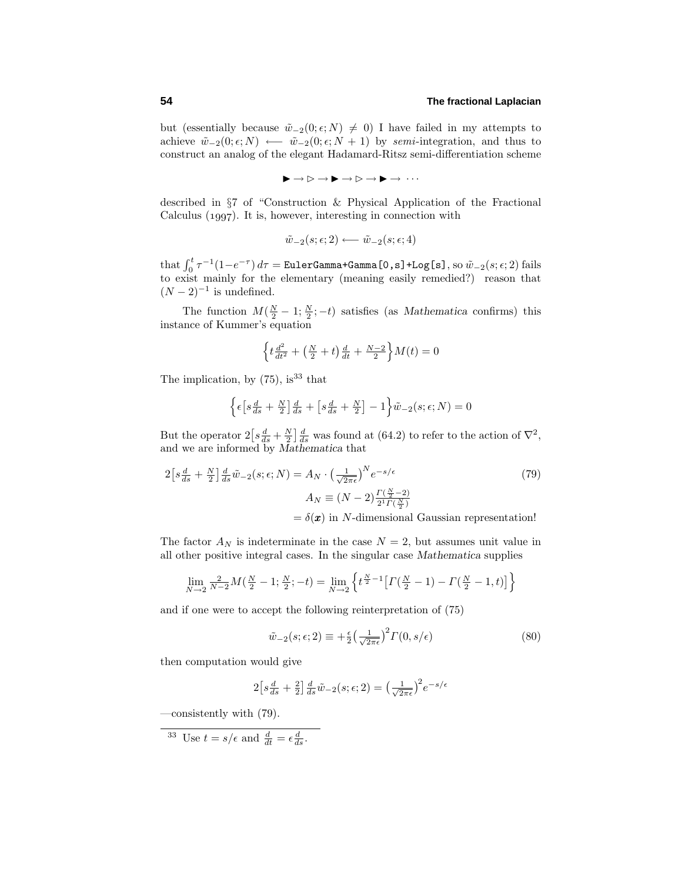but (essentially because  $\tilde{w}_{-2}(0; \epsilon; N) \neq 0$ ) I have failed in my attempts to achieve  $\tilde{w}_{-2}(0; \epsilon; N)$  ←  $\tilde{w}_{-2}(0; \epsilon; N + 1)$  by *semi*-integration, and thus to construct an analog of the elegant Hadamard-Ritsz semi-differentiation scheme

$$
\blacktriangleright\rightarrow\mathord{\vartriangleright}\rightarrow\blacktriangleright\rightarrow\mathord{\vartriangleright}\rightarrow\mathord{\triangleright}\rightarrow\cdots
$$

described in §7 of "Construction & Physical Application of the Fractional Calculus  $(1997)$ . It is, however, interesting in connection with

$$
\tilde{w}_{-2}(s; \epsilon; 2) \longleftarrow \tilde{w}_{-2}(s; \epsilon; 4)
$$

that  $\int_0^t \tau^{-1}(1-e^{-\tau}) d\tau = \texttt{EulerGamma+Gamma}$  **camma+Gamma[0,s]+Log[s]**, so  $\tilde{w}_{-2}(s;\epsilon;2)$  fails to exist mainly for the elementary (meaning easily remedied?) reason that  $(N-2)^{-1}$  is undefined.

The function  $M(\frac{N}{2} - 1; \frac{N}{2}; -t)$  satisfies (as *Mathematica* confirms) this instance of Kummer's equation

$$
\left\{ t \frac{d^2}{dt^2} + \left( \frac{N}{2} + t \right) \frac{d}{dt} + \frac{N-2}{2} \right\} M(t) = 0
$$

The implication, by  $(75)$ , is<sup>33</sup> that

$$
\left\{\epsilon \left[s\frac{d}{ds} + \frac{N}{2}\right]\frac{d}{ds} + \left[s\frac{d}{ds} + \frac{N}{2}\right] - 1\right\}\tilde{w}_{-2}(s; \epsilon; N) = 0
$$

But the operator  $2\left[s\frac{d}{ds} + \frac{N}{2}\right]\frac{d}{ds}$  was found at (64.2) to refer to the action of  $\nabla^2$ , and we are informed by *Mathematica* that

$$
2\left[s\frac{d}{ds} + \frac{N}{2}\right]\frac{d}{ds}\tilde{w}_{-2}(s;\epsilon;N) = A_N \cdot \left(\frac{1}{\sqrt{2\pi\epsilon}}\right)^N e^{-s/\epsilon}
$$
(79)  

$$
A_N \equiv (N-2)\frac{\Gamma(\frac{N}{2}-2)}{2^1 \Gamma(\frac{N}{2})}
$$

$$
= \delta(\pmb{x}) \text{ in } N\text{-dimensional Gaussian representation!}
$$

The factor  $A_N$  is indeterminate in the case  $N = 2$ , but assumes unit value in all other positive integral cases. In the singular case *Mathematica* supplies

$$
\lim_{N \to 2} \frac{2}{N-2} M(\frac{N}{2} - 1; \frac{N}{2}; -t) = \lim_{N \to 2} \left\{ t^{\frac{N}{2} - 1} \left[ \Gamma(\frac{N}{2} - 1) - \Gamma(\frac{N}{2} - 1, t) \right] \right\}
$$

and if one were to accept the following reinterpretation of (75)

$$
\tilde{w}_{-2}(s;\epsilon;2) \equiv +\frac{\epsilon}{2} \left(\frac{1}{\sqrt{2\pi\epsilon}}\right)^2 \Gamma(0,s/\epsilon) \tag{80}
$$

then computation would give

$$
2\left[s\frac{d}{ds} + \frac{2}{2}\right]\frac{d}{ds}\tilde{w}_{-2}(s;\epsilon;2) = \left(\frac{1}{\sqrt{2\pi\epsilon}}\right)^2 e^{-s/\epsilon}
$$

—consistently with (79).

<sup>33</sup> Use 
$$
t = s/\epsilon
$$
 and  $\frac{d}{dt} = \epsilon \frac{d}{ds}$ .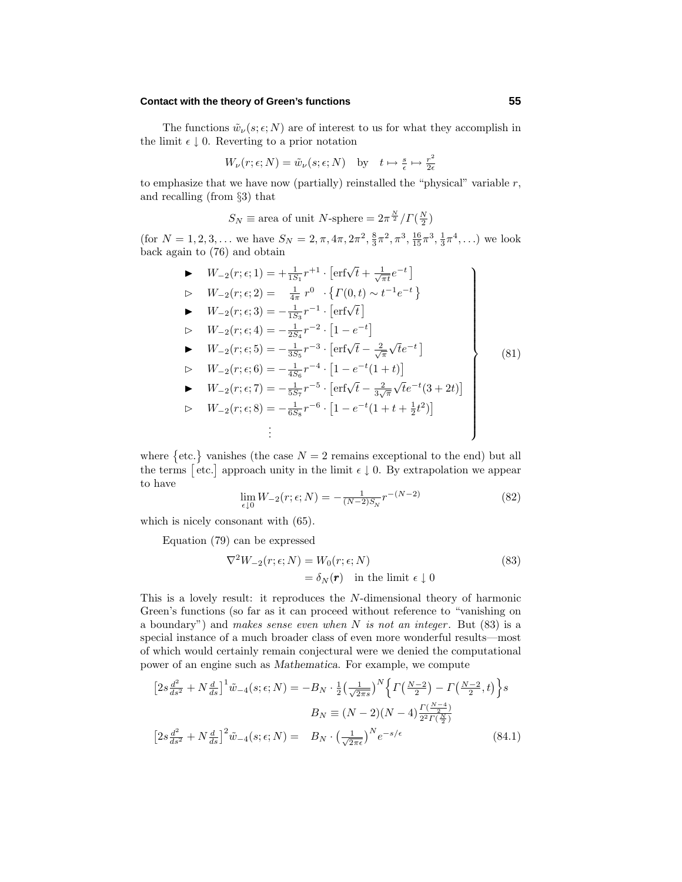## **Contact with the theory of Green's functions 55**

The functions  $\tilde{w}_{\nu}(s; \epsilon; N)$  are of interest to us for what they accomplish in the limit  $\epsilon \downarrow 0$ . Reverting to a prior notation

$$
W_{\nu}(r; \epsilon; N) = \tilde{w}_{\nu}(s; \epsilon; N) \text{ by } t \mapsto \frac{s}{\epsilon} \mapsto \frac{r^2}{2\epsilon}
$$

to emphasize that we have now (partially) reinstalled the "physical" variable  $r$ , and recalling (from  $\S 3$ ) that

$$
S_N \equiv
$$
area of unit N-sphere  $= 2\pi^{\frac{N}{2}} / \Gamma(\frac{N}{2})$ 

(for  $N = 1, 2, 3, \ldots$  we have  $S_N = 2, \pi, 4\pi, 2\pi^2, \frac{8}{3}\pi^2, \pi^3, \frac{16}{15}\pi^3, \frac{1}{3}\pi^4, \ldots$ ) we look back again to  $(76)$  and obtain

► 
$$
W_{-2}(r; \epsilon; 1) = +\frac{1}{1S_1}r^{+1} \cdot [erf\sqrt{t} + \frac{1}{\sqrt{\pi t}}e^{-t}]
$$
  
\n>►  $W_{-2}(r; \epsilon; 2) = \frac{1}{4\pi}r^{0} \cdot \{ \Gamma(0, t) \sim t^{-1}e^{-t} \}$   
\n>►  $W_{-2}(r; \epsilon; 3) = -\frac{1}{1S_3}r^{-1} \cdot [erf\sqrt{t}]$   
\n>►  $W_{-2}(r; \epsilon; 4) = -\frac{1}{2S_4}r^{-2} \cdot [1 - e^{-t}]$   
\n>►  $W_{-2}(r; \epsilon; 5) = -\frac{1}{3S_5}r^{-3} \cdot [erf\sqrt{t} - \frac{2}{\sqrt{\pi}}\sqrt{t}e^{-t}]$   
\n>►  $W_{-2}(r; \epsilon; 6) = -\frac{1}{4S_6}r^{-4} \cdot [1 - e^{-t}(1 + t)]$   
\n>►  $W_{-2}(r; \epsilon; 7) = -\frac{1}{5S_7}r^{-5} \cdot [erf\sqrt{t} - \frac{2}{3\sqrt{\pi}}\sqrt{t}e^{-t}(3 + 2t)]$   
\n>⇒  $W_{-2}(r; \epsilon; 8) = -\frac{1}{6S_8}r^{-6} \cdot [1 - e^{-t}(1 + t + \frac{1}{2}t^2)]$   
\n∴

where  $\{\text{etc.}\}\)$  vanishes (the case  $N=2$  remains exceptional to the end) but all the terms [etc.] approach unity in the limit  $\epsilon \downarrow 0$ . By extrapolation we appear to have

$$
\lim_{\epsilon \downarrow 0} W_{-2}(r; \epsilon; N) = -\frac{1}{(N-2)S_N} r^{-(N-2)} \tag{82}
$$

which is nicely consonant with (65).

Equation  $(79)$  can be expressed

$$
\nabla^2 W_{-2}(r; \epsilon; N) = W_0(r; \epsilon; N)
$$
  
=  $\delta_N(\mathbf{r})$  in the limit  $\epsilon \downarrow 0$  (83)

This is a lovely result: it reproduces the *N*-dimensional theory of harmonic Green's functions (so far as it can proceed without reference to "vanishing on a boundary") and makes sense even when  $N$  is not an integer. But (83) is a special instance of a much broader class of even more wonderful results—most of which would certainly remain conjectural were we denied the computational power of an engine such as *Mathematica*. For example, we compute

$$
\left[2s\frac{d^2}{ds^2} + N\frac{d}{ds}\right]^1 \tilde{w}_{-4}(s;\epsilon;N) = -B_N \cdot \frac{1}{2} \left(\frac{1}{\sqrt{2\pi s}}\right)^N \left\{ \Gamma\left(\frac{N-2}{2}\right) - \Gamma\left(\frac{N-2}{2},t\right) \right\} s
$$

$$
B_N \equiv (N-2)(N-4) \frac{\Gamma\left(\frac{N-4}{2}\right)}{2^2 \Gamma\left(\frac{N}{2}\right)}
$$

$$
\left[2s\frac{d^2}{ds^2} + N\frac{d}{ds}\right]^2 \tilde{w}_{-4}(s;\epsilon;N) = B_N \cdot \left(\frac{1}{\sqrt{2\pi\epsilon}}\right)^N e^{-s/\epsilon}
$$
(84.1)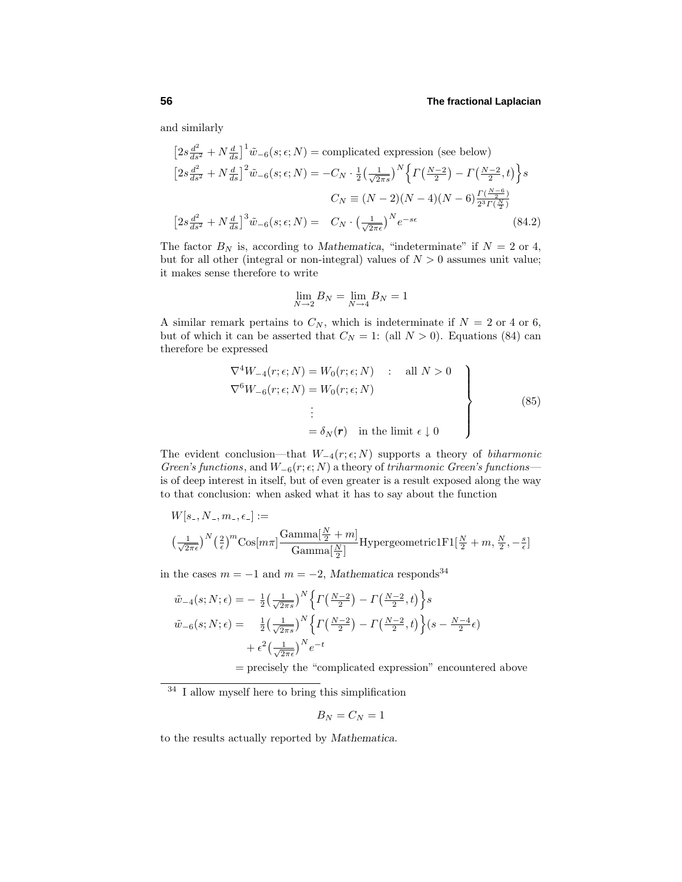and similarly

$$
\left[2s\frac{d^2}{ds^2} + N\frac{d}{ds}\right]^1 \tilde{w}_{-6}(s;\epsilon;N) = \text{complicated expression (see below)}
$$
  

$$
\left[2s\frac{d^2}{ds^2} + N\frac{d}{ds}\right]^2 \tilde{w}_{-6}(s;\epsilon;N) = -C_N \cdot \frac{1}{2} \left(\frac{1}{\sqrt{2\pi s}}\right)^N \left\{ \Gamma\left(\frac{N-2}{2}\right) - \Gamma\left(\frac{N-2}{2},t\right) \right\} s
$$
  

$$
C_N \equiv (N-2)(N-4)(N-6)\frac{\Gamma\left(\frac{N-6}{2}\right)}{2^3 \Gamma\left(\frac{N}{2}\right)}
$$
  

$$
\left[2s\frac{d^2}{ds^2} + N\frac{d}{ds}\right]^3 \tilde{w}_{-6}(s;\epsilon;N) = C_N \cdot \left(\frac{1}{\sqrt{2\pi\epsilon}}\right)^N e^{-s\epsilon}
$$
(84.2)

The factor  $B_N$  is, according to *Mathematica*, "indeterminate" if  $N = 2$  or 4, but for all other (integral or non-integral) values of  $N > 0$  assumes unit value; it makes sense therefore to write

$$
\lim_{N \to 2} B_N = \lim_{N \to 4} B_N = 1
$$

A similar remark pertains to  $C_N$ , which is indeterminate if  $N = 2$  or 4 or 6, but of which it can be asserted that  $C_N = 1$ : (all  $N > 0$ ). Equations (84) can therefore be expressed

$$
\nabla^4 W_{-4}(r; \epsilon; N) = W_0(r; \epsilon; N) : \text{all } N > 0
$$
  
\n
$$
\nabla^6 W_{-6}(r; \epsilon; N) = W_0(r; \epsilon; N)
$$
  
\n
$$
\vdots
$$
  
\n
$$
= \delta_N(\mathbf{r}) \text{ in the limit } \epsilon \downarrow 0
$$
\n(85)

The evident conclusion—that  $W_{-4}(r; \epsilon; N)$  supports a theory of *biharmonic* Green's functions, and  $W_{-6}(r; \epsilon; N)$  a theory of triharmonic Green's functions is of deep interest in itself, but of even greater is a result exposed along the way to that conclusion: when asked what it has to say about the function

$$
W[s_-, N_-, m_-, \epsilon_-] :=
$$
  

$$
\left(\frac{1}{\sqrt{2\pi\epsilon}}\right)^N \left(\frac{2}{\epsilon}\right)^m \text{Cos}[m\pi] \frac{\text{Gamma}[\frac{N}{2} + m]}{\text{Gamma}[\frac{N}{2}]} \text{Hypergeometric1F1}[\frac{N}{2} + m, \frac{N}{2}, -\frac{s}{\epsilon}]
$$

in the cases  $m = -1$  and  $m = -2$ , *Mathematica* responds<sup>34</sup>

$$
\tilde{w}_{-4}(s; N; \epsilon) = -\frac{1}{2} \left(\frac{1}{\sqrt{2\pi s}}\right)^N \left\{ \Gamma\left(\frac{N-2}{2}\right) - \Gamma\left(\frac{N-2}{2}, t\right) \right\} s
$$
\n
$$
\tilde{w}_{-6}(s; N; \epsilon) = \frac{1}{2} \left(\frac{1}{\sqrt{2\pi s}}\right)^N \left\{ \Gamma\left(\frac{N-2}{2}\right) - \Gamma\left(\frac{N-2}{2}, t\right) \right\} (s - \frac{N-4}{2}\epsilon)
$$
\n
$$
+ \epsilon^2 \left(\frac{1}{\sqrt{2\pi \epsilon}}\right)^N e^{-t}
$$

= precisely the "complicated expression" encountered above

$$
B_N=C_N=1
$$

to the results actually reported by *Mathematica*.

<sup>34</sup> I allow myself here to bring this simplification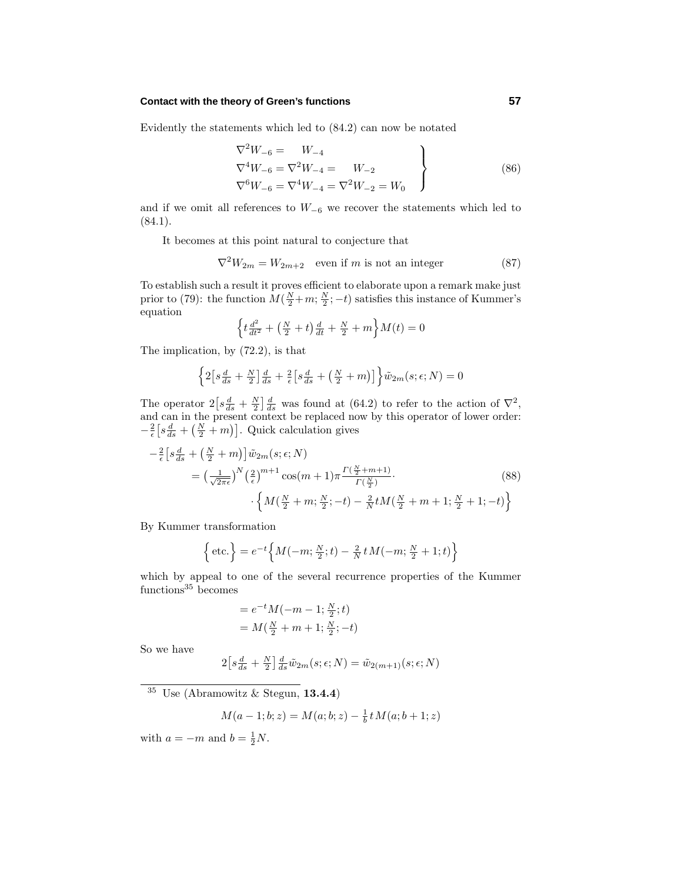### **Contact with the theory of Green's functions 57**

Evidently the statements which led to  $(84.2)$  can now be notated

$$
\nabla^2 W_{-6} = W_{-4}
$$
  
\n
$$
\nabla^4 W_{-6} = \nabla^2 W_{-4} = W_{-2}
$$
  
\n
$$
\nabla^6 W_{-6} = \nabla^4 W_{-4} = \nabla^2 W_{-2} = W_0
$$
\n(86)

and if we omit all references to  $W_{-6}$  we recover the statements which led to  $(84.1).$ 

It becomes at this point natural to conjecture that

$$
\nabla^2 W_{2m} = W_{2m+2} \quad \text{even if } m \text{ is not an integer} \tag{87}
$$

To establish such a result it proves efficient to elaborate upon a remark make just prior to (79): the function  $M(\frac{N}{2}+m;\frac{N}{2};-t)$  satisfies this instance of Kummer's equation

$$
\left\{ t \frac{d^2}{dt^2} + \left( \frac{N}{2} + t \right) \frac{d}{dt} + \frac{N}{2} + m \right\} M(t) = 0
$$

The implication, by (72.2), is that

$$
\left\{2\left[s\frac{d}{ds} + \frac{N}{2}\right]\frac{d}{ds} + \frac{2}{\epsilon}\left[s\frac{d}{ds} + \left(\frac{N}{2} + m\right)\right]\right\}\tilde{w}_{2m}(s; \epsilon; N) = 0
$$

The operator  $2\left[s\frac{d}{ds}+\frac{N}{2}\right]\frac{d}{ds}$  was found at (64.2) to refer to the action of  $\nabla^2$ , and can in the present context be replaced now by this operator of lower order:  $-\frac{2}{\epsilon} \left[ s \frac{d}{ds} + \left( \frac{N}{2} + m \right) \right]$ . Quick calculation gives

$$
-\frac{2}{\epsilon} \left[ s \frac{d}{ds} + \left( \frac{N}{2} + m \right) \right] \tilde{w}_{2m}(s; \epsilon; N)
$$
  
=  $\left( \frac{1}{\sqrt{2\pi \epsilon}} \right)^N \left( \frac{2}{\epsilon} \right)^{m+1} \cos(m+1) \pi \frac{\Gamma(\frac{N}{2} + m + 1)}{\Gamma(\frac{N}{2})}.$  (88)  

$$
\cdot \left\{ M(\frac{N}{2} + m; \frac{N}{2}; -t) - \frac{2}{N} t M(\frac{N}{2} + m + 1; \frac{N}{2} + 1; -t) \right\}
$$

By Kummer transformation

$$
\left\{\text{etc.}\right\} = e^{-t} \left\{ M(-m; \frac{N}{2}; t) - \frac{2}{N} t M(-m; \frac{N}{2} + 1; t) \right\}
$$

which by appeal to one of the several recurrence properties of the Kummer  $functions<sup>35</sup>$  becomes

$$
= e^{-t} M(-m - 1; \frac{N}{2}; t)
$$
  
=  $M(\frac{N}{2} + m + 1; \frac{N}{2}; -t)$ 

So we have

$$
2\left[s\frac{d}{ds} + \frac{N}{2}\right]\frac{d}{ds}\tilde{w}_{2m}(s; \epsilon; N) = \tilde{w}_{2(m+1)}(s; \epsilon; N)
$$

<sup>35</sup> Use (Abramowitz & Stegun, **13.4.4**)

$$
M(a-1;b;z) = M(a;b;z) - \frac{1}{b}t M(a;b+1;z)
$$

with  $a = -m$  and  $b = \frac{1}{2}N$ .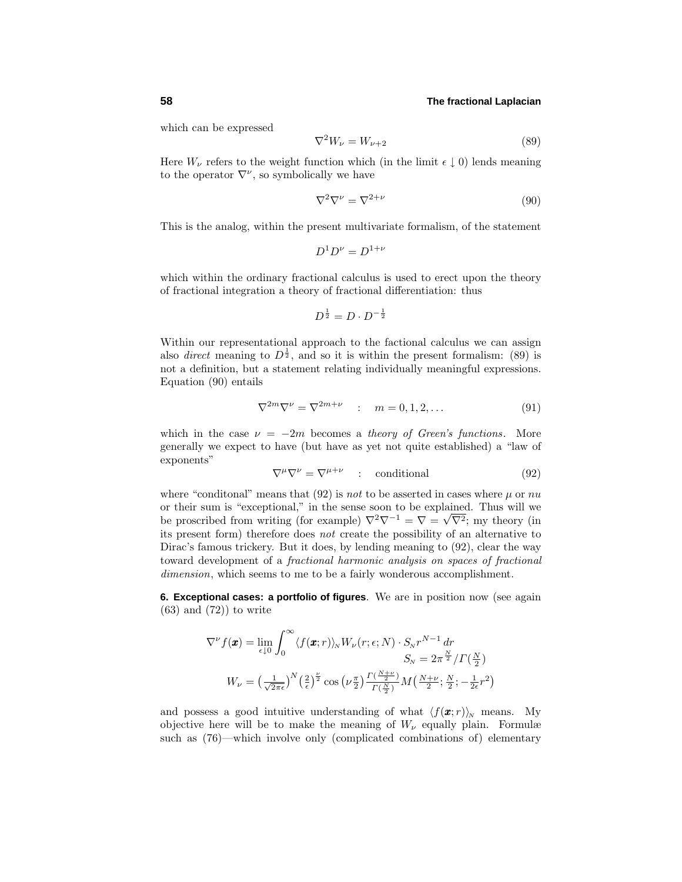which can be expressed

$$
\nabla^2 W_\nu = W_{\nu+2} \tag{89}
$$

Here  $W_{\nu}$  refers to the weight function which (in the limit  $\epsilon \downarrow 0$ ) lends meaning to the operator  $\nabla^{\nu}$ , so symbolically we have

$$
\nabla^2 \nabla^\nu = \nabla^{2+\nu} \tag{90}
$$

This is the analog, within the present multivariate formalism, of the statement

$$
D^1 D^{\nu} = D^{1+\nu}
$$

which within the ordinary fractional calculus is used to erect upon the theory of fractional integration a theory of fractional differentiation: thus

$$
D^{\frac{1}{2}} = D \cdot D^{-\frac{1}{2}}
$$

Within our representational approach to the factional calculus we can assign also *direct* meaning to  $D^{\frac{1}{2}}$ , and so it is within the present formalism: (89) is not a definition, but a statement relating individually meaningful expressions. Equation  $(90)$  entails

$$
\nabla^{2m}\nabla^{\nu} = \nabla^{2m+\nu} \quad : \quad m = 0, 1, 2, \dots \tag{91}
$$

which in the case  $\nu = -2m$  becomes a *theory of Green's functions*. More generally we expect to have (but have as yet not quite established)a "law of exponents"

$$
\nabla^{\mu}\nabla^{\nu} = \nabla^{\mu+\nu} \quad : \quad \text{conditional} \tag{92}
$$

where "conditional" means that  $(92)$  is *not* to be asserted in cases where  $\mu$  or  $nu$ or their sum is "exceptional," in the sense soon to be explained. Thus will we be proscribed from writing (for example)  $\nabla^2 \nabla^{-1} = \nabla = \sqrt{\nabla^2}$ ; my theory (in its present form) therefore does  $not$  create the possibility of an alternative to Dirac's famous trickery. But it does, by lending meaning to (92), clear the way toward development of a fractional harmonic analysis on spaces of fractional dimension, which seems to me to be a fairly wonderous accomplishment.

**6. Exceptional cases: a portfolio of figures**. We are in position now (see again  $(63)$  and  $(72)$  to write

$$
\nabla^{\nu} f(\mathbf{x}) = \lim_{\epsilon \downarrow 0} \int_0^{\infty} \langle f(\mathbf{x}; r) \rangle_N W_{\nu}(r; \epsilon; N) \cdot S_N r^{N-1} dr
$$
  

$$
S_N = 2\pi^{\frac{N}{2}} / \Gamma(\frac{N}{2})
$$
  

$$
W_{\nu} = \left(\frac{1}{\sqrt{2\pi\epsilon}}\right)^N \left(\frac{2}{\epsilon}\right)^{\frac{\nu}{2}} \cos\left(\nu \frac{\pi}{2}\right) \frac{\Gamma(\frac{N+\nu}{2})}{\Gamma(\frac{N}{2})} M\left(\frac{N+\nu}{2}; \frac{N}{2}; -\frac{1}{2\epsilon}r^2\right)
$$

and possess a good intuitive understanding of what  $\langle f(\mathbf{x}; r) \rangle_{N}$  means. My objective here will be to make the meaning of  $W_{\nu}$  equally plain. Formulæ such as (76)—which involve only (complicated combinations of) elementary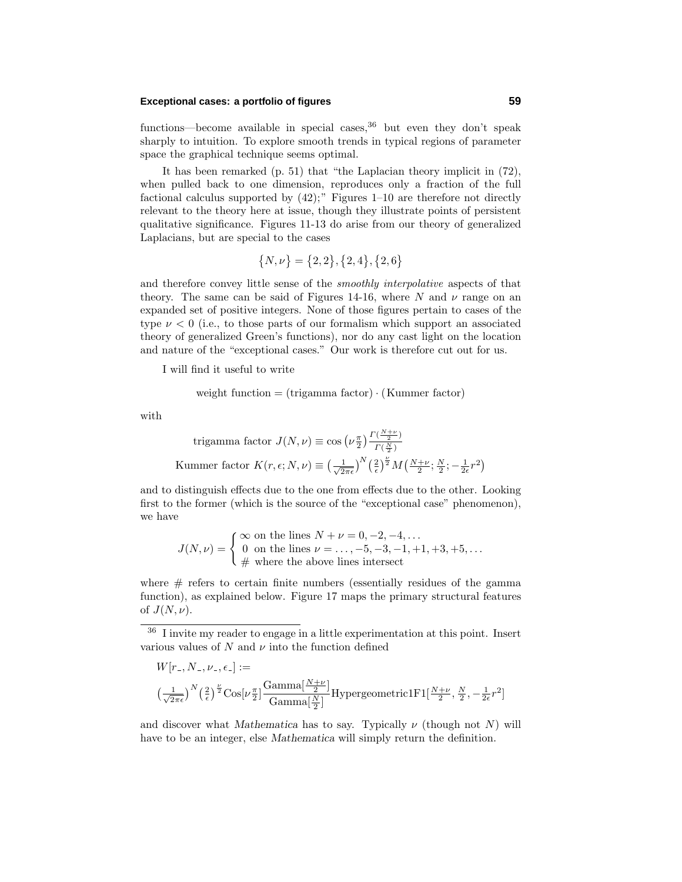## **Exceptional cases: a portfolio of figures 59**

functions—become available in special cases,  $36$  but even they don't speak sharply to intuition. To explore smooth trends in typical regions of parameter space the graphical technique seems optimal.

It has been remarked  $(p. 51)$  that "the Laplacian theory implicit in  $(72)$ , when pulled back to one dimension, reproduces only a fraction of the full factional calculus supported by  $(42)$ ;" Figures  $1-10$  are therefore not directly relevant to the theory here at issue, though they illustrate points of persistent qualitative significance. Figures 11-13 do arise from our theory of generalized Laplacians, but are special to the cases

$$
\{N,\nu\} = \{2,2\}, \{2,4\}, \{2,6\}
$$

and therefore convey little sense of the smoothly interpolative aspects of that theory. The same can be said of Figures 14-16, where  $N$  and  $\nu$  range on an expanded set of positive integers. None of those figures pertain to cases of the type  $\nu < 0$  (i.e., to those parts of our formalism which support an associated theory of generalized Green's functions), nor do any cast light on the location and nature of the "exceptional cases." Our work is therefore cut out for us.

I will find it useful to write

weight function = 
$$
(\text{trigamma factor}) \cdot (\text{Kummer factor})
$$

with

trigamma factor 
$$
J(N, \nu) \equiv \cos \left(\nu \frac{\pi}{2}\right) \frac{\Gamma(\frac{N+\nu}{2})}{\Gamma(\frac{N}{2})}
$$
  
Kummer factor  $K(r, \epsilon; N, \nu) \equiv \left(\frac{1}{\sqrt{2\pi\epsilon}}\right)^N \left(\frac{2}{\epsilon}\right)^{\frac{\nu}{2}} M\left(\frac{N+\nu}{2}; \frac{N}{2}; -\frac{1}{2\epsilon}r^2\right)$ 

and to distinguish effects due to the one from effects due to the other. Looking first to the former (which is the source of the "exceptional case" phenomenon), we have

$$
J(N,\nu) = \begin{cases} \infty \text{ on the lines } N + \nu = 0, -2, -4, \dots \\ 0 \text{ on the lines } \nu = \dots, -5, -3, -1, +1, +3, +5, \dots \\ \# \text{ where the above lines intersect} \end{cases}
$$

where  $#$  refers to certain finite numbers (essentially residues of the gamma function), as explained below. Figure 17 maps the primary structural features of  $J(N,\nu)$ .

<sup>36</sup> I invite my reader to engage in a little experimentation at this point. Insert various values of  $N$  and  $\nu$  into the function defined

$$
W[r_-, N_-, \nu_-, \epsilon_-] :=
$$
  

$$
\left(\frac{1}{\sqrt{2\pi\epsilon}}\right)^N \left(\frac{2}{\epsilon}\right)^{\frac{\nu}{2}} \text{Cos}[\nu \frac{\pi}{2}] \frac{\text{Gamma}[\frac{N+\nu}{2}]}{\text{Gamma}[\frac{N}{2}]} \text{Hypergeometric1F1}[\frac{N+\nu}{2}, \frac{N}{2}, -\frac{1}{2\epsilon}r^2]
$$

and discover what *Mathematica* has to say. Typically  $\nu$  (though not *N*) will have to be an integer, else *Mathematica* will simply return the definition.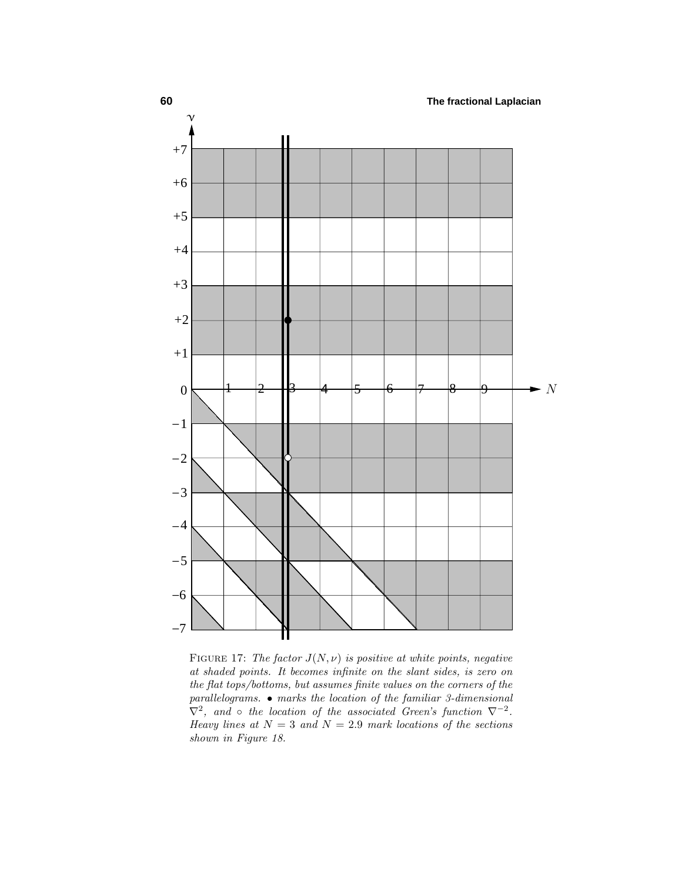

FIGURE 17: The factor  $J(N, \nu)$  is positive at white points, negative at shaded points. It becomes infinite on the slant sides, is zero on the flat tops/bottoms, but assumes finite values on the corners of the parallelograms. • marks the location of the familiar 3-dimensional  $\nabla^2$ , and ∘ the location of the associated Green's function  $\nabla^{-2}$ . Heavy lines at  $N = 3$  and  $N = 2.9$  mark locations of the sections shown in Figure 18.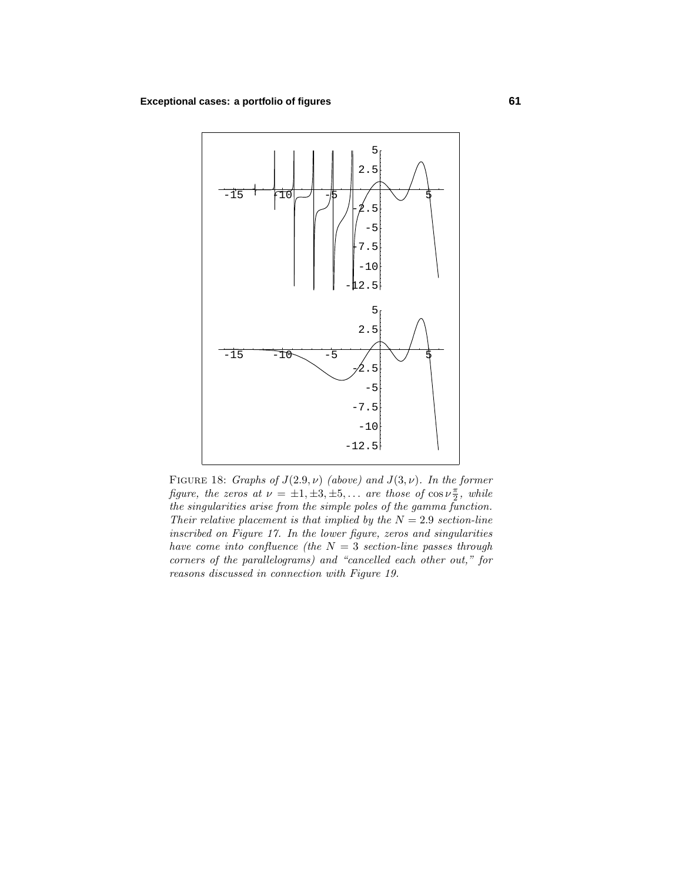## **Exceptional cases: a portfolio of figures 61**



FIGURE 18: Graphs of  $J(2.9, \nu)$  (above) and  $J(3, \nu)$ . In the former figure, the zeros at  $\nu = \pm 1, \pm 3, \pm 5, \ldots$  are those of  $\cos \nu \frac{\pi}{2}$ , while the singularities arise from the simple poles of the gamma function. Their relative placement is that implied by the  $N = 2.9$  section-line inscribed on Figure 17. In the lower figure, zeros and singularities have come into confluence (the  $N = 3$  section-line passes through corners of the parallelograms) and "cancelled each other out," for reasons discussed in connection with Figure 19.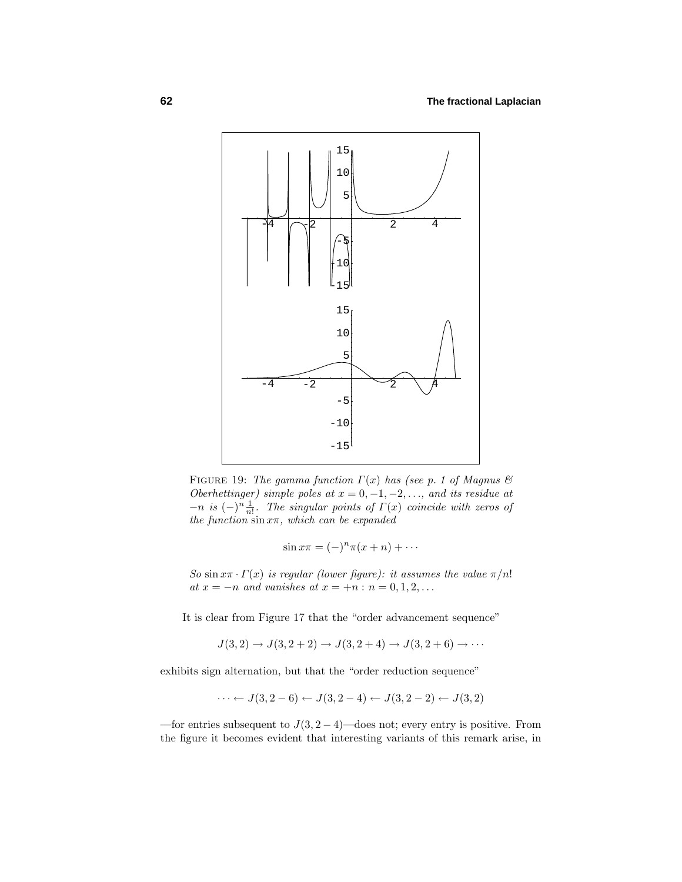

FIGURE 19: The gamma function  $\Gamma(x)$  has (see p. 1 of Magnus  $\mathcal C$ Oberhettinger) simple poles at  $x = 0, -1, -2, \ldots$ , and its residue at  $-n$  is  $(-)^n \frac{1}{n!}$ . The singular points of  $\Gamma(x)$  coincide with zeros of the function  $\sin x\pi$ , which can be expanded

$$
\sin x\pi = (-)^n \pi (x+n) + \cdots
$$

So  $\sin x\pi \cdot \Gamma(x)$  is regular (lower figure): it assumes the value  $\pi/n!$ at  $x = -n$  and vanishes at  $x = +n : n = 0, 1, 2, ...$ 

It is clear from Figure 17 that the "order advancement sequence"

$$
J(3,2) \to J(3,2+2) \to J(3,2+4) \to J(3,2+6) \to \cdots
$$

exhibits sign alternation, but that the "order reduction sequence"

$$
\cdots \leftarrow J(3, 2-6) \leftarrow J(3, 2-4) \leftarrow J(3, 2-2) \leftarrow J(3, 2)
$$

—for entries subsequent to  $J(3, 2-4)$ —does not; every entry is positive. From the figure it becomes evident that interesting variants of this remark arise, in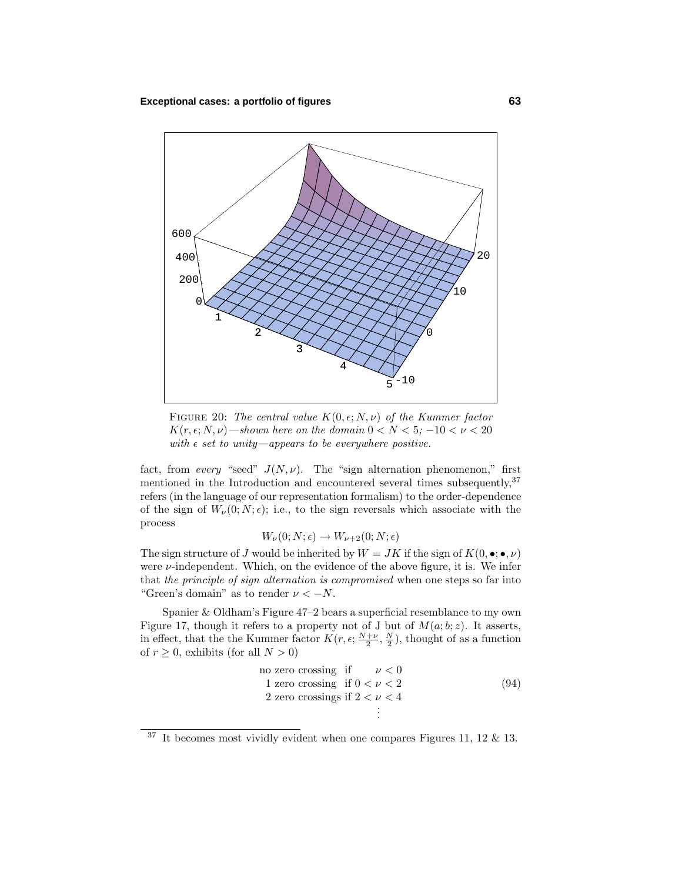

FIGURE 20: The central value  $K(0, \epsilon; N, \nu)$  of the Kummer factor  $K(r, \epsilon; N, \nu)$ —shown here on the domain  $0 < N < 5$ ;  $-10 < \nu < 20$ with  $\epsilon$  set to unity—appears to be everywhere positive.

fact, from *every* "seed"  $J(N,\nu)$ . The "sign alternation phenomenon," first mentioned in the Introduction and encountered several times subsequently,<sup>37</sup> refers (in the language of our representation formalism) to the order-dependence of the sign of  $W_\nu(0; N; \epsilon)$ ; i.e., to the sign reversals which associate with the process

$$
W_{\nu}(0;N;\epsilon) \to W_{\nu+2}(0;N;\epsilon)
$$

The sign structure of *J* would be inherited by  $W = JK$  if the sign of  $K(0, \bullet; \bullet, \nu)$ were *ν*-independent. Which, on the evidence of the above figure, it is. We infer that the principle of sign alternation is compromised when one steps so far into "Green's domain" as to render  $\nu < -N$ .

Spanier & Oldham's Figure 47–2 bears a superficial resemblance to my own Figure 17, though it refers to a property not of J but of  $M(a;b;z)$ . It asserts, in effect, that the the Kummer factor  $K(r, \epsilon; \frac{N+\nu}{2}, \frac{N}{2})$ , thought of as a function of  $r \geq 0$ , exhibits (for all  $N > 0$ )

no zero crossing if 
$$
\nu < 0
$$
\n1 zero crossing if  $0 < \nu < 2$ \n2 zero crossings if  $2 < \nu < 4$ \n2

 $37$  It becomes most vividly evident when one compares Figures 11, 12 & 13.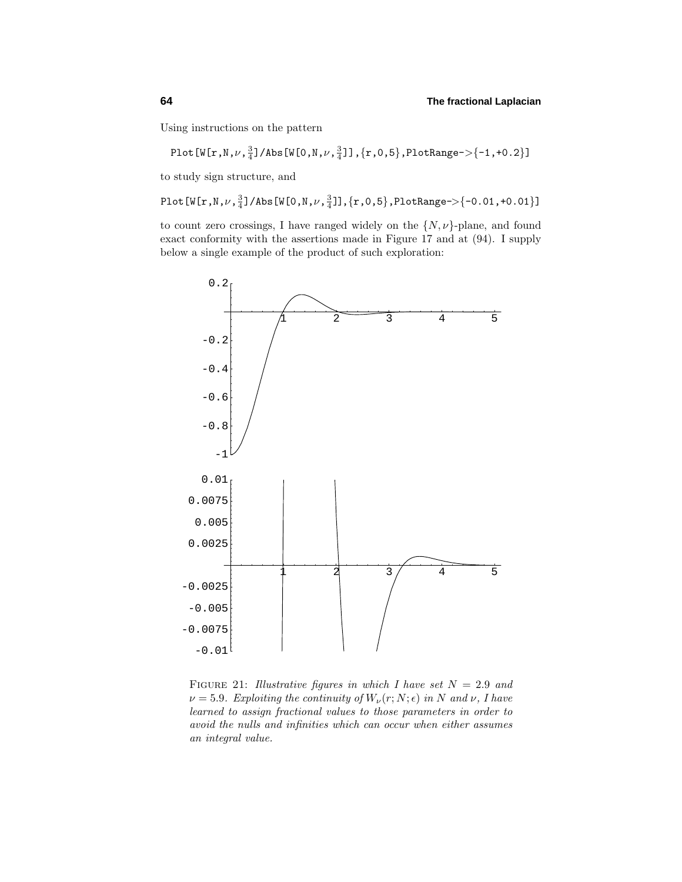Using instructions on the pattern

Plot[W[r,N, $\nu$ , $\frac{3}{4}$ ]/Abs[W[0,N, $\nu$ , $\frac{3}{4}$ ]], $\{{\rm r},$ 0,5 $\}$ ,PlotRange-> $\{{\texttt -1},{\texttt +0.2}\}$ ]

to study sign structure, and

Plot[W[r,N, $\nu$ , $\frac{3}{4}$ ]/Abs[W[0,N, $\nu$ , $\frac{3}{4}$ ]], $\{{\rm r},0,5\}$ ,PlotRange-> $\{-0.01,$ +0.01}]

to count zero crossings, I have ranged widely on the  $\{N, \nu\}$ -plane, and found exact conformity with the assertions made in Figure 17 and at (94). I supply below a single example of the product of such exploration:



FIGURE 21: Illustrative figures in which I have set  $N = 2.9$  and  $\nu = 5.9$ . Exploiting the continuity of  $W_{\nu}(r; N; \epsilon)$  in *N* and  $\nu$ , *I* have learned to assign fractional values to those parameters in order to avoid the nulls and infinities which can occur when either assumes an integral value.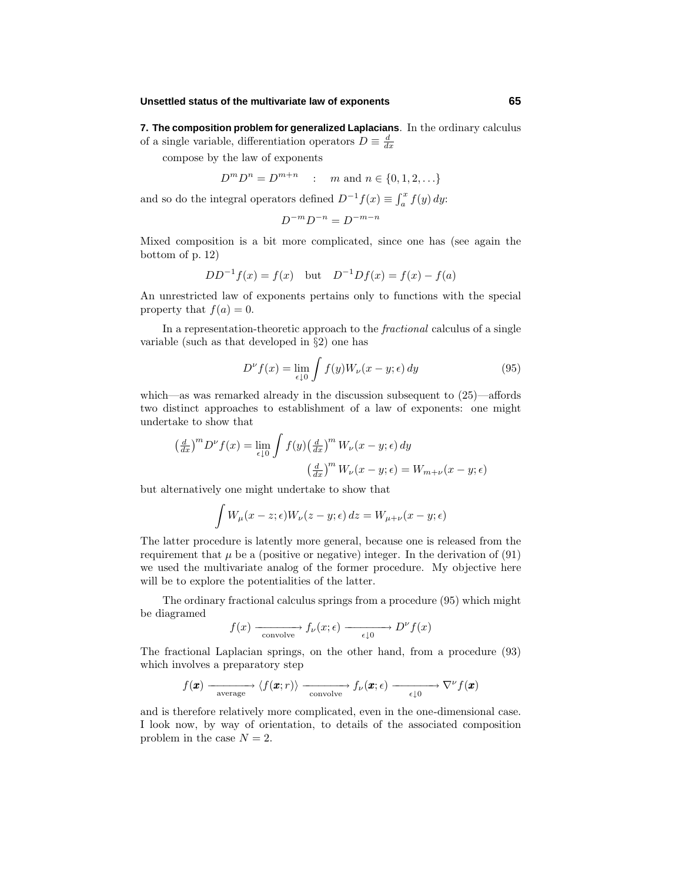## **Unsettled status of the multivariate law of exponents 65**

**7. The composition problem for generalized Laplacians**. In the ordinary calculus of a single variable, differentiation operators  $D \equiv \frac{d}{dx}$ 

compose by the law of exponents

$$
D^m D^n = D^{m+n} \quad : \quad m \text{ and } n \in \{0, 1, 2, \ldots\}
$$

and so do the integral operators defined  $D^{-1}f(x) \equiv \int_a^x f(y) dy$ :

$$
D^{-m}D^{-n}=D^{-m-n}\,
$$

Mixed composition is a bit more complicated, since one has (see again the bottom of p. 12)

$$
DD^{-1}f(x) = f(x) \quad \text{but} \quad D^{-1}Df(x) = f(x) - f(a)
$$

An unrestricted law of exponents pertains only to functions with the special property that  $f(a) = 0$ .

In a representation-theoretic approach to the fractional calculus of a single variable (such as that developed in  $\S 2$ ) one has

$$
D^{\nu} f(x) = \lim_{\epsilon \downarrow 0} \int f(y) W_{\nu}(x - y; \epsilon) dy \tag{95}
$$

which—as was remarked already in the discussion subsequent to (25)—affords two distinct approaches to establishment of a law of exponents: one might undertake to show that

$$
\left(\frac{d}{dx}\right)^m D^{\nu} f(x) = \lim_{\epsilon \downarrow 0} \int f(y) \left(\frac{d}{dx}\right)^m W_{\nu}(x - y; \epsilon) dy
$$

$$
\left(\frac{d}{dx}\right)^m W_{\nu}(x - y; \epsilon) = W_{m + \nu}(x - y; \epsilon)
$$

but alternatively one might undertake to show that

$$
\int W_{\mu}(x-z;\epsilon)W_{\nu}(z-y;\epsilon)\,dz = W_{\mu+\nu}(x-y;\epsilon)
$$

The latter procedure is latently more general, because one is released from the requirement that  $\mu$  be a (positive or negative) integer. In the derivation of (91) we used the multivariate analog of the former procedure. My objective here will be to explore the potentialities of the latter.

The ordinary fractional calculus springs from a procedure  $(95)$  which might be diagramed

$$
f(x) \longrightarrow f_{\nu}(x; \epsilon) \longrightarrow D^{\nu}f(x)
$$

The fractional Laplacian springs, on the other hand, from a procedure (93) which involves a preparatory step

$$
f(\pmb{x}) \xrightarrow[\text{average}]{\text{average}} \langle f(\pmb{x};r) \rangle \xrightarrow[\text{convolve}]{\text{convolve}} f_{\nu}(\pmb{x};\epsilon) \xrightarrow[\epsilon \downarrow 0]{} \nabla^{\nu} f(\pmb{x})
$$

and is therefore relatively more complicated, even in the one-dimensional case. I look now, by way of orientation, to details of the associated composition problem in the case  $N = 2$ .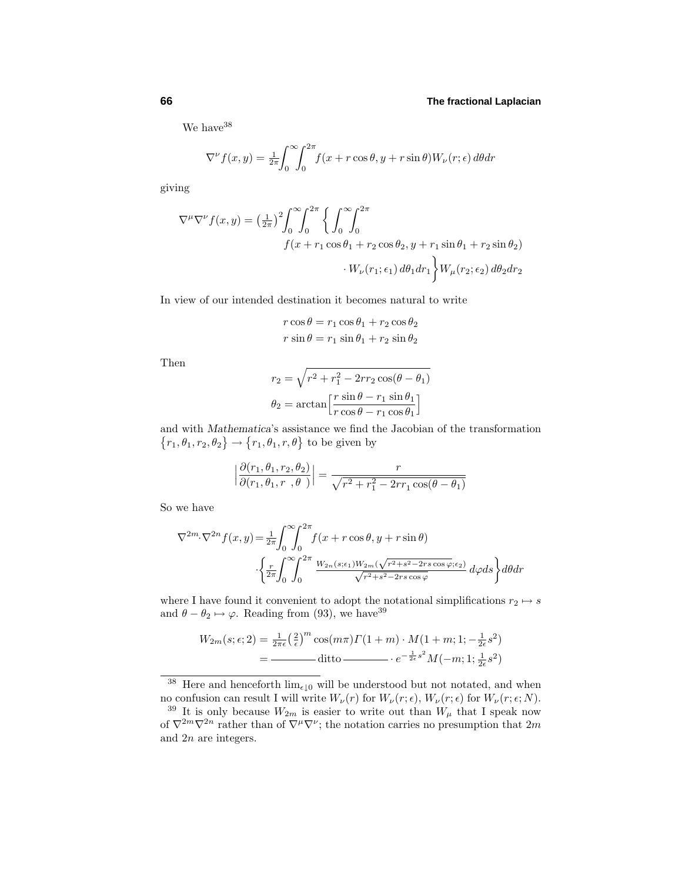We have <sup>38</sup>

$$
\nabla^{\nu} f(x, y) = \frac{1}{2\pi} \int_0^{\infty} \int_0^{2\pi} f(x + r \cos \theta, y + r \sin \theta) W_{\nu}(r; \epsilon) d\theta dr
$$

giving

$$
\nabla^{\mu}\nabla^{\nu}f(x,y) = \left(\frac{1}{2\pi}\right)^{2}\int_{0}^{\infty}\int_{0}^{2\pi}\left\{\int_{0}^{\infty}\int_{0}^{2\pi}\right\}
$$

$$
f(x+r_{1}\cos\theta_{1}+r_{2}\cos\theta_{2}, y+r_{1}\sin\theta_{1}+r_{2}\sin\theta_{2})
$$

$$
\cdot W_{\nu}(r_{1};\epsilon_{1}) d\theta_{1}dr_{1}\left\}W_{\mu}(r_{2};\epsilon_{2}) d\theta_{2}dr_{2}
$$

In view of our intended destination it becomes natural to write

$$
r \cos \theta = r_1 \cos \theta_1 + r_2 \cos \theta_2
$$
  

$$
r \sin \theta = r_1 \sin \theta_1 + r_2 \sin \theta_2
$$

Then

$$
r_2 = \sqrt{r^2 + r_1^2 - 2rr_2\cos(\theta - \theta_1)}
$$

$$
\theta_2 = \arctan\left[\frac{r\sin\theta - r_1\sin\theta_1}{r\cos\theta - r_1\cos\theta_1}\right]
$$

and with *Mathematica*'s assistance we find the Jacobian of the transformation  ${r_1, \theta_1, r_2, \theta_2} \rightarrow {r_1, \theta_1, r, \theta}$  to be given by

$$
\left| \frac{\partial (r_1, \theta_1, r_2, \theta_2)}{\partial (r_1, \theta_1, r_1, \theta)} \right| = \frac{r}{\sqrt{r^2 + r_1^2 - 2rr_1 \cos(\theta - \theta_1)}}
$$

So we have

$$
\nabla^{2m} \cdot \nabla^{2n} f(x, y) = \frac{1}{2\pi} \int_0^{\infty} \int_0^{2\pi} f(x + r \cos \theta, y + r \sin \theta)
$$

$$
\cdot \left\{ \frac{r}{2\pi} \int_0^{\infty} \int_0^{2\pi} \frac{W_{2n}(s; \epsilon_1) W_{2m}(\sqrt{r^2 + s^2 - 2rs \cos \varphi}; \epsilon_2)}{\sqrt{r^2 + s^2 - 2rs \cos \varphi}} d\varphi ds \right\} d\theta dr
$$

where I have found it convenient to adopt the notational simplifications  $r_2 \mapsto s$ and  $\theta - \theta_2 \mapsto \varphi$ . Reading from (93), we have<sup>39</sup>

$$
W_{2m}(s; \epsilon; 2) = \frac{1}{2\pi\epsilon} \left(\frac{2}{\epsilon}\right)^m \cos(m\pi) \Gamma(1+m) \cdot M(1+m; 1; -\frac{1}{2\epsilon}s^2)
$$
  
= 
$$
\frac{1}{2\epsilon} \int_0^{\infty} \frac{1}{\epsilon} \cos(m\pi) \Gamma(1+m) \cdot M(1+m; 1; -\frac{1}{2\epsilon}s^2)
$$

<sup>38</sup> Here and henceforth  $\lim_{\epsilon \downarrow 0}$  will be understood but not notated, and when no confusion can result I will write  $W_\nu(r)$  for  $W_\nu(r;\epsilon)$ ,  $W_\nu(r;\epsilon)$  for  $W_\nu(r;\epsilon;N)$ .

<sup>&</sup>lt;sup>39</sup> It is only because  $W_{2m}$  is easier to write out than  $W_\mu$  that I speak now of  $\nabla^{2m}\nabla^{2n}$  rather than of  $\nabla^{\mu}\nabla^{\nu}$ ; the notation carries no presumption that  $2m$ and 2*n* are integers.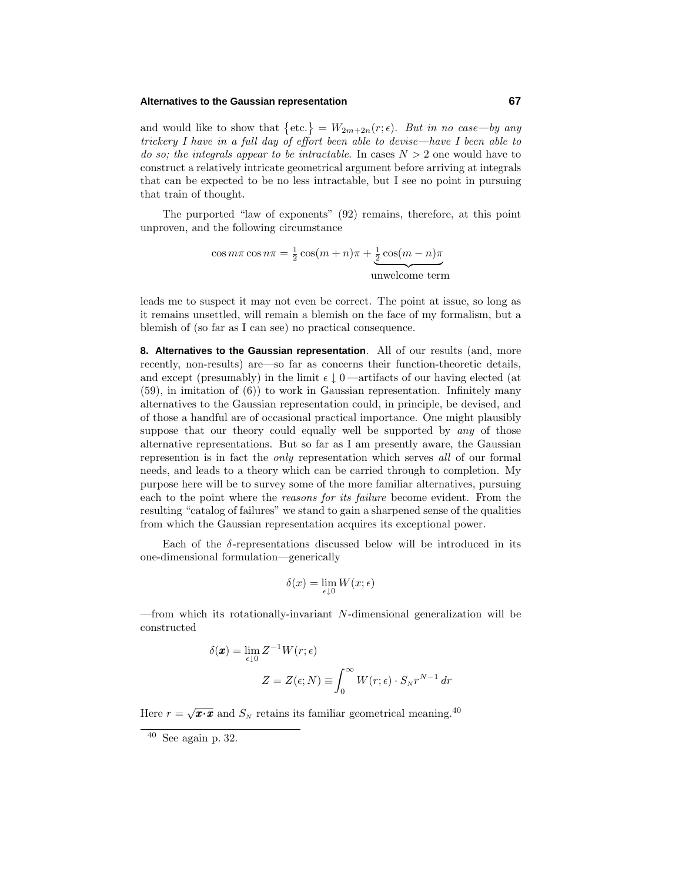## **Alternatives to the Gaussian representation 67**

and would like to show that  $\{\text{etc.}\} = W_{2m+2n}(r; \epsilon)$ . But in no case—by any trickery I have in a full day of effort been able to devise—have I been able to do so; the integrals appear to be intractable. In cases  $N > 2$  one would have to construct a relatively intricate geometrical argument before arriving at integrals that can be expected to be no less intractable, but I see no point in pursuing that train of thought.

The purported "law of exponents"  $(92)$  remains, therefore, at this point unproven, and the following circumstance

$$
\cos m\pi \cos n\pi = \frac{1}{2}\cos(m+n)\pi + \underbrace{\frac{1}{2}\cos(m-n)\pi}_{\text{unwelcome term}}
$$

leads me to suspect it may not even be correct. The point at issue, so long as it remains unsettled, will remain a blemish on the face of my formalism, but a blemish of (so far as I can see) no practical consequence.

**8. Alternatives to the Gaussian representation**. All of our results (and, more recently, non-results) are—so far as concerns their function-theoretic details, and except (presumably) in the limit  $\epsilon \downarrow 0$  —artifacts of our having elected (at (59), in imitation of (6)) to work in Gaussian representation. Infinitely many alternatives to the Gaussian representation could, in principle, be devised, and of those a handful are of occasional practical importance. One might plausibly suppose that our theory could equally well be supported by any of those alternative representations. But so far as I am presently aware, the Gaussian represention is in fact the only representation which serves all of our formal needs, and leads to a theory which can be carried through to completion. My purpose here will be to survey some of the more familiar alternatives, pursuing each to the point where the reasons for its failure become evident. From the resulting "catalog of failures" we stand to gain a sharpened sense of the qualities from which the Gaussian representation acquires its exceptional power.

Each of the  $\delta$ -representations discussed below will be introduced in its one-dimensional formulation—generically

$$
\delta(x) = \lim_{\epsilon \downarrow 0} W(x; \epsilon)
$$

—from which its rotationally-invariant *N*-dimensional generalization will be constructed

$$
\delta(\mathbf{x}) = \lim_{\epsilon \downarrow 0} Z^{-1} W(r; \epsilon)
$$

$$
Z = Z(\epsilon; N) \equiv \int_0^\infty W(r; \epsilon) \cdot S_N r^{N-1} dr
$$

Here  $r = \sqrt{x \cdot x}$  and  $S_N$  retains its familiar geometrical meaning.<sup>40</sup>

 $\overline{40}$  See again p. 32.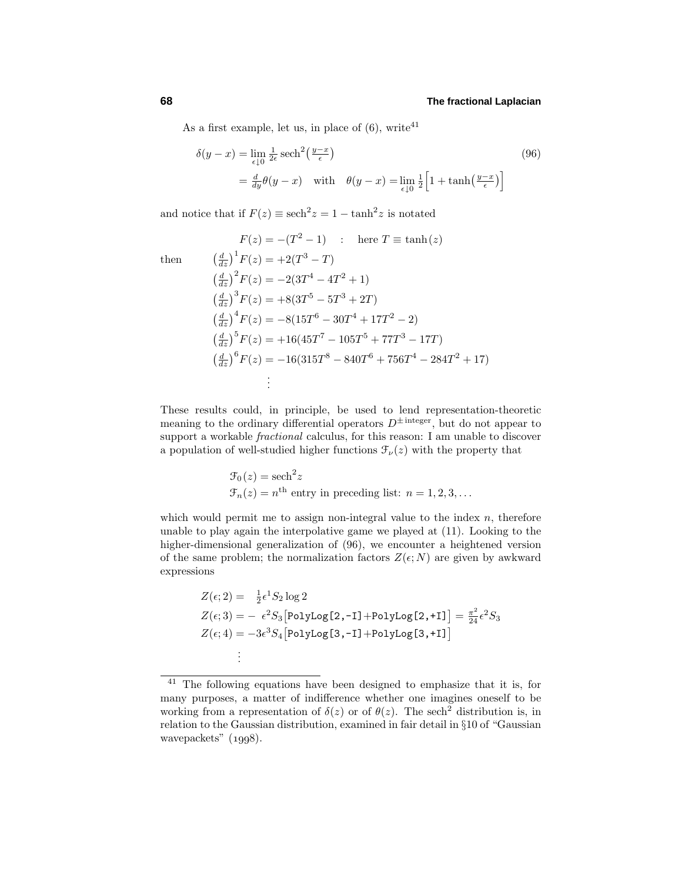As a first example, let us, in place of  $(6)$ , write<sup>41</sup>

$$
\delta(y - x) = \lim_{\epsilon \downarrow 0} \frac{1}{2\epsilon} \operatorname{sech}^{2}\left(\frac{y - x}{\epsilon}\right)
$$
\n
$$
= \frac{d}{dy} \theta(y - x) \quad \text{with} \quad \theta(y - x) = \lim_{\epsilon \downarrow 0} \frac{1}{2} \left[1 + \tanh\left(\frac{y - x}{\epsilon}\right)\right]
$$
\n(96)

and notice that if  $F(z) \equiv \text{sech}^2 z = 1 - \tanh^2 z$  is notated

then *<sup>d</sup>*

$$
F(z) = -(T^2 - 1) \qquad : \quad \text{here } T \equiv \tanh(z)
$$
\n
$$
\left(\frac{d}{dz}\right)^1 F(z) = +2(T^3 - T)
$$
\n
$$
\left(\frac{d}{dz}\right)^2 F(z) = -2(3T^4 - 4T^2 + 1)
$$
\n
$$
\left(\frac{d}{dz}\right)^3 F(z) = +8(3T^5 - 5T^3 + 2T)
$$
\n
$$
\left(\frac{d}{dz}\right)^4 F(z) = -8(15T^6 - 30T^4 + 17T^2 - 2)
$$
\n
$$
\left(\frac{d}{dz}\right)^5 F(z) = +16(45T^7 - 105T^5 + 77T^3 - 17T)
$$
\n
$$
\left(\frac{d}{dz}\right)^6 F(z) = -16(315T^8 - 840T^6 + 756T^4 - 284T^2 + 17)
$$
\n
$$
\vdots
$$

These results could, in principle, be used to lend representation-theoretic meaning to the ordinary differential operators  $D^{\pm}$ <sup>integer</sup>, but do not appear to support a workable *fractional* calculus, for this reason: I am unable to discover a population of well-studied higher functions  $\mathcal{F}_{\nu}(z)$  with the property that

$$
\mathcal{F}_0(z) = \text{sech}^2 z
$$
  

$$
\mathcal{F}_n(z) = n^{\text{th}} \text{ entry in preceding list: } n = 1, 2, 3, \dots
$$

which would permit me to assign non-integral value to the index *n*, therefore unable to play again the interpolative game we played at (11). Looking to the higher-dimensional generalization of (96), we encounter a heightened version of the same problem; the normalization factors  $Z(\epsilon; N)$  are given by awkward expressions

$$
Z(\epsilon; 2) = \frac{1}{2} \epsilon^1 S_2 \log 2
$$
  
\n
$$
Z(\epsilon; 3) = -\epsilon^2 S_3 \left[ \text{PolyLog}[2, -1] + \text{PolyLog}[2, +1] \right] = \frac{\pi^2}{24} \epsilon^2 S_3
$$
  
\n
$$
Z(\epsilon; 4) = -3 \epsilon^3 S_4 \left[ \text{PolyLog}[3, -1] + \text{PolyLog}[3, +1] \right]
$$
  
\n
$$
\vdots
$$

<sup>41</sup> The following equations have been designed to emphasize that it is, for many purposes, a matter of indifference whether one imagines oneself to be working from a representation of  $\delta(z)$  or of  $\theta(z)$ . The sech<sup>2</sup> distribution is, in relation to the Gaussian distribution, examined in fair detail in §10 of "Gaussian wavepackets"  $(1998)$ .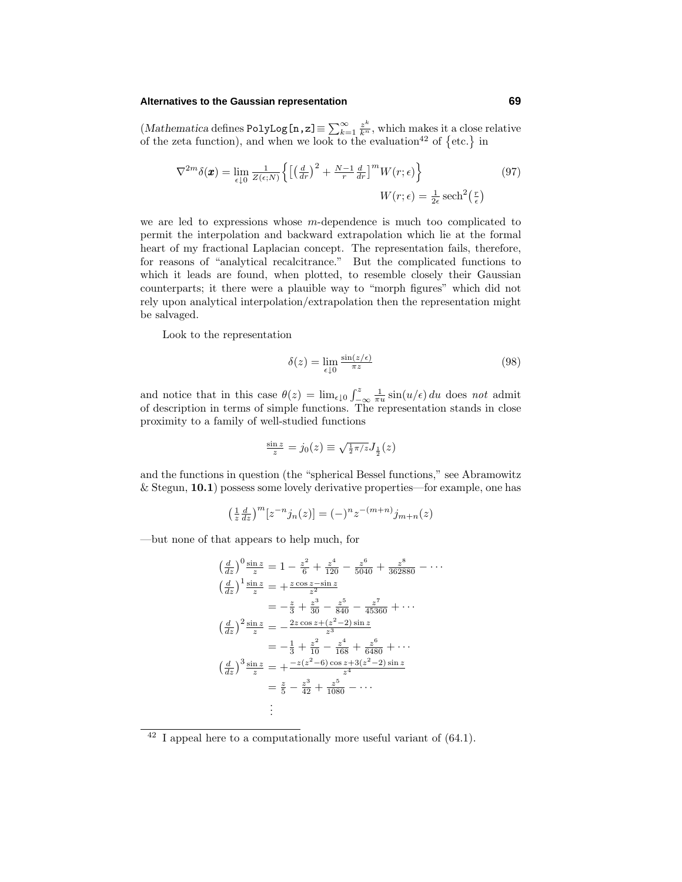## **Alternatives to the Gaussian representation 69**

 $(Mathematica defines PolyLog[n,z] \equiv \sum_{k=1}^{\infty} \frac{z^k}{k^n}$ , which makes it a close relative of the zeta function), and when we look to the evaluation<sup>42</sup> of  $\{etc.\}$  in

$$
\nabla^{2m}\delta(\boldsymbol{x}) = \lim_{\epsilon \downarrow 0} \frac{1}{Z(\epsilon;N)} \left\{ \left[ \left( \frac{d}{dr} \right)^2 + \frac{N-1}{r} \frac{d}{dr} \right]^m W(r;\epsilon) \right\}
$$
\n
$$
W(r;\epsilon) = \frac{1}{2\epsilon} \operatorname{sech}^2\left(\frac{r}{\epsilon}\right)
$$
\n(97)

we are led to expressions whose *m*-dependence is much too complicated to permit the interpolation and backward extrapolation which lie at the formal heart of my fractional Laplacian concept. The representation fails, therefore, for reasons of "analytical recalcitrance." But the complicated functions to which it leads are found, when plotted, to resemble closely their Gaussian counterparts; it there were a plauible way to "morph figures" which did not rely upon analytical interpolation/extrapolation then the representation might be salvaged.

Look to the representation

$$
\delta(z) = \lim_{\epsilon \downarrow 0} \frac{\sin(z/\epsilon)}{\pi z} \tag{98}
$$

and notice that in this case  $\theta(z) = \lim_{\epsilon \downarrow 0} \int_{-\infty}^{z}$  $\frac{1}{\pi u} \sin(u/\epsilon) du$  does not admit of description in terms of simple functions. The representation stands in close proximity to a family of well-studied functions

$$
\tfrac{\sin z}{z}=j_0(z)\equiv\sqrt{\tfrac{1}{2}\pi/z}J_{\frac{1}{2}}(z)
$$

and the functions in question (the "spherical Bessel functions," see Abramowitz & Stegun, **10.1**)possess some lovely derivative properties—for example, one has

$$
\left(\frac{1}{z}\frac{d}{dz}\right)^m[z^{-n}j_n(z)] = (-)^nz^{-(m+n)}j_{m+n}(z)
$$

—but none of that appears to help much, for

$$
\left(\frac{d}{dz}\right)^0 \frac{\sin z}{z} = 1 - \frac{z^2}{6} + \frac{z^4}{120} - \frac{z^6}{5040} + \frac{z^8}{362880} - \cdots
$$
  

$$
\left(\frac{d}{dz}\right)^1 \frac{\sin z}{z} = + \frac{z \cos z - \sin z}{z^2}
$$
  

$$
= -\frac{z}{3} + \frac{z^3}{30} - \frac{z^5}{840} - \frac{z^7}{45360} + \cdots
$$
  

$$
\left(\frac{d}{dz}\right)^2 \frac{\sin z}{z} = -\frac{2z \cos z + (z^2 - 2) \sin z}{z^3}
$$
  

$$
= -\frac{1}{3} + \frac{z^2}{10} - \frac{z^4}{168} + \frac{z^6}{6480} + \cdots
$$
  

$$
\left(\frac{d}{dz}\right)^3 \frac{\sin z}{z} = + \frac{-z(z^2 - 6) \cos z + 3(z^2 - 2) \sin z}{z^4}
$$
  

$$
= \frac{z}{5} - \frac{z^3}{42} + \frac{z^5}{1080} - \cdots
$$
  
:

 $42$  I appeal here to a computationally more useful variant of  $(64.1)$ .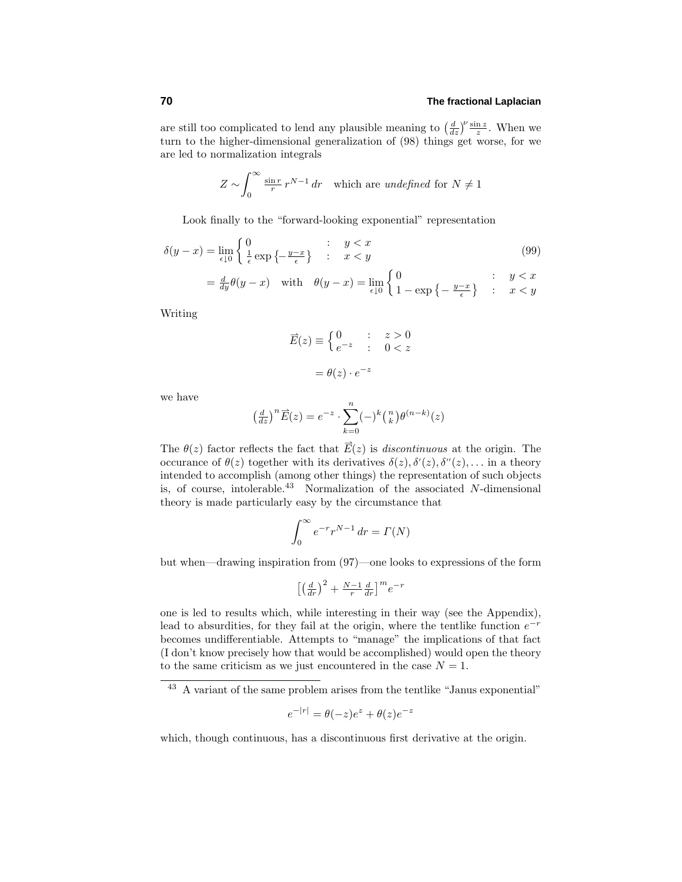are still too complicated to lend any plausible meaning to  $\left(\frac{d}{dz}\right)^{\nu} \frac{\sin z}{z}$ . When we turn to the higher-dimensional generalization of  $(98)$  things get worse, for we are led to normalization integrals

$$
Z \sim \int_0^\infty \frac{\sin r}{r} r^{N-1} dr \quad \text{which are undefined for } N \neq 1
$$

Look finally to the "forward-looking exponential" representation

$$
\delta(y-x) = \lim_{\epsilon \downarrow 0} \begin{cases} 0 & \text{if } y < x \\ \frac{1}{\epsilon} \exp\left\{-\frac{y-x}{\epsilon}\right\} & \text{if } x < y \end{cases} \tag{99}
$$

$$
= \frac{d}{dy}\theta(y-x) \quad \text{with} \quad \theta(y-x) = \lim_{\epsilon \downarrow 0} \begin{cases} 0 & \text{if } y < x \\ 1 - \exp\left\{-\frac{y-x}{\epsilon}\right\} & \text{if } x < y \end{cases}
$$

Writing

$$
\overrightarrow{E}(z) \equiv \begin{cases} 0 & : z > 0 \\ e^{-z} & : 0 < z \end{cases}
$$
\n
$$
= \theta(z) \cdot e^{-z}
$$

we have

$$
\left(\frac{d}{dz}\right)^n \overrightarrow{E}(z) = e^{-z} \cdot \sum_{k=0}^n (-)^k {n \choose k} \theta^{(n-k)}(z)
$$

The  $\theta(z)$  factor reflects the fact that  $\vec{E}(z)$  is *discontinuous* at the origin. The occurance of  $\theta(z)$  together with its derivatives  $\delta(z)$ ,  $\delta'(z)$ ,  $\delta''(z)$ ,... in a theory intended to accomplish (among other things) the representation of such objects is, of course, intolerable.<sup>43</sup> Normalization of the associated *N*-dimensional theory is made particularly easy by the circumstance that

$$
\int_0^\infty e^{-r} r^{N-1} \, dr = \Gamma(N)
$$

but when—drawing inspiration from (97)—one looks to expressions of the form

$$
\left[\left(\frac{d}{dr}\right)^2 + \frac{N-1}{r}\frac{d}{dr}\right]^m e^{-r}
$$

one is led to results which, while interesting in their way (see the Appendix), lead to absurdities, for they fail at the origin, where the tentlike function *e*−*<sup>r</sup>* becomes undifferentiable. Attempts to "manage" the implications of that fact (I don't know precisely how that would be accomplished)would open the theory to the same criticism as we just encountered in the case  $N = 1$ .

$$
e^{-|r|} = \theta(-z)e^{z} + \theta(z)e^{-z}
$$

which, though continuous, has a discontinuous first derivative at the origin.

 $^{43}$  A variant of the same problem arises from the tentlike "Janus exponential"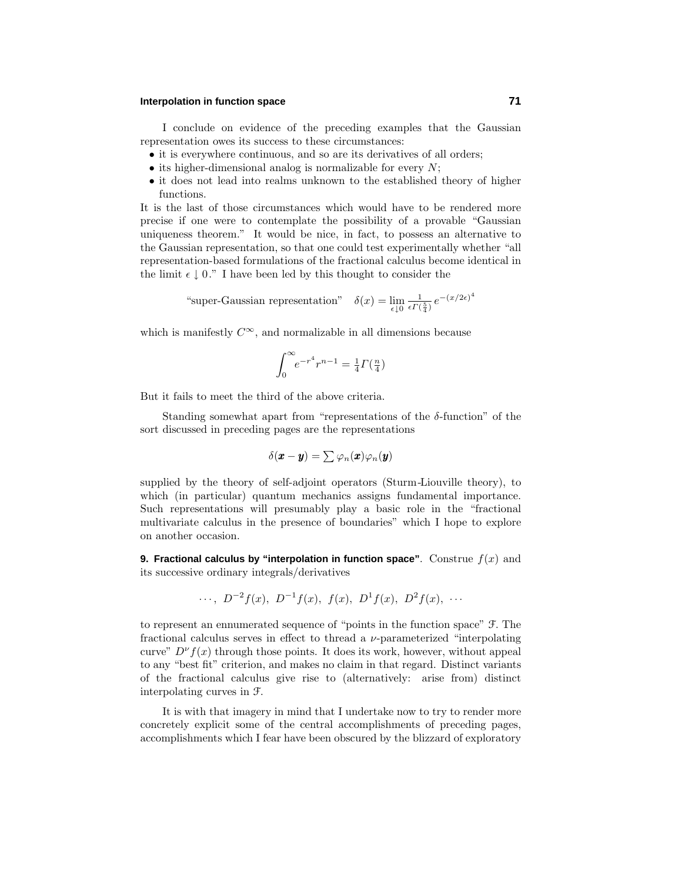## **Interpolation in function space 71**

I conclude on evidence of the preceding examples that the Gaussian representation owes its success to these circumstances:

- it is everywhere continuous, and so are its derivatives of all orders;
- its higher-dimensional analog is normalizable for every *N*;
- it does not lead into realms unknown to the established theory of higher functions.

It is the last of those circumstances which would have to be rendered more precise if one were to contemplate the possibility of a provable "Gaussian uniqueness theorem." It would be nice, in fact, to possess an alternative to the Gaussian representation, so that one could test experimentally whether "all representation-based formulations of the fractional calculus become identical in the limit  $\epsilon \downarrow 0$ ." I have been led by this thought to consider the

"super-Gaussian representation" 
$$
\delta(x) = \lim_{\epsilon \downarrow 0} \frac{1}{\epsilon \Gamma(\frac{5}{4})} e^{-(x/2\epsilon)^4}
$$

which is manifestly  $C^{\infty}$ , and normalizable in all dimensions because

$$
\int_0^{\infty} e^{-r^4} r^{n-1} = \frac{1}{4} \Gamma(\frac{n}{4})
$$

But it fails to meet the third of the above criteria.

Standing somewhat apart from "representations of the *δ*-function" of the sort discussed in preceding pages are the representations

$$
\delta(\boldsymbol{x}-\boldsymbol{y})=\sum \varphi_n(\boldsymbol{x})\varphi_n(\boldsymbol{y})
$$

supplied by the theory of self-adjoint operators (Sturm-Liouville theory), to which (in particular) quantum mechanics assigns fundamental importance. Such representations will presumably play a basic role in the "fractional multivariate calculus in the presence of boundaries" which I hope to explore on another occasion.

**9. Fractional calculus by "interpolation in function space".** Construe  $f(x)$  and its successive ordinary integrals/derivatives

..., 
$$
D^{-2}f(x)
$$
,  $D^{-1}f(x)$ ,  $f(x)$ ,  $D^{1}f(x)$ ,  $D^{2}f(x)$ , ...

to represent an ennumerated sequence of "points in the function space" F. The fractional calculus serves in effect to thread a *ν*-parameterized "interpolating curve"  $D^{\nu} f(x)$  through those points. It does its work, however, without appeal to any "best fit" criterion, and makes no claim in that regard. Distinct variants of the fractional calculus give rise to (alternatively: arise from) distinct interpolating curves in F.

It is with that imagery in mind that I undertake now to try to render more concretely explicit some of the central accomplishments of preceding pages, accomplishments which I fear have been obscured by the blizzard of exploratory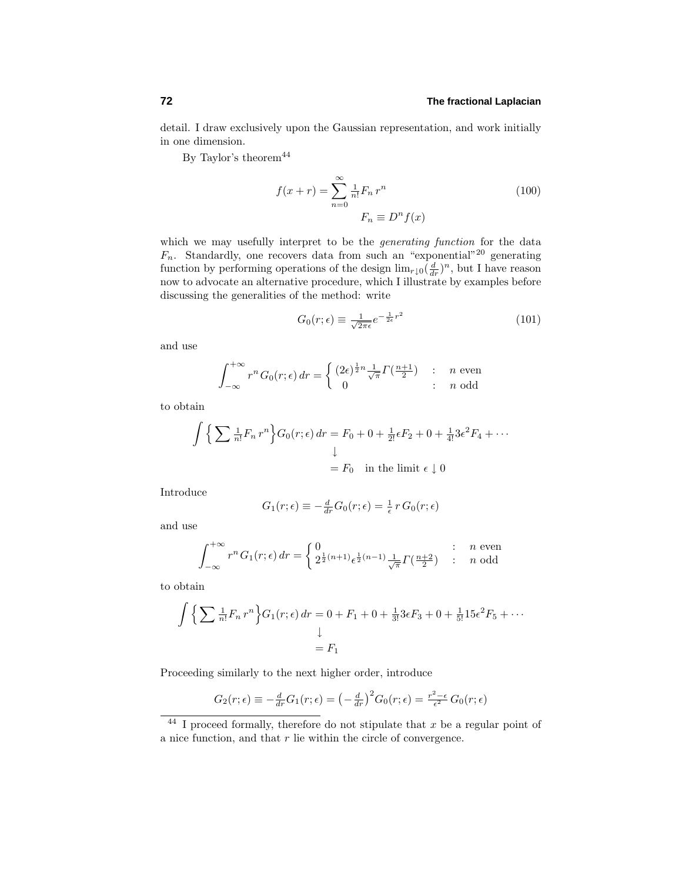detail. I draw exclusively upon the Gaussian representation, and work initially in one dimension.

By Taylor's theorem $44$ 

$$
f(x+r) = \sum_{n=0}^{\infty} \frac{1}{n!} F_n r^n
$$
  
\n
$$
F_n \equiv D^n f(x)
$$
\n(100)

which we may usefully interpret to be the *generating function* for the data  $F_n$ . Standardly, one recovers data from such an "exponential"<sup>20</sup> generating function by performing operations of the design  $\lim_{r\downarrow 0} (\frac{d}{dr})^n$ , but I have reason now to advocate an alternative procedure, which I illustrate by examples before discussing the generalities of the method: write

$$
G_0(r;\epsilon) \equiv \frac{1}{\sqrt{2\pi\epsilon}} e^{-\frac{1}{2\epsilon}r^2}
$$
\n(101)

and use

$$
\int_{-\infty}^{+\infty} r^n G_0(r;\epsilon) dr = \begin{cases} (2\epsilon)^{\frac{1}{2}n} \frac{1}{\sqrt{\pi}} \Gamma(\frac{n+1}{2}) & : n \text{ even} \\ 0 & : n \text{ odd} \end{cases}
$$

to obtain

$$
\int \left\{ \sum \frac{1}{n!} F_n r^n \right\} G_0(r; \epsilon) dr = F_0 + 0 + \frac{1}{2!} \epsilon F_2 + 0 + \frac{1}{4!} 3 \epsilon^2 F_4 + \cdots
$$

$$
\downarrow
$$

$$
= F_0 \quad \text{in the limit } \epsilon \downarrow 0
$$

Introduce

$$
G_1(r;\epsilon) \equiv -\frac{d}{dr}G_0(r;\epsilon) = \frac{1}{\epsilon} r G_0(r;\epsilon)
$$

and use

$$
\int_{-\infty}^{+\infty} r^n G_1(r;\epsilon) dr = \begin{cases} 0 & \text{: } n \text{ even} \\ 2^{\frac{1}{2}(n+1)} \epsilon^{\frac{1}{2}(n-1)} \frac{1}{\sqrt{\pi}} \Gamma(\frac{n+2}{2}) & \text{: } n \text{ odd} \end{cases}
$$

to obtain

$$
\int \left\{ \sum \frac{1}{n!} F_n r^n \right\} G_1(r; \epsilon) dr = 0 + F_1 + 0 + \frac{1}{3!} 3\epsilon F_3 + 0 + \frac{1}{5!} 15\epsilon^2 F_5 + \cdots
$$

$$
\downarrow
$$

$$
= F_1
$$

Proceeding similarly to the next higher order, introduce

$$
G_2(r;\epsilon) \equiv -\frac{d}{dr}G_1(r;\epsilon) = \left(-\frac{d}{dr}\right)^2 G_0(r;\epsilon) = \frac{r^2-\epsilon}{\epsilon^2} G_0(r;\epsilon)
$$

<sup>44</sup> I proceed formally, therefore do not stipulate that *x* be a regular point of a nice function, and that *r* lie within the circle of convergence.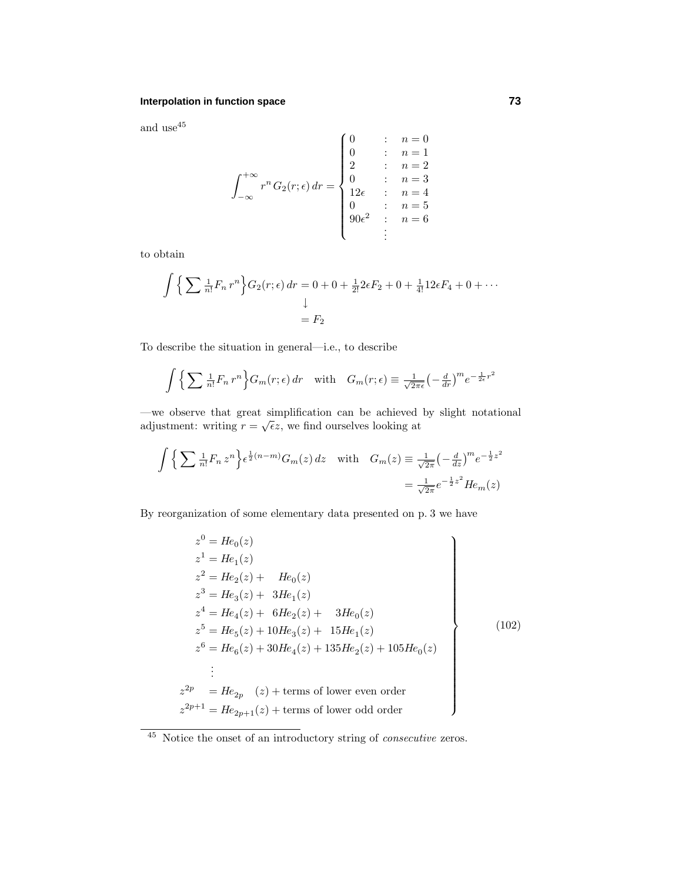and use  $^{45}$ 

$$
\int_{-\infty}^{+\infty} r^n G_2(r; \epsilon) dr = \begin{cases} 0 & : n = 0 \\ 0 & : n = 1 \\ 2 & : n = 2 \\ 0 & : n = 3 \\ 12\epsilon & : n = 4 \\ 0 & : n = 5 \\ 90\epsilon^2 & : n = 6 \end{cases}
$$

to obtain

$$
\int \left\{ \sum \frac{1}{n!} F_n r^n \right\} G_2(r; \epsilon) \, dr = 0 + 0 + \frac{1}{2!} 2\epsilon F_2 + 0 + \frac{1}{4!} 12\epsilon F_4 + 0 + \cdots
$$
\n
$$
\downarrow
$$
\n
$$
= F_2
$$

To describe the situation in general—i.e., to describe

$$
\int \left\{ \sum \frac{1}{n!} F_n r^n \right\} G_m(r; \epsilon) \, dr \quad \text{with} \quad G_m(r; \epsilon) \equiv \frac{1}{\sqrt{2\pi\epsilon}} \left( -\frac{d}{dr} \right)^m e^{-\frac{1}{2\epsilon}r^2}
$$

—we observe that great simplification can be achieved by slight notational adjustment: writing  $r = \sqrt{\epsilon}z$ , we find ourselves looking at

$$
\int \left\{ \sum \frac{1}{n!} F_n z^n \right\} \epsilon^{\frac{1}{2}(n-m)} G_m(z) dz \quad \text{with} \quad G_m(z) \equiv \frac{1}{\sqrt{2\pi}} \left( -\frac{d}{dz} \right)^m e^{-\frac{1}{2}z^2}
$$

$$
= \frac{1}{\sqrt{2\pi}} e^{-\frac{1}{2}z^2} H e_m(z)
$$

By reorganization of some elementary data presented on p. 3 we have

$$
z^{0} = He_{0}(z)
$$
  
\n
$$
z^{1} = He_{1}(z)
$$
  
\n
$$
z^{2} = He_{2}(z) + He_{0}(z)
$$
  
\n
$$
z^{3} = He_{3}(z) + 3He_{1}(z)
$$
  
\n
$$
z^{4} = He_{4}(z) + 6He_{2}(z) + 3He_{0}(z)
$$
  
\n
$$
z^{5} = He_{5}(z) + 10He_{3}(z) + 15He_{1}(z)
$$
  
\n
$$
z^{6} = He_{6}(z) + 30He_{4}(z) + 135He_{2}(z) + 105He_{0}(z)
$$
  
\n
$$
\vdots
$$
  
\n
$$
z^{2p} = He_{2p} (z) + \text{terms of lower even order}
$$
  
\n
$$
z^{2p+1} = He_{2p+1}(z) + \text{terms of lower odd order}
$$
  
\n(102)

<sup>45</sup> Notice the onset of an introductory string of consecutive zeros.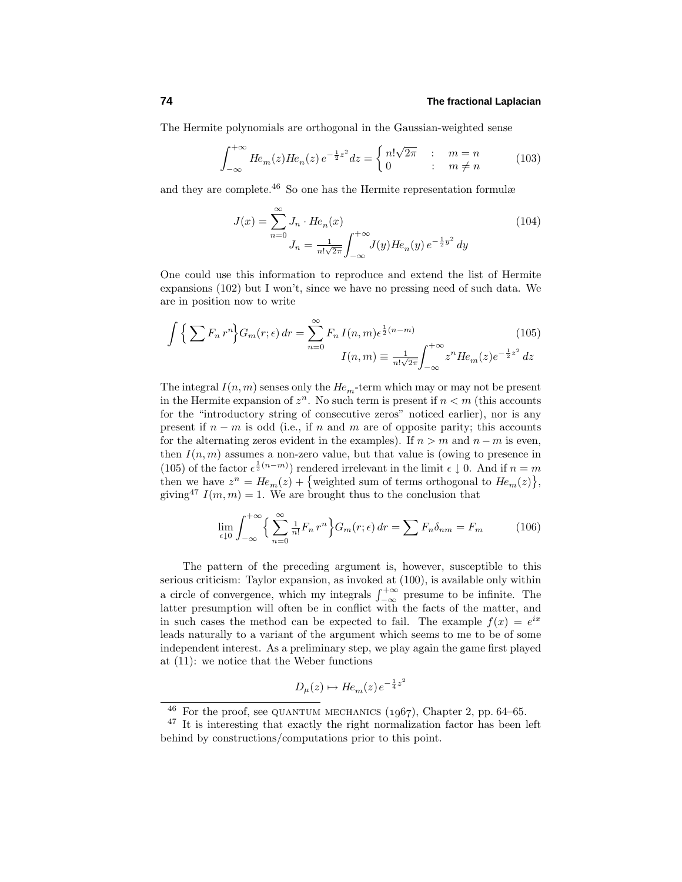The Hermite polynomials are orthogonal in the Gaussian-weighted sense

$$
\int_{-\infty}^{+\infty} H e_m(z) H e_n(z) e^{-\frac{1}{2}z^2} dz = \begin{cases} n! \sqrt{2\pi} & : m = n \\ 0 & : m \neq n \end{cases}
$$
 (103)

and they are complete.<sup>46</sup> So one has the Hermite representation formulæ

$$
J(x) = \sum_{n=0}^{\infty} J_n \cdot He_n(x)
$$
  
\n
$$
J_n = \frac{1}{n! \sqrt{2\pi}} \int_{-\infty}^{+\infty} J(y) He_n(y) e^{-\frac{1}{2}y^2} dy
$$
\n(104)

One could use this information to reproduce and extend the list of Hermite expansions  $(102)$  but I won't, since we have no pressing need of such data. We are in position now to write

$$
\int \left\{ \sum F_n r^n \right\} G_m(r; \epsilon) \, dr = \sum_{n=0}^{\infty} F_n I(n, m) \epsilon^{\frac{1}{2}(n-m)} \qquad (105)
$$
\n
$$
I(n, m) \equiv \frac{1}{n! \sqrt{2\pi}} \int_{-\infty}^{+\infty} z^n H e_m(z) e^{-\frac{1}{2}z^2} \, dz
$$

The integral  $I(n, m)$  senses only the  $He_m$ -term which may or may not be present in the Hermite expansion of  $z^n$ . No such term is present if  $n < m$  (this accounts for the "introductory string of consecutive zeros" noticed earlier), nor is any present if *n* − *m* is odd (i.e., if *n* and *m* are of opposite parity; this accounts for the alternating zeros evident in the examples). If  $n > m$  and  $n - m$  is even, then  $I(n, m)$  assumes a non-zero value, but that value is (owing to presence in (105) of the factor  $\epsilon^{\frac{1}{2}(n-m)}$  rendered irrelevant in the limit  $\epsilon \downarrow 0$ . And if  $n = m$ then we have  $z^n = He_m(z) + \{\text{weighted sum of terms orthogonal to } He_m(z)\},\$ giving<sup>47</sup>  $I(m, m) = 1$ . We are brought thus to the conclusion that

$$
\lim_{\epsilon \downarrow 0} \int_{-\infty}^{+\infty} \left\{ \sum_{n=0}^{\infty} \frac{1}{n!} F_n r^n \right\} G_m(r; \epsilon) \, dr = \sum F_n \delta_{nm} = F_m \tag{106}
$$

The pattern of the preceding argument is, however, susceptible to this serious criticism: Taylor expansion, as invoked at (100), is available only within a circle of convergence, which my integrals  $\int_{-\infty}^{+\infty}$  presume to be infinite. The latter presumption will often be in conflict with the facts of the matter, and in such cases the method can be expected to fail. The example  $f(x) = e^{ix}$ leads naturally to a variant of the argument which seems to me to be of some independent interest. As a preliminary step, we play again the game first played at (11): we notice that the Weber functions

$$
D_{\mu}(z) \mapsto He_m(z)e^{-\frac{1}{4}z^2}
$$

 $46$  For the proof, see QUANTUM MECHANICS (1967), Chapter 2, pp. 64–65.

<sup>47</sup> It is interesting that exactly the right normalization factor has been left behind by constructions/computations prior to this point.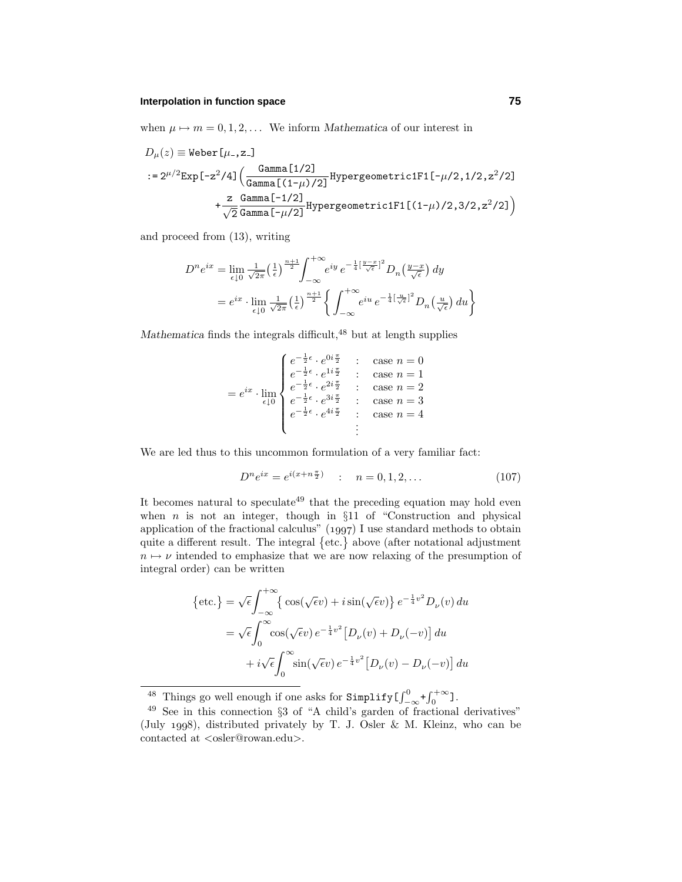when  $\mu \mapsto m = 0, 1, 2, \ldots$  We inform *Mathematica* of our interest in

$$
D_{\mu}(z) \equiv \text{Weber}[\mu_{-}, z_{-}]
$$
  
:=  $2^{\mu/2} \text{Exp}[-z^2/4] \left( \frac{\text{Gamma}[1/2]}{\text{Gamma}[(1-\mu)/2]} \text{HypergeometricIF1}[-\mu/2, 1/2, z^2/2] + \frac{z}{\sqrt{2}} \frac{\text{Gamma}[-1/2]}{\text{Gamma}[-\mu/2]} \text{HypergeometricIF1}[(1-\mu)/2, 3/2, z^2/2] \right)$ 

and proceed from (13), writing

$$
D^{n} e^{ix} = \lim_{\epsilon \downarrow 0} \frac{1}{\sqrt{2\pi}} \left(\frac{1}{\epsilon}\right)^{\frac{n+1}{2}} \int_{-\infty}^{+\infty} e^{iy} e^{-\frac{1}{4} \left[\frac{y-x}{\sqrt{\epsilon}}\right]^{2}} D_{n} \left(\frac{y-x}{\sqrt{\epsilon}}\right) dy
$$
  
=  $e^{ix} \cdot \lim_{\epsilon \downarrow 0} \frac{1}{\sqrt{2\pi}} \left(\frac{1}{\epsilon}\right)^{\frac{n+1}{2}} \left\{ \int_{-\infty}^{+\infty} e^{iu} e^{-\frac{1}{4} \left[\frac{u}{\sqrt{\epsilon}}\right]^{2}} D_{n} \left(\frac{u}{\sqrt{\epsilon}}\right) du \right\}$ 

*Mathematica* finds the integrals difficult,<sup>48</sup> but at length supplies

$$
= e^{ix} \cdot \lim_{\epsilon \downarrow 0} \begin{cases} e^{-\frac{1}{2}\epsilon} \cdot e^{0i\frac{\pi}{2}} & : & \text{case } n = 0 \\ e^{-\frac{1}{2}\epsilon} \cdot e^{1i\frac{\pi}{2}} & : & \text{case } n = 1 \\ e^{-\frac{1}{2}\epsilon} \cdot e^{2i\frac{\pi}{2}} & : & \text{case } n = 2 \\ e^{-\frac{1}{2}\epsilon} \cdot e^{3i\frac{\pi}{2}} & : & \text{case } n = 3 \\ e^{-\frac{1}{2}\epsilon} \cdot e^{4i\frac{\pi}{2}} & : & \text{case } n = 4 \end{cases}
$$

We are led thus to this uncommon formulation of a very familiar fact:

$$
D^{n}e^{ix} = e^{i(x+n\frac{\pi}{2})} \quad : \quad n = 0, 1, 2, \dots \tag{107}
$$

It becomes natural to speculate<sup>49</sup> that the preceding equation may hold even when  $n$  is not an integer, though in  $§11$  of "Construction and physical application of the fractional calculus"  $(1997)$  I use standard methods to obtain quite a different result. The integral  $\{\text{etc.}\}\$ above (after notational adjustment  $n \mapsto \nu$  intended to emphasize that we are now relaxing of the presumption of integral order) can be written

$$
\begin{aligned} \left\{ \text{etc.} \right\} &= \sqrt{\epsilon} \int_{-\infty}^{+\infty} \left\{ \cos(\sqrt{\epsilon}v) + i \sin(\sqrt{\epsilon}v) \right\} e^{-\frac{1}{4}v^2} D_{\nu}(v) \, du \\ &= \sqrt{\epsilon} \int_{0}^{\infty} \cos(\sqrt{\epsilon}v) \, e^{-\frac{1}{4}v^2} \left[ D_{\nu}(v) + D_{\nu}(-v) \right] \, du \\ &+ i \sqrt{\epsilon} \int_{0}^{\infty} \sin(\sqrt{\epsilon}v) \, e^{-\frac{1}{4}v^2} \left[ D_{\nu}(v) - D_{\nu}(-v) \right] \, du \end{aligned}
$$

<sup>48</sup> Things go well enough if one asks for  $\text{Simplify} \left[\int_{-\infty}^{0} + \int_{0}^{+\infty}$ 

 $49$  See in this connection §3 of "A child's garden of fractional derivatives" (July 1998), distributed privately by T. J. Osler & M. Kleinz, who can be contacted at *<*osler@rowan.edu*>*.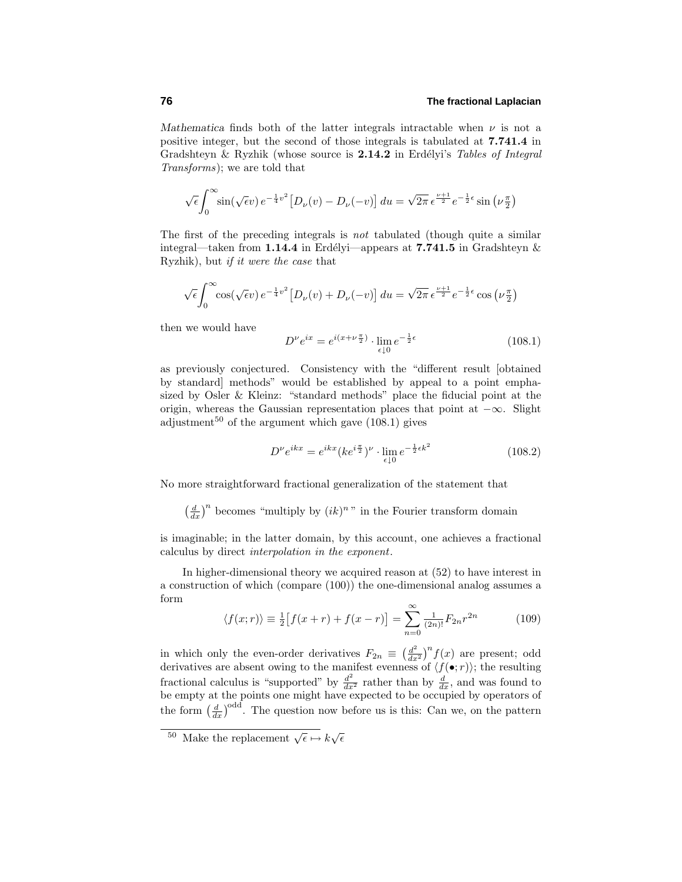*Mathematica* finds both of the latter integrals intractable when  $\nu$  is not a positive integer, but the second of those integrals is tabulated at **7.741.4** in Gradshteyn & Ryzhik (whose source is 2.14.2 in Erdélyi's Tables of Integral Transforms); we are told that

$$
\sqrt{\epsilon} \int_0^\infty \sin(\sqrt{\epsilon}v) e^{-\frac{1}{4}v^2} \left[ D_\nu(v) - D_\nu(-v) \right] du = \sqrt{2\pi} \epsilon^{\frac{\nu+1}{2}} e^{-\frac{1}{2}\epsilon} \sin\left(\nu \frac{\pi}{2}\right)
$$

The first of the preceding integrals is not tabulated (though quite a similar integral—taken from **1.14.4** in Erdélyi—appears at **7.741.5** in Gradshteyn  $\&$ Ryzhik), but if it were the case that

$$
\sqrt{\epsilon} \int_0^\infty \cos(\sqrt{\epsilon}v) e^{-\frac{1}{4}v^2} \left[ D_\nu(v) + D_\nu(-v) \right] du = \sqrt{2\pi} \epsilon^{\frac{\nu+1}{2}} e^{-\frac{1}{2}\epsilon} \cos(\nu \frac{\pi}{2})
$$

then we would have

$$
D^{\nu}e^{ix} = e^{i(x+\nu\frac{\pi}{2})} \cdot \lim_{\epsilon \downarrow 0} e^{-\frac{1}{2}\epsilon}
$$
 (108.1)

as previously conjectured. Consistency with the "different result [obtained by standard] methods" would be established by appeal to a point emphasized by Osler & Kleinz: "standard methods" place the fiducial point at the origin, whereas the Gaussian representation places that point at  $-\infty$ . Slight adjustment<sup>50</sup> of the argument which gave  $(108.1)$  gives

$$
D^{\nu}e^{ikx} = e^{ikx}(ke^{i\frac{\pi}{2}})^{\nu} \cdot \lim_{\epsilon \downarrow 0} e^{-\frac{1}{2}\epsilon k^2}
$$
 (108.2)

No more straightforward fractional generalization of the statement that

 $\left(\frac{d}{dx}\right)^n$  becomes "multiply by  $(ik)^n$ " in the Fourier transform domain

is imaginable; in the latter domain, by this account, one achieves a fractional calculus by direct interpolation in the exponent.

In higher-dimensional theory we acquired reason at  $(52)$  to have interest in a construction of which (compare (100)) the one-dimensional analog assumes a form

$$
\langle f(x; r) \rangle \equiv \frac{1}{2} \left[ f(x+r) + f(x-r) \right] = \sum_{n=0}^{\infty} \frac{1}{(2n)!} F_{2n} r^{2n} \tag{109}
$$

in which only the even-order derivatives  $F_{2n} \equiv \left(\frac{d^2}{dx^2}\right)^n f(x)$  are present; odd derivatives are absent owing to the manifest evenness of  $\langle f(\bullet; r) \rangle$ ; the resulting fractional calculus is "supported" by  $\frac{d^2}{dx^2}$  rather than by  $\frac{d}{dx}$ , and was found to be empty at the points one might have expected to be occupied by operators of the form  $\left(\frac{d}{dx}\right)^{\text{odd}}$ . The question now before us is this: Can we, on the pattern

<sup>&</sup>lt;sup>50</sup> Make the replacement  $\sqrt{\epsilon} \mapsto k\sqrt{\epsilon}$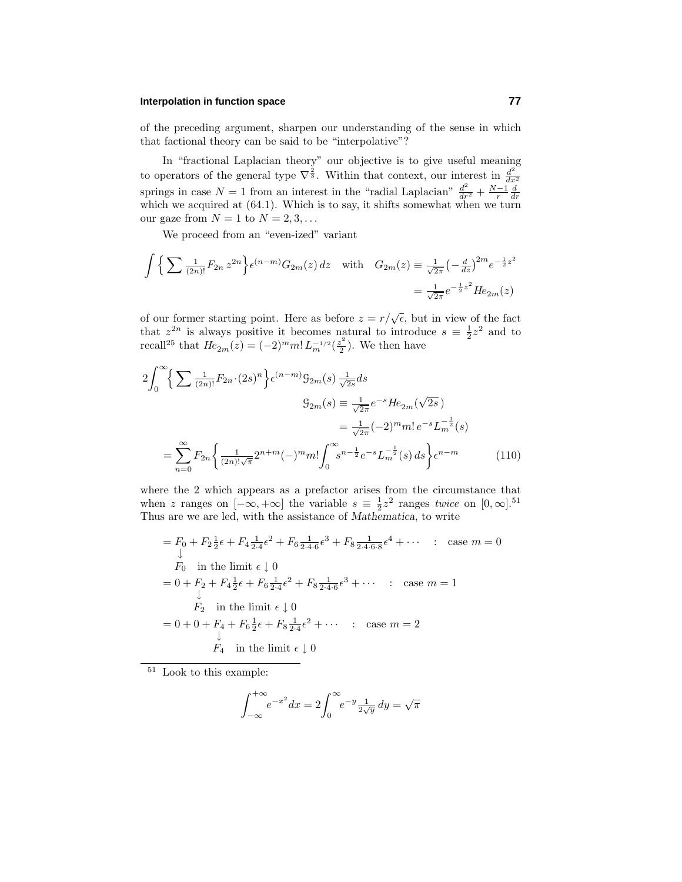of the preceding argument, sharpen our understanding of the sense in which that factional theory can be said to be "interpolative"?

In "fractional Laplacian theory" our objective is to give useful meaning to operators of the general type  $\nabla^{\frac{2}{3}}$ . Within that context, our interest in  $\frac{d^2}{dx^2}$ springs in case  $N = 1$  from an interest in the "radial Laplacian"  $\frac{d^2}{dr^2} + \frac{N-1}{r} \frac{d}{dr}$  which we acquired at (64.1). Which is to say, it shifts somewhat when we turn our gaze from  $N = 1$  to  $N = 2, 3, \ldots$ 

We proceed from an "even-ized" variant

$$
\int \left\{ \sum \frac{1}{(2n)!} F_{2n} z^{2n} \right\} \epsilon^{(n-m)} G_{2m}(z) dz \quad \text{with} \quad G_{2m}(z) \equiv \frac{1}{\sqrt{2\pi}} \left( -\frac{d}{dz} \right)^{2m} e^{-\frac{1}{2}z^2}
$$

$$
= \frac{1}{\sqrt{2\pi}} e^{-\frac{1}{2}z^2} H e_{2m}(z)
$$

of our former starting point. Here as before  $z = r/\sqrt{\epsilon}$ , but in view of the fact that  $z^{2n}$  is always positive it becomes natural to introduce  $s \equiv \frac{1}{2}z^2$  and to recall<sup>25</sup> that  $He_{2m}(z) = (-2)^m m! L_m^{-1/2}(\frac{z^2}{2})$ . We then have

$$
2\int_0^{\infty} \left\{ \sum \frac{1}{(2n)!} F_{2n} \cdot (2s)^n \right\} e^{(n-m)} \mathfrak{G}_{2m}(s) \frac{1}{\sqrt{2s}} ds
$$
  

$$
\mathfrak{G}_{2m}(s) \equiv \frac{1}{\sqrt{2\pi}} e^{-s} H e_{2m} (\sqrt{2s})
$$
  

$$
= \frac{1}{\sqrt{2\pi}} (-2)^m m! e^{-s} L_m^{-\frac{1}{2}}(s)
$$
  

$$
= \sum_{n=0}^{\infty} F_{2n} \left\{ \frac{1}{(2n)! \sqrt{\pi}} 2^{n+m} (-)^m m! \int_0^{\infty} s^{n-\frac{1}{2}} e^{-s} L_m^{-\frac{1}{2}}(s) ds \right\} e^{n-m}
$$
 (110)

where the 2 which appears as a prefactor arises from the circumstance that when *z* ranges on  $[-\infty, +\infty]$  the variable  $s \equiv \frac{1}{2}z^2$  ranges *twice* on  $[0, \infty]$ .<sup>51</sup> Thus are we are led, with the assistance of *Mathematica*, to write

$$
= F_0 + F_2 \frac{1}{2} \epsilon + F_4 \frac{1}{2 \cdot 4} \epsilon^2 + F_6 \frac{1}{2 \cdot 4 \cdot 6} \epsilon^3 + F_8 \frac{1}{2 \cdot 4 \cdot 6 \cdot 8} \epsilon^4 + \cdots \quad : \quad \text{case } m = 0
$$
  
\n
$$
F_0 \text{ in the limit } \epsilon \downarrow 0
$$
  
\n
$$
= 0 + F_2 + F_4 \frac{1}{2} \epsilon + F_6 \frac{1}{2 \cdot 4} \epsilon^2 + F_8 \frac{1}{2 \cdot 4 \cdot 6} \epsilon^3 + \cdots \quad : \quad \text{case } m = 1
$$
  
\n
$$
F_2 \text{ in the limit } \epsilon \downarrow 0
$$
  
\n
$$
= 0 + 0 + F_4 + F_6 \frac{1}{2} \epsilon + F_8 \frac{1}{2 \cdot 4} \epsilon^2 + \cdots \quad : \quad \text{case } m = 2
$$
  
\n
$$
\downarrow
$$
  
\n
$$
F_4 \text{ in the limit } \epsilon \downarrow 0
$$

 $^{51}\,$  Look to this example:

$$
\int_{-\infty}^{+\infty} e^{-x^2} dx = 2 \int_0^{\infty} e^{-y} \frac{1}{2\sqrt{y}} dy = \sqrt{\pi}
$$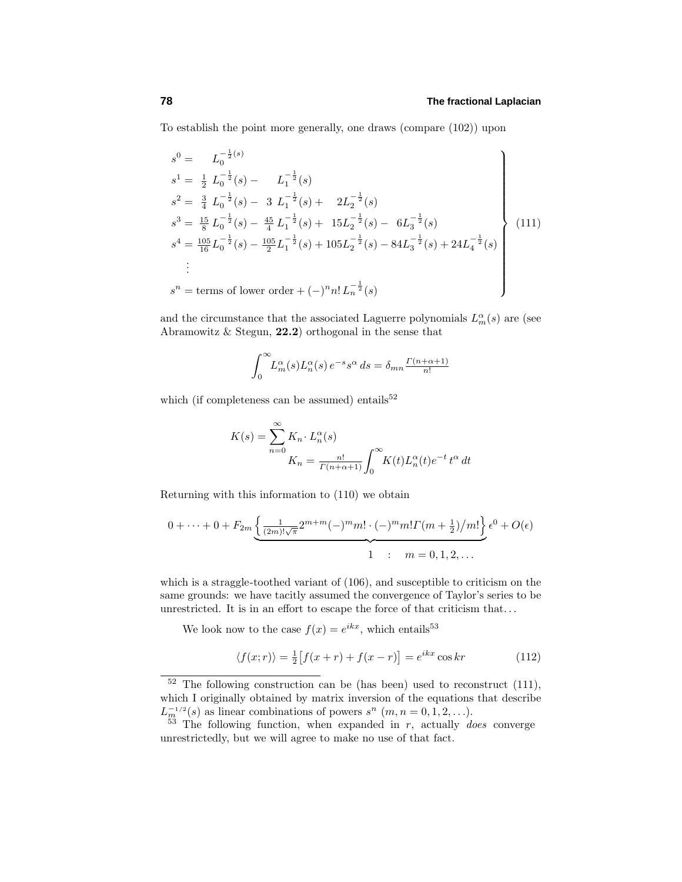To establish the point more generally, one draws (compare (102)) upon

$$
s^{0} = L_{0}^{-\frac{1}{2}(s)}
$$
\n
$$
s^{1} = \frac{1}{2} L_{0}^{-\frac{1}{2}}(s) - L_{1}^{-\frac{1}{2}}(s)
$$
\n
$$
s^{2} = \frac{3}{4} L_{0}^{-\frac{1}{2}}(s) - 3 L_{1}^{-\frac{1}{2}}(s) + 2L_{2}^{-\frac{1}{2}}(s)
$$
\n
$$
s^{3} = \frac{15}{8} L_{0}^{-\frac{1}{2}}(s) - \frac{45}{4} L_{1}^{-\frac{1}{2}}(s) + 15L_{2}^{-\frac{1}{2}}(s) - 6L_{3}^{-\frac{1}{2}}(s)
$$
\n
$$
s^{4} = \frac{105}{16} L_{0}^{-\frac{1}{2}}(s) - \frac{105}{2} L_{1}^{-\frac{1}{2}}(s) + 105L_{2}^{-\frac{1}{2}}(s) - 84L_{3}^{-\frac{1}{2}}(s) + 24L_{4}^{-\frac{1}{2}}(s)
$$
\n
$$
\vdots
$$
\n
$$
s^{n} = \text{terms of lower order } + (-)^{n} n! L_{n}^{-\frac{1}{2}}(s)
$$
\n(111)

and the circumstance that the associated Laguerre polynomials  $L_m^{\alpha}(s)$  are (see Abramowitz  $\&$  Stegun, **22.2**) orthogonal in the sense that

$$
\int_0^\infty L_m^{\alpha}(s) L_n^{\alpha}(s) e^{-s} s^{\alpha} ds = \delta_{mn} \frac{\Gamma(n + \alpha + 1)}{n!}
$$

which (if completeness can be assumed) entails $52$ 

$$
K(s) = \sum_{n=0}^{\infty} K_n \cdot L_n^{\alpha}(s)
$$
  

$$
K_n = \frac{n!}{\Gamma(n+\alpha+1)} \int_0^{\infty} K(t) L_n^{\alpha}(t) e^{-t} t^{\alpha} dt
$$

Returning with this information to  $(110)$  we obtain

$$
0 + \dots + 0 + F_{2m} \underbrace{\left\{ \frac{1}{(2m)!\sqrt{\pi}} 2^{m+m} (-)^m m! \cdot (-)^m m! \Gamma(m + \frac{1}{2})/m! \right\}}_{1} \epsilon^0 + O(\epsilon)
$$

which is a straggle-toothed variant of (106), and susceptible to criticism on the same grounds: we have tacitly assumed the convergence of Taylor's series to be unrestricted. It is in an effort to escape the force of that criticism that*...*

We look now to the case  $f(x) = e^{ikx}$ , which entails<sup>53</sup>

$$
\langle f(x;r)\rangle = \frac{1}{2} \left[ f(x+r) + f(x-r) \right] = e^{ikx} \cos kr \tag{112}
$$

 $52$  The following construction can be (has been) used to reconstruct (111), which I originally obtained by matrix inversion of the equations that describe  $L_m^{-1/2}(s)$  as linear combinations of powers  $s^n$  (*m, n* = 0*,* 1*,* 2*,...).* 

<sup>53</sup> The following function, when expanded in *r*, actually does converge unrestrictedly, but we will agree to make no use of that fact.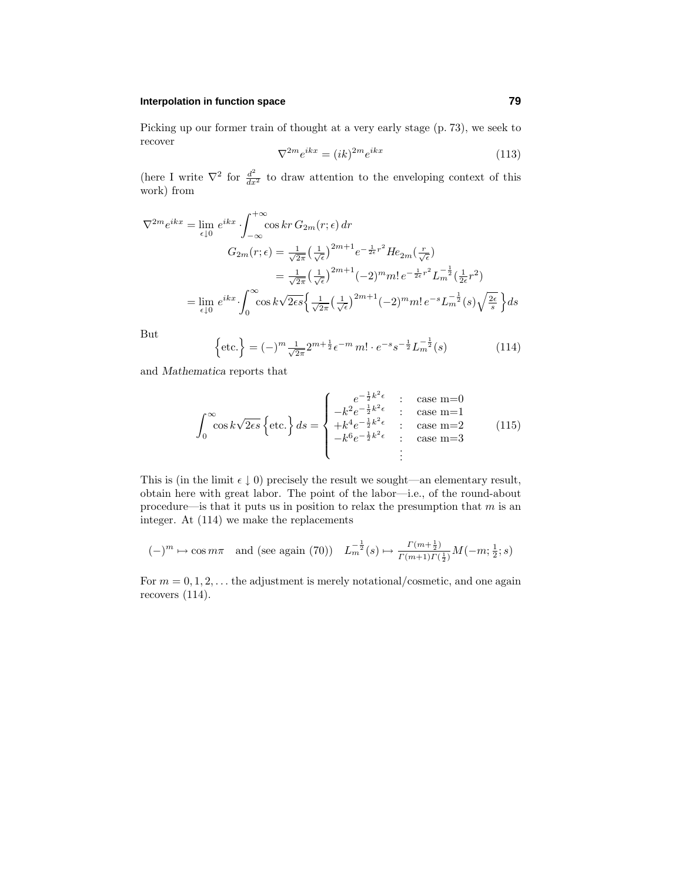Picking up our former train of thought at a very early stage (p. 73), we seek to recover

$$
\nabla^{2m} e^{ikx} = (ik)^{2m} e^{ikx} \tag{113}
$$

(here I write  $\nabla^2$  for  $\frac{d^2}{dx^2}$  to draw attention to the enveloping context of this work) from

$$
\nabla^{2m} e^{ikx} = \lim_{\epsilon \downarrow 0} e^{ikx} \cdot \int_{-\infty}^{+\infty} \cos kr \, G_{2m}(r; \epsilon) \, dr
$$
  

$$
G_{2m}(r; \epsilon) = \frac{1}{\sqrt{2\pi}} \left(\frac{1}{\sqrt{\epsilon}}\right)^{2m+1} e^{-\frac{1}{2\epsilon}r^2} H e_{2m}(\frac{r}{\sqrt{\epsilon}})
$$
  

$$
= \frac{1}{\sqrt{2\pi}} \left(\frac{1}{\sqrt{\epsilon}}\right)^{2m+1} (-2)^m m! \, e^{-\frac{1}{2\epsilon}r^2} L_m^{-\frac{1}{2}}(\frac{1}{2\epsilon}r^2)
$$
  

$$
= \lim_{\epsilon \downarrow 0} e^{ikx} \cdot \int_0^{\infty} \cos k\sqrt{2\epsilon s} \left\{\frac{1}{\sqrt{2\pi}} \left(\frac{1}{\sqrt{\epsilon}}\right)^{2m+1} (-2)^m m! \, e^{-s} L_m^{-\frac{1}{2}}(s) \sqrt{\frac{2\epsilon}{s}} \right\} ds
$$

But

 $\left\{\text{etc.}\right\} = (-)^{m} \frac{1}{\sqrt{2\pi}} 2^{m+\frac{1}{2}} \epsilon^{-m} m! \cdot e^{-s} s^{-\frac{1}{2}} L_{m}^{-\frac{1}{2}}(s)$  (114)

and *Mathematica* reports that

$$
\int_0^\infty \cos k\sqrt{2\epsilon s} \left\{ \text{etc.} \right\} ds = \begin{cases} e^{-\frac{1}{2}k^2 \epsilon} & : \text{ case } m=0\\ -k^2 e^{-\frac{1}{2}k^2 \epsilon} & : \text{ case } m=1\\ +k^4 e^{-\frac{1}{2}k^2 \epsilon} & : \text{ case } m=2\\ -k^6 e^{-\frac{1}{2}k^2 \epsilon} & : \text{ case } m=3\\ & : \end{cases}
$$
(115)

This is (in the limit  $\epsilon \downarrow 0$ ) precisely the result we sought—an elementary result, obtain here with great labor. The point of the labor—i.e., of the round-about procedure—is that it puts us in position to relax the presumption that *m* is an integer. At  $(114)$  we make the replacements

$$
(-)^m \mapsto \cos m\pi
$$
 and (see again (70))  $L_m^{-\frac{1}{2}}(s) \mapsto \frac{\Gamma(m+\frac{1}{2})}{\Gamma(m+1)\Gamma(\frac{1}{2})}M(-m;\frac{1}{2};s)$ 

For  $m = 0, 1, 2, \ldots$  the adjustment is merely notational/cosmetic, and one again recovers (114).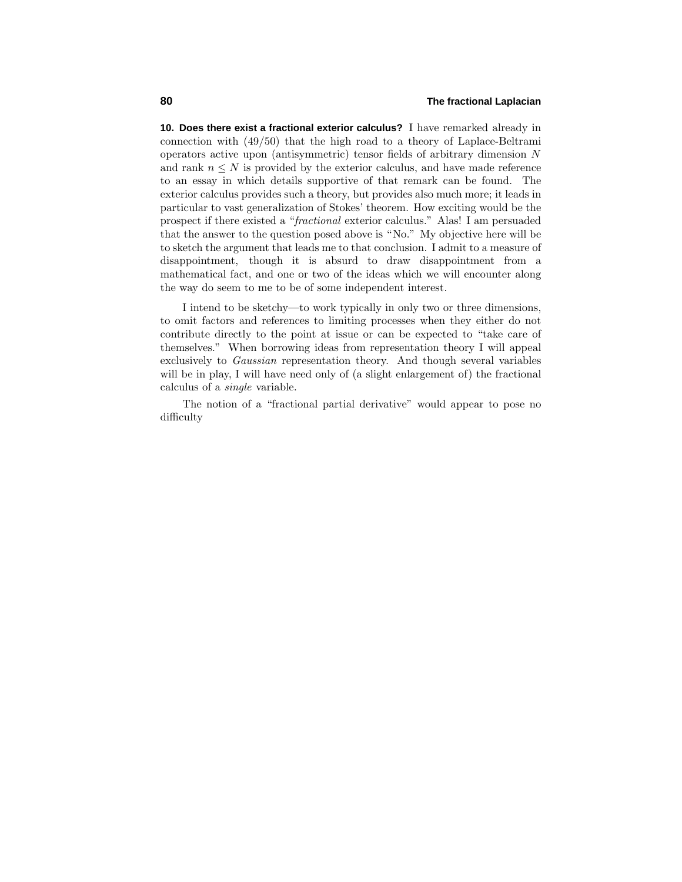**10. Does there exist a fractional exterior calculus?** I have remarked already in connection with  $(49/50)$  that the high road to a theory of Laplace-Beltrami operators active upon (antisymmetric)tensor fields of arbitrary dimension *N* and rank  $n \leq N$  is provided by the exterior calculus, and have made reference to an essay in which details supportive of that remark can be found. The exterior calculus provides such a theory, but provides also much more; it leads in particular to vast generalization of Stokes' theorem. How exciting would be the prospect if there existed a "fractional exterior calculus." Alas! I am persuaded that the answer to the question posed above is "No." My objective here will be to sketch the argument that leads me to that conclusion. I admit to a measure of disappointment, though it is absurd to draw disappointment from a mathematical fact, and one or two of the ideas which we will encounter along the way do seem to me to be of some independent interest.

I intend to be sketchy—to work typically in only two or three dimensions, to omit factors and references to limiting processes when they either do not contribute directly to the point at issue or can be expected to "take care of themselves." When borrowing ideas from representation theory I will appeal exclusively to Gaussian representation theory. And though several variables will be in play, I will have need only of  $(a$  slight enlargement of) the fractional calculus of a single variable.

The notion of a "fractional partial derivative" would appear to pose no difficulty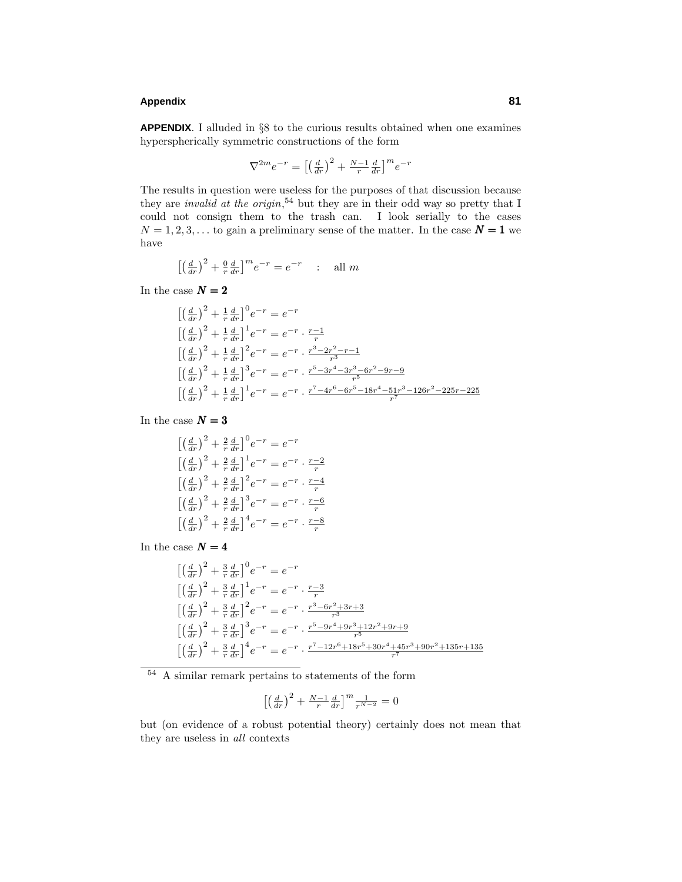# **Appendix 81**

**APPENDIX**. I alluded in §8 to the curious results obtained when one examines hyperspherically symmetric constructions of the form

$$
\nabla^{2m}e^{-r} = \left[\left(\frac{d}{dr}\right)^2 + \frac{N-1}{r}\frac{d}{dr}\right]^m e^{-r}
$$

The results in question were useless for the purposes of that discussion because they are *invalid at the origin*,<sup>54</sup> but they are in their odd way so pretty that I could not consign them to the trash can. I look serially to the cases  $N = 1, 2, 3, \ldots$  to gain a preliminary sense of the matter. In the case  $N = 1$  we have

$$
\left[\left(\frac{d}{dr}\right)^2 + \frac{0}{r}\frac{d}{dr}\right]^m e^{-r} = e^{-r} \quad : \quad \text{all } m
$$

In the case  $\boldsymbol{N=2}$ 

$$
\begin{aligned}\n&\left[\left(\frac{d}{dr}\right)^2 + \frac{1}{r}\frac{d}{dr}\right]^0 e^{-r} = e^{-r} \\
&\left[\left(\frac{d}{dr}\right)^2 + \frac{1}{r}\frac{d}{dr}\right]^1 e^{-r} = e^{-r} \cdot \frac{r-1}{r} \\
&\left[\left(\frac{d}{dr}\right)^2 + \frac{1}{r}\frac{d}{dr}\right]^2 e^{-r} = e^{-r} \cdot \frac{r^3 - 2r^2 - r - 1}{r^3}\n\end{aligned}
$$
\n
$$
\begin{aligned}\n&\left[\left(\frac{d}{dr}\right)^2 + \frac{1}{r}\frac{d}{dr}\right]^3 e^{-r} = e^{-r} \cdot \frac{r^5 - 3r^4 - 3r^3 - 6r^2 - 9r - 9}{r^5}\n\end{aligned}
$$
\n
$$
\begin{aligned}\n&\left[\left(\frac{d}{dr}\right)^2 + \frac{1}{r}\frac{d}{dr}\right]^1 e^{-r} = e^{-r} \cdot \frac{r^7 - 4r^6 - 6r^5 - 18r^4 - 51r^3 - 126r^2 - 225r - 225}{r^7}\n\end{aligned}
$$

In the case  $\boldsymbol{N=3}$ 

$$
\begin{aligned}\n &\left[ \left( \frac{d}{dr} \right)^2 + \frac{2}{r} \frac{d}{dr} \right]^0 e^{-r} = e^{-r} \\
 &\left[ \left( \frac{d}{dr} \right)^2 + \frac{2}{r} \frac{d}{dr} \right]^1 e^{-r} = e^{-r} \cdot \frac{r-2}{r} \\
 &\left[ \left( \frac{d}{dr} \right)^2 + \frac{2}{r} \frac{d}{dr} \right]^2 e^{-r} = e^{-r} \cdot \frac{r-4}{r} \\
 &\left[ \left( \frac{d}{dr} \right)^2 + \frac{2}{r} \frac{d}{dr} \right]^3 e^{-r} = e^{-r} \cdot \frac{r-6}{r} \\
 &\left[ \left( \frac{d}{dr} \right)^2 + \frac{2}{r} \frac{d}{dr} \right]^4 e^{-r} = e^{-r} \cdot \frac{r-8}{r}\n \end{aligned}
$$

In the case  $\boldsymbol{N=4}$ 

$$
\begin{aligned}\n&\left[\left(\frac{d}{dr}\right)^2 + \frac{3}{r}\frac{d}{dr}\right]^0 e^{-r} = e^{-r} \\
&\left[\left(\frac{d}{dr}\right)^2 + \frac{3}{r}\frac{d}{dr}\right]^1 e^{-r} = e^{-r} \cdot \frac{r-3}{r} \\
&\left[\left(\frac{d}{dr}\right)^2 + \frac{3}{r}\frac{d}{dr}\right]^2 e^{-r} = e^{-r} \cdot \frac{r^3 - 6r^2 + 3r + 3}{r^3}\n\end{aligned}
$$
\n
$$
\begin{aligned}\n&\left[\left(\frac{d}{dr}\right)^2 + \frac{3}{r}\frac{d}{dr}\right]^3 e^{-r} = e^{-r} \cdot \frac{r^5 - 9r^4 + 9r^3 + 12r^2 + 9r + 9}{r^5}\n\end{aligned}
$$
\n
$$
\begin{aligned}\n&\left[\left(\frac{d}{dr}\right)^2 + \frac{3}{r}\frac{d}{dr}\right]^4 e^{-r} = e^{-r} \cdot \frac{r^7 - 12r^6 + 18r^5 + 30r^4 + 45r^3 + 90r^2 + 135r + 135}{r^7}\n\end{aligned}
$$

<sup>54</sup> A similar remark pertains to statements of the form

$$
\left[\left(\frac{d}{dr}\right)^2 + \frac{N-1}{r}\frac{d}{dr}\right]^m \frac{1}{r^{N-2}} = 0
$$

but (on evidence of a robust potential theory) certainly does not mean that they are useless in all contexts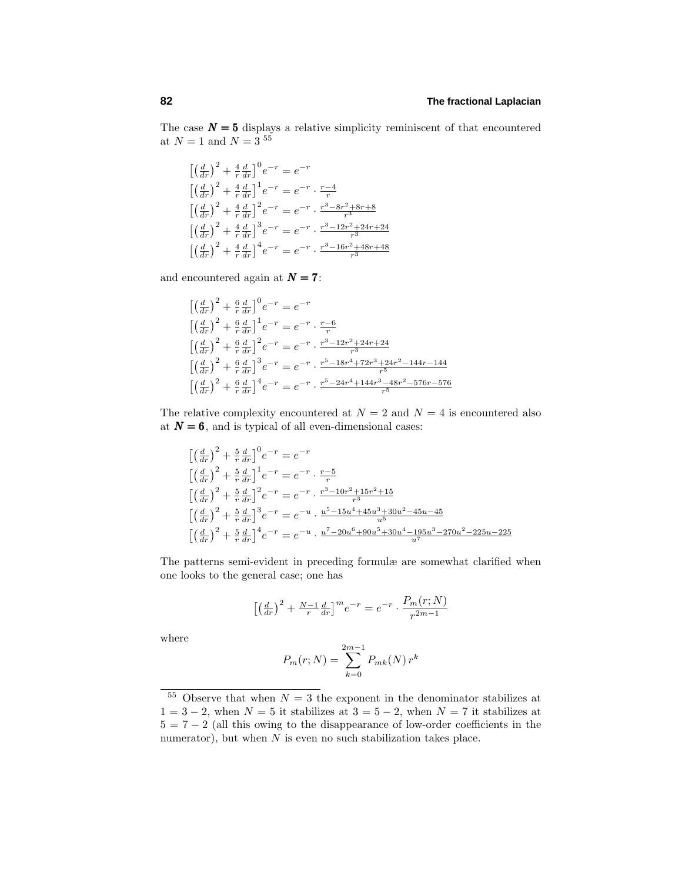The case  $N = 5$  displays a relative simplicity reminiscent of that encountered at  $N = 1$  and  $N = 3^{55}$ 

$$
\begin{aligned}\n&\left[\left(\frac{d}{dr}\right)^2 + \frac{4}{r}\frac{d}{dr}\right]^0 e^{-r} = e^{-r} \\
&\left[\left(\frac{d}{dr}\right)^2 + \frac{4}{r}\frac{d}{dr}\right]^1 e^{-r} = e^{-r} \cdot \frac{r-4}{r} \\
&\left[\left(\frac{d}{dr}\right)^2 + \frac{4}{r}\frac{d}{dr}\right]^2 e^{-r} = e^{-r} \cdot \frac{r^3 - 8r^2 + 8r + 8}{r^3} \\
&\left[\left(\frac{d}{dr}\right)^2 + \frac{4}{r}\frac{d}{dr}\right]^3 e^{-r} = e^{-r} \cdot \frac{r^3 - 12r^2 + 24r + 24}{r^3} \\
&\left[\left(\frac{d}{dr}\right)^2 + \frac{4}{r}\frac{d}{dr}\right]^4 e^{-r} = e^{-r} \cdot \frac{r^3 - 16r^2 + 48r + 48}{r^3}\n\end{aligned}
$$

and encountered again at  $N = 7$ :

$$
\begin{aligned}\n&\left[\left(\frac{d}{dr}\right)^2 + \frac{6}{r}\frac{d}{dr}\right]^0 e^{-r} = e^{-r} \\
&\left[\left(\frac{d}{dr}\right)^2 + \frac{6}{r}\frac{d}{dr}\right]^1 e^{-r} = e^{-r} \cdot \frac{r-6}{r} \\
&\left[\left(\frac{d}{dr}\right)^2 + \frac{6}{r}\frac{d}{dr}\right]^2 e^{-r} = e^{-r} \cdot \frac{r^3 - 12r^2 + 24r + 24}{r^3} \\
&\left[\left(\frac{d}{dr}\right)^2 + \frac{6}{r}\frac{d}{dr}\right]^3 e^{-r} = e^{-r} \cdot \frac{r^5 - 18r^4 + 72r^3 + 24r^2 - 144r - 144}{r^5} \\
&\left[\left(\frac{d}{dr}\right)^2 + \frac{6}{r}\frac{d}{dr}\right]^4 e^{-r} = e^{-r} \cdot \frac{r^5 - 24r^4 + 144r^3 - 48r^2 - 576r - 576}{r^5}\n\end{aligned}
$$

The relative complexity encountered at  $N = 2$  and  $N = 4$  is encountered also at  $N = 6$ , and is typical of all even-dimensional cases:

$$
\begin{aligned}\n&\left[\left(\frac{d}{dr}\right)^2 + \frac{5}{r}\frac{d}{dr}\right]^0 e^{-r} = e^{-r} \\
&\left[\left(\frac{d}{dr}\right)^2 + \frac{5}{r}\frac{d}{dr}\right]^1 e^{-r} = e^{-r} \cdot \frac{r-5}{r} \\
&\left[\left(\frac{d}{dr}\right)^2 + \frac{5}{r}\frac{d}{dr}\right]^2 e^{-r} = e^{-r} \cdot \frac{r^3 - 10r^2 + 15r^2 + 15}{r^3} \\
&\left[\left(\frac{d}{dr}\right)^2 + \frac{5}{r}\frac{d}{dr}\right]^3 e^{-r} = e^{-u} \cdot \frac{u^5 - 15u^4 + 45u^3 + 30u^2 - 45u - 45}{u^5} \\
&\left[\left(\frac{d}{dr}\right)^2 + \frac{5}{r}\frac{d}{dr}\right]^4 e^{-r} = e^{-u} \cdot \frac{u^7 - 20u^6 + 90u^5 + 30u^4 - 195u^3 - 270u^2 - 225u - 225}{u^7}\n\end{aligned}
$$

The patterns semi-evident in preceding formulæ are somewhat clarified when one looks to the general case; one has

$$
\left[\left(\frac{d}{dr}\right)^2 + \frac{N-1}{r}\frac{d}{dr}\right]^m e^{-r} = e^{-r} \cdot \frac{P_m(r;N)}{r^{2m-1}}
$$

where

$$
P_m(r;N) = \sum_{k=0}^{2m-1} P_{mk}(N) r^k
$$

<sup>&</sup>lt;sup>55</sup> Observe that when  $N=3$  the exponent in the denominator stabilizes at  $1=3-2$ , when  $N=5$  it stabilizes at  $3=5-2$ , when  $N=7$  it stabilizes at  $5=7-2$  (all this owing to the disappearance of low-order coefficients in the numerator), but when *N* is even no such stabilization takes place.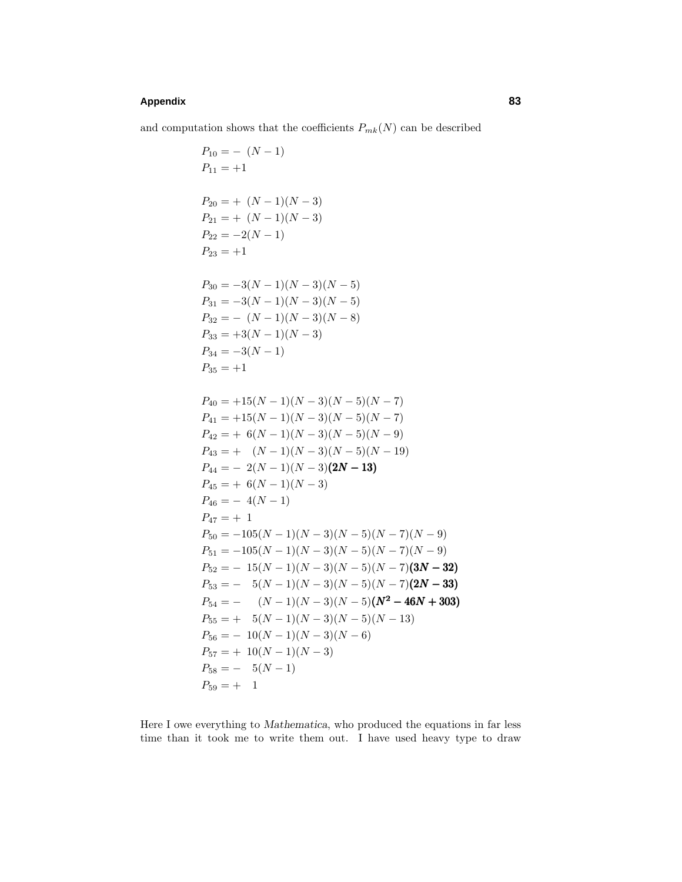# **Appendix 83**

and computation shows that the coefficients  $P_{mk}(\boldsymbol{N})$  can be described

$$
P_{10} = -(N-1)
$$
  
\n
$$
P_{11} = +1
$$
  
\n
$$
P_{20} = + (N-1)(N-3)
$$
  
\n
$$
P_{21} = + (N-1)(N-3)
$$
  
\n
$$
P_{22} = -2(N-1)
$$
  
\n
$$
P_{23} = +1
$$
  
\n
$$
P_{30} = -3(N-1)(N-3)(N-5)
$$
  
\n
$$
P_{31} = -3(N-1)(N-3)(N-5)
$$
  
\n
$$
P_{32} = -(N-1)(N-3)(N-8)
$$
  
\n
$$
P_{33} = +3(N-1)(N-3)
$$
  
\n
$$
P_{34} = -3(N-1)
$$
  
\n
$$
P_{35} = +1
$$
  
\n
$$
P_{40} = +15(N-1)(N-3)(N-5)(N-7)
$$
  
\n
$$
P_{41} = +15(N-1)(N-3)(N-5)(N-7)
$$
  
\n
$$
P_{42} = +6(N-1)(N-3)(N-5)(N-9)
$$
  
\n
$$
P_{43} = + (N-1)(N-3)(N-5)(N-19)
$$
  
\n
$$
P_{44} = -2(N-1)(N-3)(2N-13)
$$
  
\n
$$
P_{45} = +6(N-1)(N-3)
$$
  
\n
$$
P_{46} = -4(N-1)
$$
  
\n
$$
P_{47} = +1
$$
  
\n
$$
P_{50} = -105(N-1)(N-3)(N-5)(N-7)(N-9)
$$
  
\n
$$
P_{51} = -105(N-1)(N-3)(N-5)(N-7)(N-9)
$$
  
\n
$$
P_{52} = -15(N-1)(N-3)(N-5)(N-7)(2N-32)
$$
  
\n
$$
P_{53} = -5(N-1)(N-3)(N-5)(N-7)(2N-33)
$$
  
\n
$$
P_{54} = -2(N-1)(N-3)(N-5)(N-13)
$$
  
\n
$$
P_{56} = -10(N-
$$

Here I owe everything to *Mathematica*, who produced the equations in far less time than it took me to write them out. I have used heavy type to draw